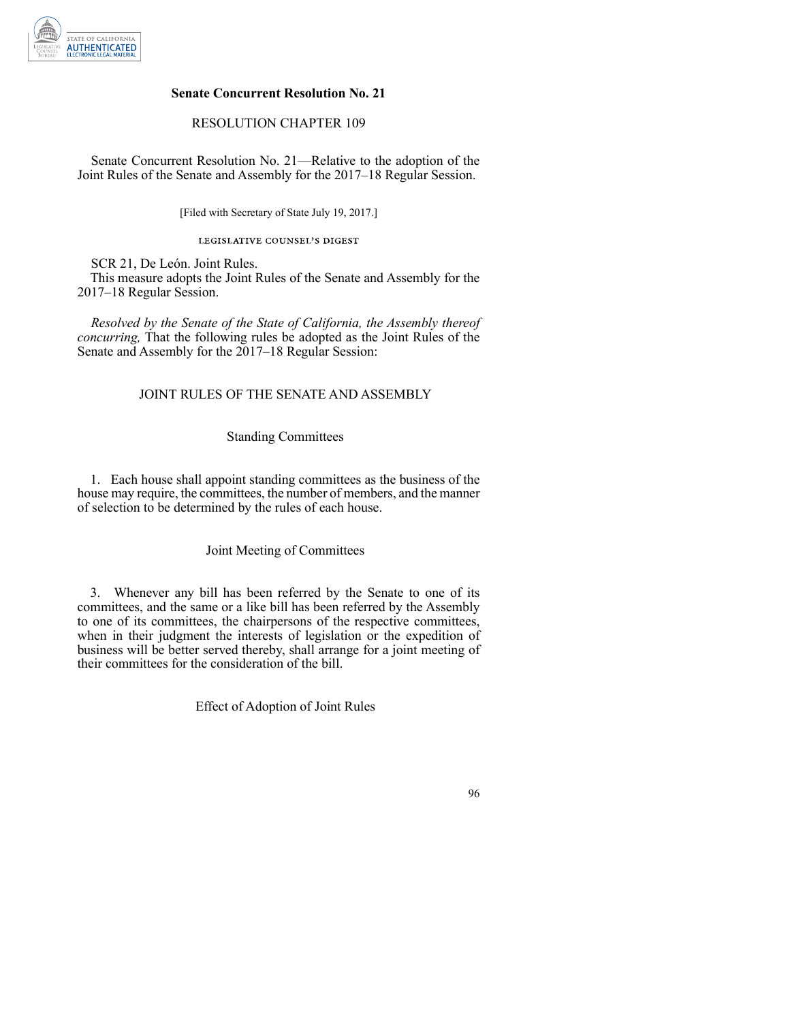

# Senate Concurrent Resolution No. 21

# RESOLUTION CHAPTER 109

Senate Concurrent Resolution No. 21—Relative to the adoption of the Joint Rules of the Senate and Assembly for the 2017–18 Regular Session.

[Filed with Secretary of State July 19, 2017.]

SCRIPTORICATES<br>
SCRIPTOR CHAPTER 109<br>
SCRIPTOR CHAPTER 109<br>
SCRIPTOR CHAPTER 109<br>
SCRIPTOR CONDUCTION CHAPTER 109<br>
SCR 21, De León. Joint Bules.<br>
(Filed with Secretary of State July 19, 2017.)<br>
LEGISLATIVE COUNSEL'S DIGEST This measure adopts the Joint Rules of the Senate and Assembly for the 2017–18 Regular Session.

Resolved by the Senate of the State of California, the Assembly thereof concurring, That the following rules be adopted as the Joint Rules of the Senate and Assembly for the 2017–18 Regular Session: Senate Concurrent Resolution No. 21<br>
RESOLUTION CHAPTER 109<br>
oncurrent Resolution No. 21—Relative to the adoption of the<br>
of the Senate and Assembly for the 2017–1-8 Regular Session.<br>
[Filed with seerchay of state Jaly 19,

# Standing Committees

1. Each house shall appoint standing committees as the business of the house may require, the committees, the number of members, and the manner of selection to be determined by the rules of each house.

### Joint Meeting of Committees

3. Whenever any bill has been referred by the Senate to one of its committees, and the same or a like bill has been referred by the Assembly to one of its committees, the chairpersons of the respective committees, when in their judgment the interests of legislation or the expedition of business will be better served thereby, shall arrange for a joint meeting of their committees for the consideration of the bill.

Effect of Adoption of Joint Rules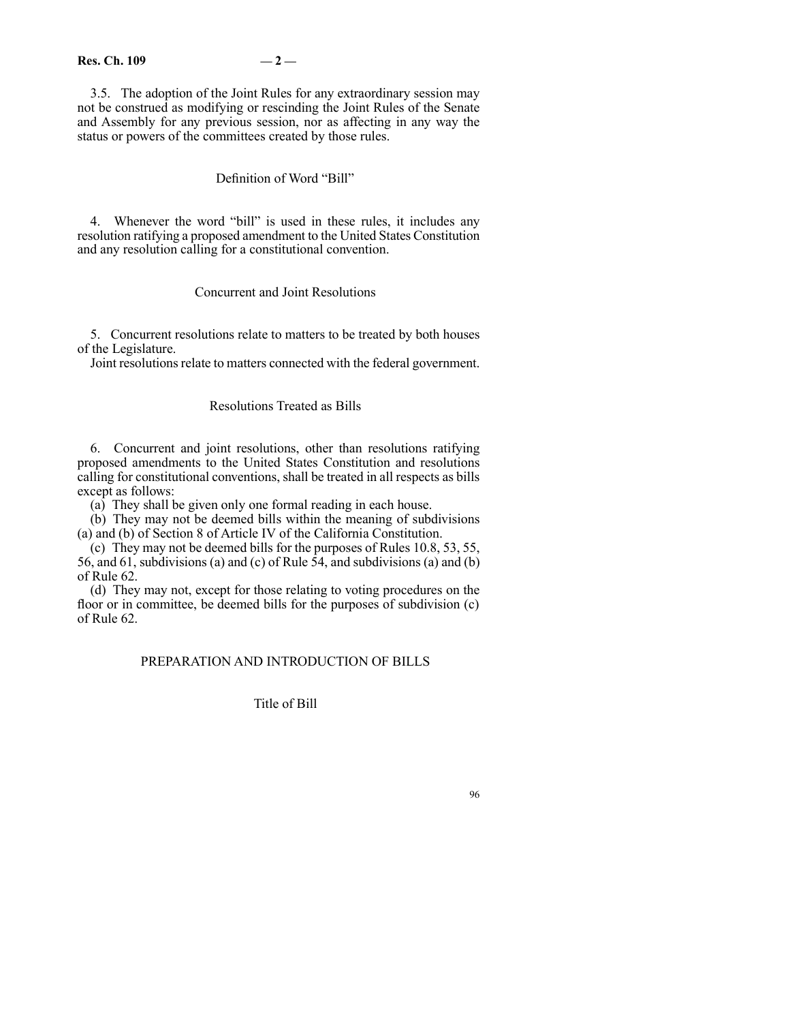3.5. The adoption of the Joint Rules for any extraordinary session may not be construed as modifying or rescinding the Joint Rules of the Senate **Res. Ch. 109**  $-2-$ <br>3.5. The adoption of the Joint Rules for any extraordinary session may<br>not be construed as modifying or rescinding the Joint Rules of the Senate<br>and Assembly for any previous session, nor as affecting status or powers of the committees created by those rules. the Joint Rules for any extraordinary session may<br>iffying or rescinding the Joint Rules of the Senate<br>revious session, nor as affecting in any way the<br>ommittees created by those rules.<br>Definition of Word "Bill"<br>ord "bill" **Res. Ch. 109**  $-2-$ <br>3.5. The adoption of the Joint Rules for any extraordinary session may<br>not be construed as modifying or rescinding the Joint Rules of the Senate<br>and Assembly for any previous session, nor as affecting

# Definition of Word "Bill"

4. Whenever the word "bill" is used in these rules, it includes any resolution ratifying a proposed amendment to the United States Constitution and any resolution calling for a constitutional convention.

### Concurrent and Joint Resolutions

5. Concurrent resolutions relate to matters to be treated by both houses of the Legislature.

Joint resolutions relate to matters connected with the federal government.

6. Concurrent and joint resolutions, other than resolutions ratifying proposed amendments to the United States Constitution and resolutions calling for constitutional conventions, shall be treated in all respects as bills except as follows: Internal resolutions relate to matters to be treated by both houses<br>lature.<br>Mutions relate to matters connected with the federal government.<br>Resolutions Treated as Bills<br>werrent and joint resolutions, other than resolution

(a) They shall be given only one formal reading in each house.

(b) They may not be deemed bills within the meaning of subdivisions (a) and (b) of Section 8 of Article IV of the California Constitution.

(c) They may not be deemed bills for the purposes of Rules 10.8, 53, 55, 56, and 61, subdivisions (a) and (c) of Rule 54, and subdivisions (a) and (b) of Rule 62.

(d) They may not, except for those relating to voting procedures on the floor or in committee, be deemed bills for the purposes of subdivision (c) of Rule 62.

Title of Bill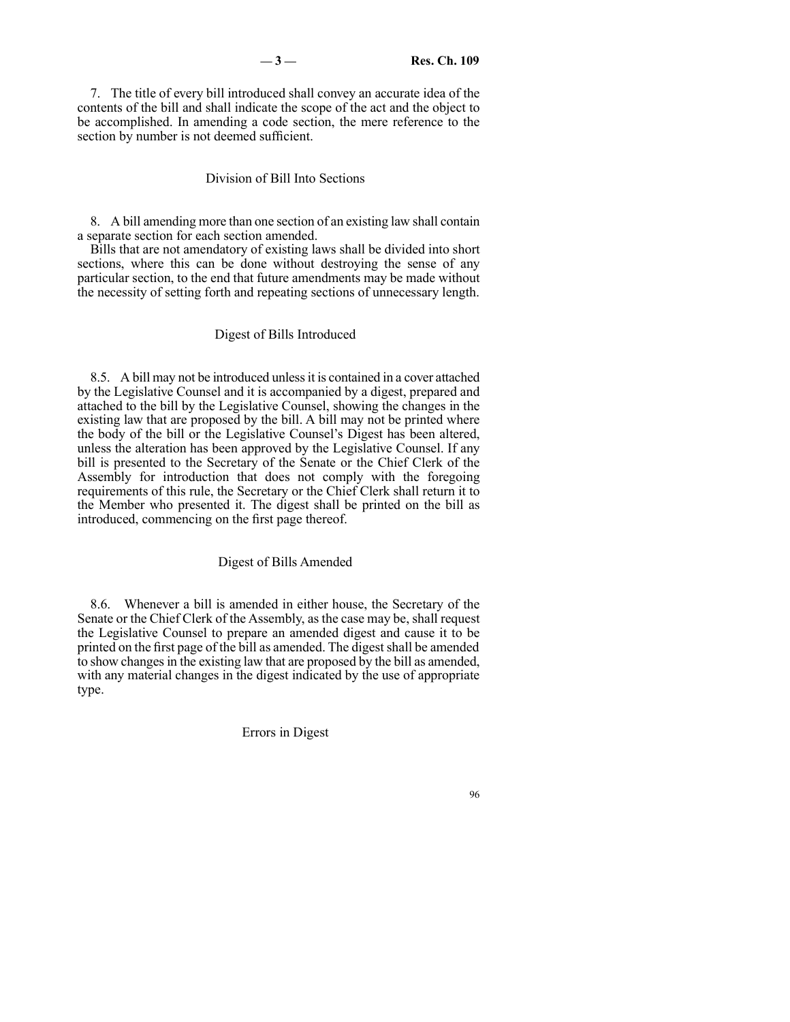7. The title of every bill introduced shall convey an accurate idea of the contents of the bill and shall indicate the scope of the act and the object to be accomplished. In amending a code section, the mere reference to the section by number is not deemed sufficient. -3 - Res. Ch. 109<br>uced shall convey an accurate idea of the<br>ate the scope of the act and the object to<br>code section, the mere reference to the<br>sufficient.

### Division of Bill Into Sections

8. A bill amending more than one section of an existing law shall contain a separate section for each section amended.

Bills that are not amendatory of existing laws shall be divided into short sections, where this can be done without destroying the sense of any particular section, to the end that future amendments may be made without the necessity of setting forth and repeating sections of unnecessary length.

### Digest of Bills Introduced

8.5. A bill may not be introduced unless it is contained in a cover attached by the Legislative Counsel and it is accompanied by a digest, prepared and attached to the bill by the Legislative Counsel, showing the changes in the existing law that are proposed by the bill. A bill may not be printed where the body of the bill or the Legislative Counsel's Digest has been altered, unless the alteration has been approved by the Legislative Counsel. If any bill is presented to the Secretary of the Senate or the Chief Clerk of the Assembly for introduction that does not comply with the foregoing requirements of this rule, the Secretary or the Chief Clerk shall return it to the Member who presented it. The digest shall be printed on the bill as introduced, commencing on the first page thereof.

### Digest of Bills Amended

8.6. Whenever a bill is amended in either house, the Secretary of the Senate or the Chief Clerk of the Assembly, as the case may be, shall request the Legislative Counsel to prepare an amended digest and cause it to be printed on the first page of the bill as amended. The digest shall be amended to show changes in the existing law that are proposed by the bill as amended, with any material changes in the digest indicated by the use of appropriate type.

Errors in Digest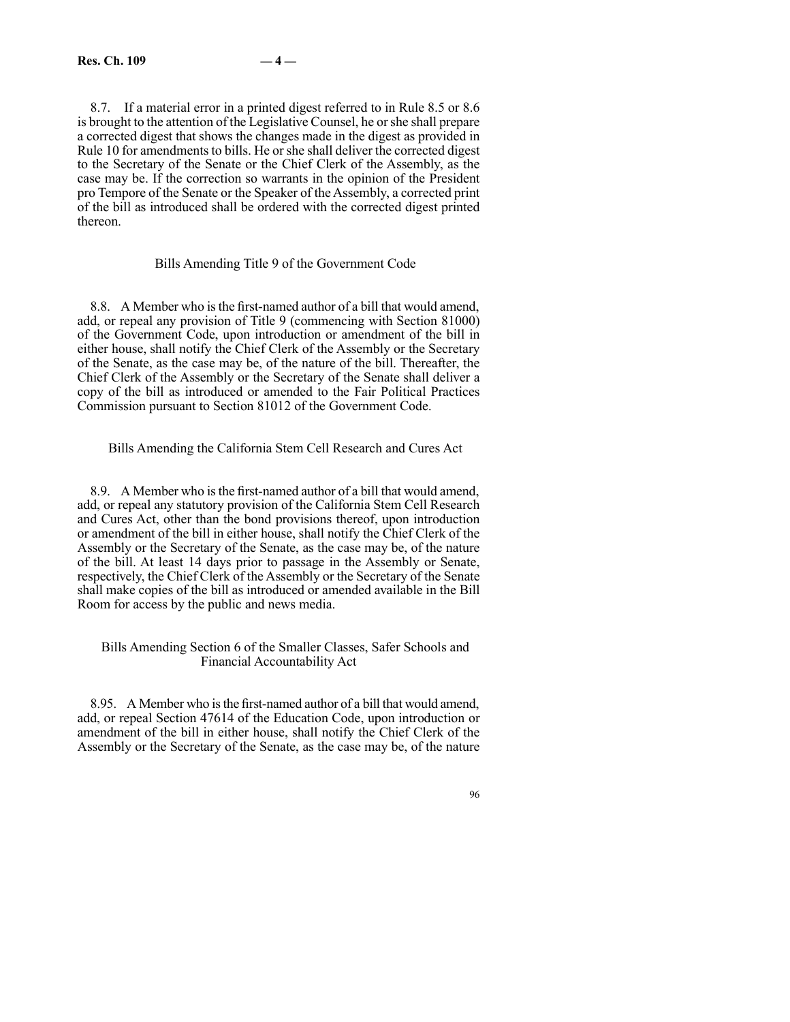8.7. If a material error in a printed digest referred to in Rule 8.5 or 8.6 is brought to the attention of the Legislative Counsel, he or she shall prepare a corrected digest that shows the changes made in the digest as provided in Rule 10 for amendments to bills. He or she shall deliver the corrected digest to the Secretary of the Senate or the Chief Clerk of the Assembly, as the case may be. If the correction so warrants in the opinion of the President **Res. Ch. 109**  $-4-$ <br>
8.7. If a material error in a printed digest referred to in Rule 8.5 or 8.6<br>
is brought to the attention of the Legislative Counsel, he or she shall prepare<br>
a corrected digest that shows the changes of the bill as introduced shall be ordered with the corrected digest printed thereon.  $-4-$ <br>  $-4-$ <br>
ataterial error in a printed digest referred to in Rule 8.5 or 8.6<br>
at eattention of the Legislative Counsel, he or she shall prepare<br>
tend shows the changes made in the digest as provided in<br>
endments to bi multitude the attention of the Legislative Counsel, he or she shall prepare<br>coted digest that shows the changes made in the digest as a provided in<br>10 for amendments to bills. He or she shall deliver the corrected digest<br>s **Res. Ch. 109**  $-4-$ <br>8.7. If a material error in a printed digest referred to in Rule 8.5 or 8.6<br>is brought to the attention of the Legislative Counsel, he or she shall prepare<br>a corrected digest that shows the changes ma

8.8. A Member who is the first-named author of a bill that would amend, add, or repeal any provision of Title 9 (commencing with Section 81000) of the Government Code, upon introduction or amendment of the bill in either house, shall notify the Chief Clerk of the Assembly or the Secretary of the Senate, as the case may be, of the nature of the bill. Thereafter, the Chief Clerk of the Assembly or the Secretary of the Senate shall deliver a copy of the bill as introduced or amended to the Fair Political Practices Commission pursuant to Section 81012 of the Government Code.

8.9. A Member who is the first-named author of a bill that would amend, add, or repeal any statutory provision of the California Stem Cell Research and Cures Act, other than the bond provisions thereof, upon introduction or amendment of the bill in either house, shall notify the Chief Clerk of the Assembly or the Secretary of the Senate, as the case may be, of the nature of the bill. At least 14 days prior to passage in the Assembly or Senate, respectively, the Chief Clerk of the Assembly or the Secretary of the Senate shall make copies of the bill as introduced or amended available in the Bill Room for access by the public and news media. or repeal any provision of Title 9 (commencing with Section 8 10000)<br>or Geomentic Section 8 of the Smaller incluses, shall notify the Chief Clerk of the Assembly or the Secretary<br>r house, shall notify the Chief Clerk of th de, upon inrroduction or amendment of the bill in<br>the Chief Clerk of the Assembly or the Secretary<br>is may be, of the nature of the bill. Thereafter, the<br>memby or the Secretary of the Sense halil deliver a<br>conduced or amend

8.95. A Member who is the first-named author of a bill that would amend, add, or repeal Section 47614 of the Education Code, upon introduction or amendment of the bill in either house, shall notify the Chief Clerk of the Assembly or the Secretary of the Senate, as the case may be, of the nature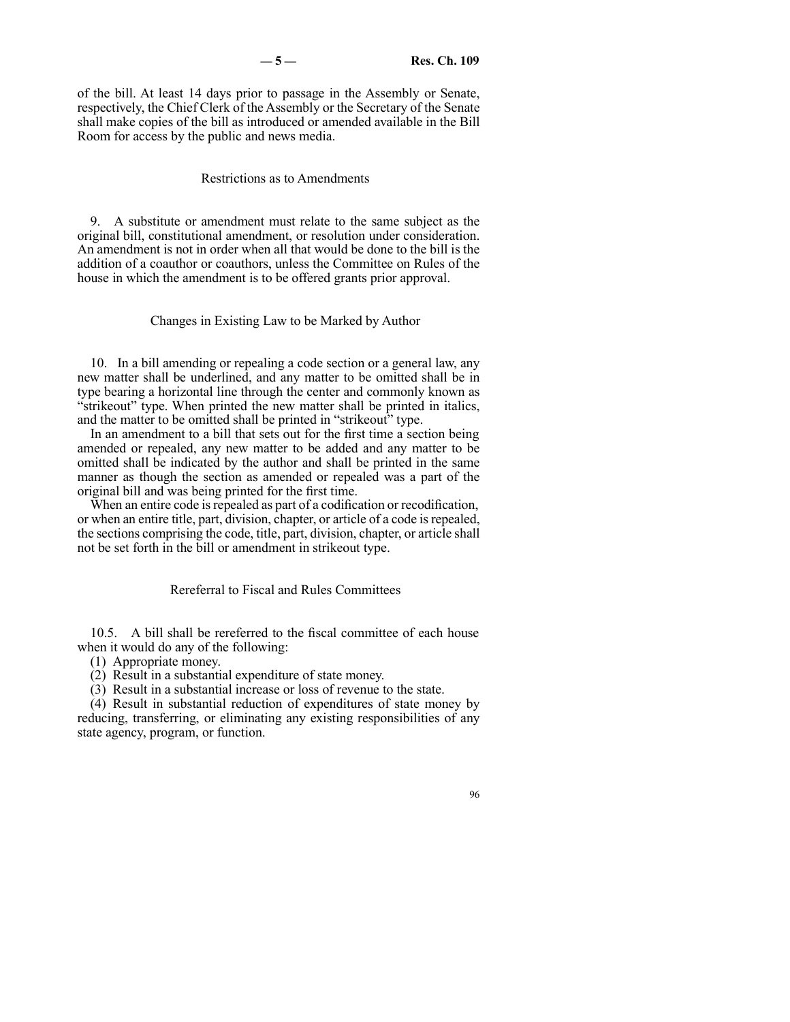of the bill. At least 14 days prior to passage in the Assembly or Senate, respectively, the Chief Clerk of the Assembly or the Secretary of the Senate shall make copies of the bill as introduced or amended available in the Bill Room for access by the public and news media. -5 --<br>
Res. Ch. 109<br>
Assembly or the Assembly or Senate,<br>
Assembly or the Secretary of the Senate<br>
Foduced or amended available in the Bill<br>
A news media.

### Restrictions as to Amendments

9. A substitute or amendment must relate to the same subject as the original bill, constitutional amendment, or resolution under consideration. An amendment is not in order when all that would be done to the bill is the addition of a coauthor or coauthors, unless the Committee on Rules of the house in which the amendment is to be offered grants prior approval.

### Changes in Existing Law to be Marked by Author

10. In a bill amending or repealing a code section or a general law, any new matter shall be underlined, and any matter to be omitted shall be in type bearing a horizontal line through the center and commonly known as "strikeout" type. When printed the new matter shall be printed in italics, and the matter to be omitted shall be printed in "strikeout" type.

In an amendment to a bill that sets out for the first time a section being amended or repealed, any new matter to be added and any matter to be omitted shall be indicated by the author and shall be printed in the same manner as though the section as amended or repealed was a part of the original bill and was being printed for the first time.

When an entire code is repealed as part of a codification or recodification, or when an entire title, part, division, chapter, or article of a code is repealed, the sections comprising the code, title, part, division, chapter, or article shall not be set forth in the bill or amendment in strikeout type.

### Rereferral to Fiscal and Rules Committees

10.5. A bill shall be rereferred to the fiscal committee of each house when it would do any of the following:

- (1) Appropriate money.
- (2) Result in a substantial expenditure of state money.
- (3) Result in a substantial increase or loss of revenue to the state.

(4) Result in substantial reduction of expenditures of state money by reducing, transferring, or eliminating any existing responsibilities of any state agency, program, or function.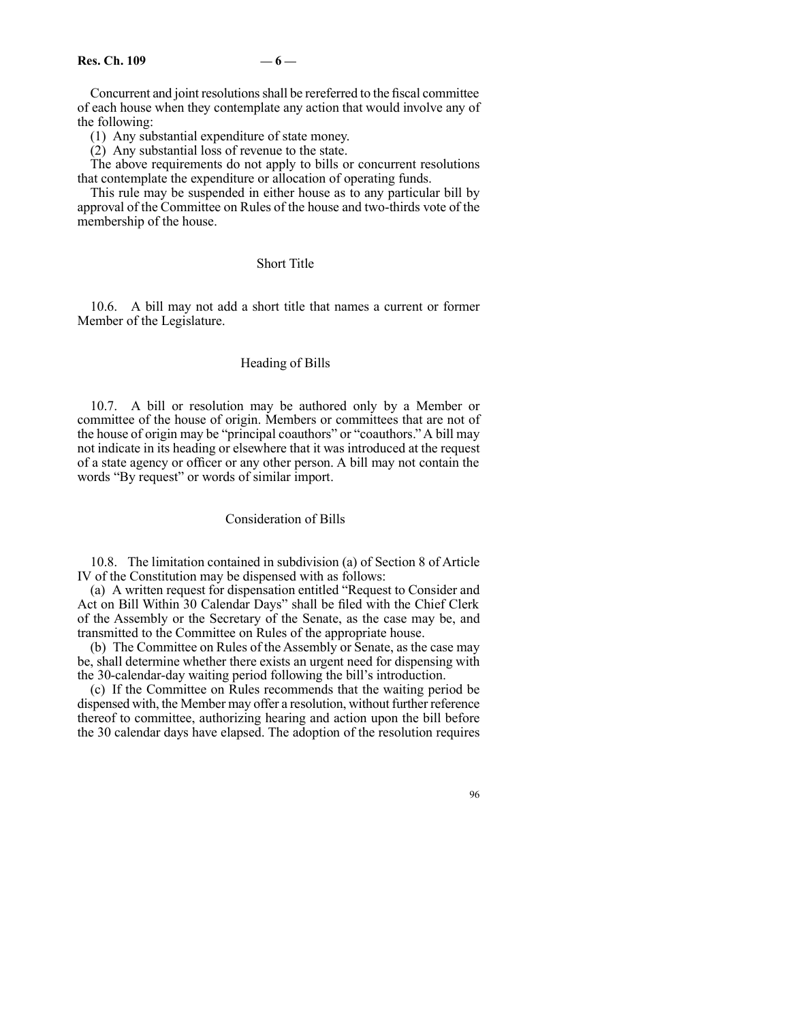Concurrent and joint resolutions shall be rereferred to the fiscal committee of each house when they contemplate any action that would involve any of the following:  $-6$  -<br>shall be rereferred to the fiscal committee<br>plate any action that would involve any of<br>re of state money.<br>enue to the state.<br> $t$  apply to bills or concurrent resolutions<br>or allocation of operating funds.<br>either hou Res. Ch. 109  $-6$  —<br>Concurrent and joint resolutions shall be rereferred to the fiscal committee<br>of each house when they contemplate any action that would involve any of<br>the following:<br>(1) Any substantial expenditure of s

(1) Any substantial expenditure of state money.

(2) Any substantial loss of revenue to the state.

The above requirements do not apply to bills or concurrent resolutions that contemplate the expenditure or allocation of operating funds.

This rule may be suspended in either house as to any particular bill by approval of the Committee on Rules of the house and two-thirds vote of the membership of the house.

10.6. A bill may not add a short title that names a current or former Member of the Legislature.

### Heading of Bills

10.7. A bill or resolution may be authored only by a Member or committee of the house of origin. Members or committees that are not of the house of origin may be "principal coauthors" or "coauthors." A bill may of each house when they contemplate any action that would involve any of<br>
(1) Any substantial coparation of state money.<br>
(2) Any substantial color apply to bills or concurrent resolutions<br>
The above requirements do not a not indicate in its heading or elsewhere that it was introduced at the request of a state agency or officer or any other person. A bill may not contain the words "By request" or words of similar import.

### Consideration of Bills

10.8. The limitation contained in subdivision (a) of Section 8 of Article IV of the Constitution may be dispensed with as follows:

(a) A written request for dispensation entitled "Request to Consider and Act on Bill Within 30 Calendar Days" shall be filed with the Chief Clerk of the Assembly or the Secretary of the Senate, as the case may be, and transmitted to the Committee on Rules of the appropriate house.

(b) The Committee on Rules of the Assembly or Senate, as the case may be, shall determine whether there exists an urgent need for dispensing with the 30-calendar-day waiting period following the bill's introduction.

(c) If the Committee on Rules recommends that the waiting period be dispensed with, the Member may offer a resolution, without further reference thereof to committee, authorizing hearing and action upon the bill before the 30 calendar days have elapsed. The adoption of the resolution requires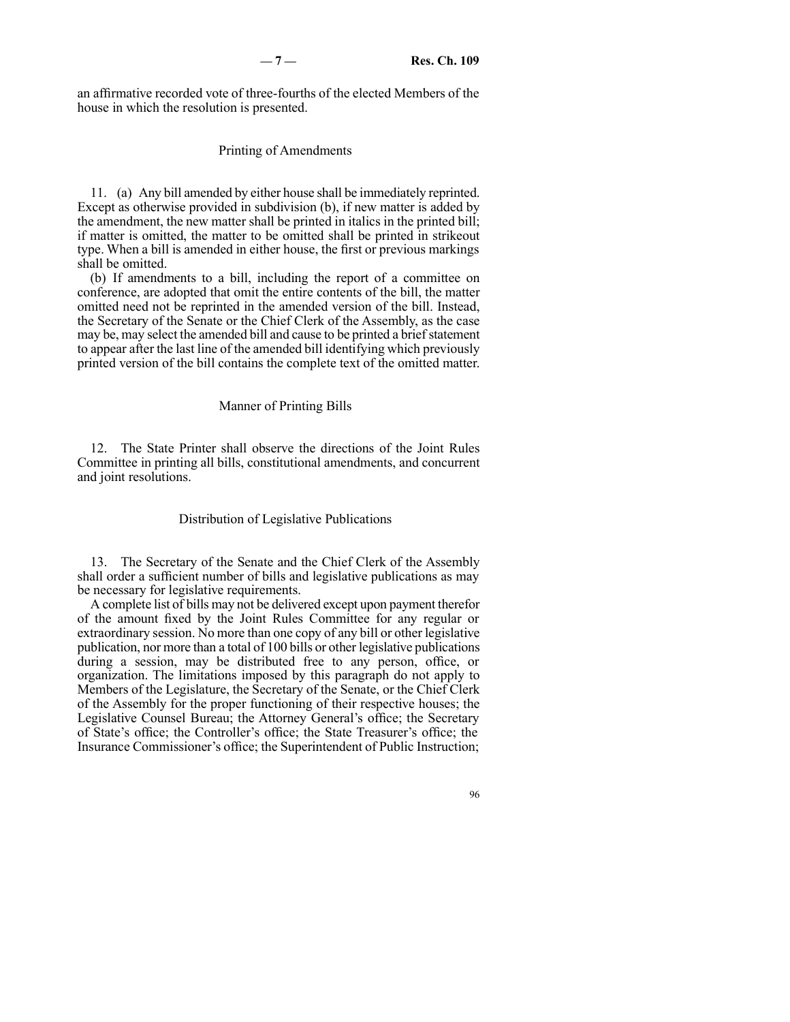an affirmative recorded vote of three-fourths of the elected Members of the house in which the resolution is presented. -7 - Res. Ch. 109<br>ee-fourths of the elected Members of the<br>resented.

### Printing of Amendments

11. (a) Any bill amended by either house shall be immediately reprinted. Except as otherwise provided in subdivision (b), if new matter is added by the amendment, the new matter shall be printed in italics in the printed bill; if matter is omitted, the matter to be omitted shall be printed in strikeout type. When a bill is amended in either house, the first or previous markings shall be omitted.

(b) If amendments to a bill, including the report of a committee on conference, are adopted that omit the entire contents of the bill, the matter omitted need not be reprinted in the amended version of the bill. Instead, the Secretary of the Senate or the Chief Clerk of the Assembly, as the case may be, may select the amended bill and cause to be printed a brief statement to appear after the last line of the amended bill identifying which previously printed version of the bill contains the complete text of the omitted matter.

### Manner of Printing Bills

12. The State Printer shall observe the directions of the Joint Rules Committee in printing all bills, constitutional amendments, and concurrent and joint resolutions.

### Distribution of Legislative Publications

13. The Secretary of the Senate and the Chief Clerk of the Assembly shall order a sufficient number of bills and legislative publications as may be necessary for legislative requirements.

A complete list of bills may not be delivered except upon payment therefor of the amount fixed by the Joint Rules Committee for any regular or extraordinary session. No more than one copy of any bill or other legislative publication, nor more than a total of 100 bills or other legislative publications during a session, may be distributed free to any person, office, or to appear after the last line of the amended bill identifying which previously<br>printed version of the bill contains the complete text of the omitted matter.<br>
Manner of Printing Bills<br>
12. The State Printer shall observe th Members of the Legislature, the Secretary of the Senate, or the Chief Clerk of the Assembly for the proper functioning of their respective houses; the Legislative Counsel Bureau; the Attorney General's office; the Secretary of State's office; the Controller's office; the State Treasurer's office; the Insurance Commissioner's office; the Superintendent of Public Instruction;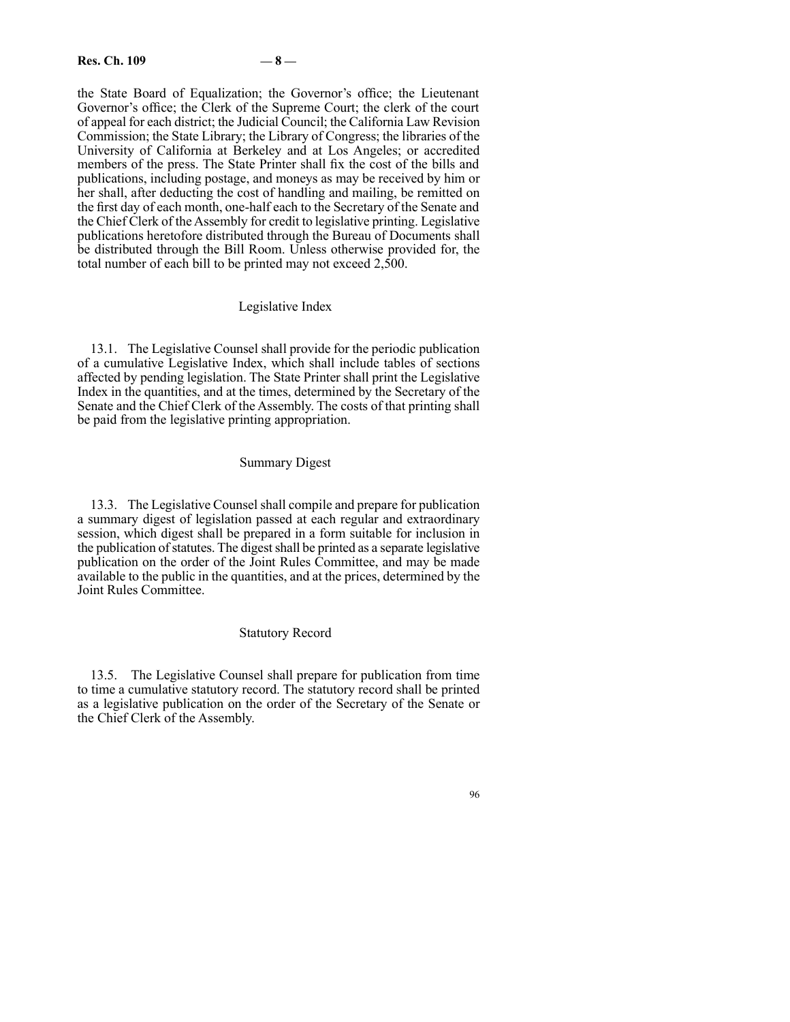the State Board of Equalization; the Governor's office; the Lieutenant Governor's office; the Clerk of the Supreme Court; the clerk of the court of appeal for each district; the Judicial Council; the California Law Revision Commission; the State Library; the Library of Congress; the libraries of the University of California at Berkeley and at Los Angeles; or accredited members of the press. The State Printer shall fix the cost of the bills and publications, including postage, and moneys as may be received by him or her shall, after deducting the cost of handling and mailing, be remitted on the first day of each month, one-half each to the Secretary of the Senate and the Chief Clerk of the Assembly for credit to legislative printing. Legislative publications heretofore distributed through the Bureau of Documents shall be distributed through the Bill Room. Unless otherwise provided for, the total number of each bill to be printed may not exceed 2,500. **Res. Ch. 109**  $-8 -$ <br>
the State Board of Equalization; the Governor's office; the Lietutennt<br>
Governor's office; the Clerk of the Supreme Court; the clerk of the court<br>
of appeal for each district, the Undicial Council; t the State Board of Equalization; the Governor's office; the Lieutenant<br>Governor's office; the Clerk of the Supreme Court, the clerk of the court<br>of appeal for each district; the Judicial Council; the California Law Revisio Res. Ch. 109  $-8-$ <br>the State Board of Equalization; the Governor's office; the Lieutenant<br>Governor's office; the Clerk of the Supreme Court; the clerk of the court<br>of appeal for each district; the Judicial Council; the Ca

# Legislative Index

13.1. The Legislative Counsel shall provide for the periodic publication of a cumulative Legislative Index, which shall include tables of sections Index in the quantities, and at the times, determined by the Secretary of the Senate and the Chief Clerk of the Assembly. The costs of that printing shall be paid from the legislative printing appropriation.

### Summary Digest

13.3. The Legislative Counsel shall compile and prepare for publication a summary digest of legislation passed at each regular and extraordinary session, which digest shall be prepared in a form suitable for inclusion in the publication of statutes. The digest shall be printed as a separate legislative publication on the order of the Joint Rules Committee, and may be made available to the public in the quantities, and at the prices, determined by the Joint Rules Committee.

### Statutory Record

13.5. The Legislative Counsel shall prepare for publication from time to time a cumulative statutory record. The statutory record shall be printed as a legislative publication on the order of the Secretary of the Senate or the Chief Clerk of the Assembly.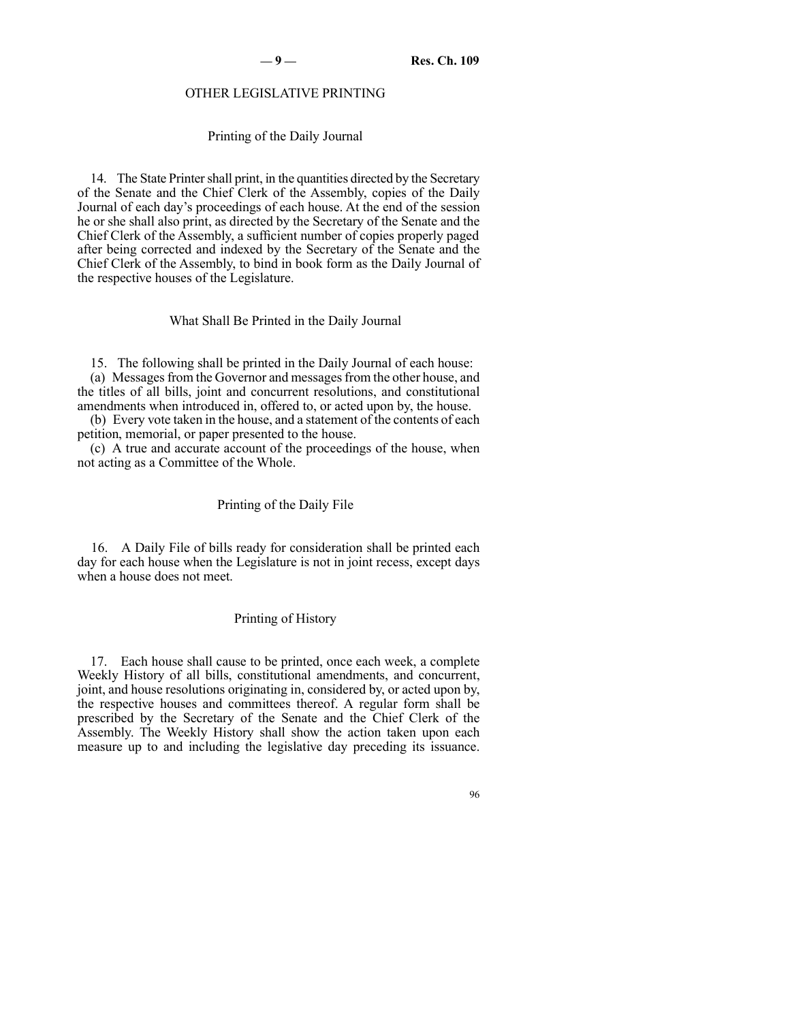# OTHER LEGISLATIVE PRINTING — 9 — Res. Ch. 109<br>
ISLATIVE PRINTING<br>
of the Daily Journal

### Printing of the Daily Journal

14. The State Printer shall print, in the quantities directed by the Secretary of the Senate and the Chief Clerk of the Assembly, copies of the Daily Journal of each day's proceedings of each house. At the end of the session he or she shall also print, as directed by the Secretary of the Senate and the Chief Clerk of the Assembly, a sufficient number of copies properly paged after being corrected and indexed by the Secretary of the Senate and the Chief Clerk of the Assembly, to bind in book form as the Daily Journal of the respective houses of the Legislature.

### What Shall Be Printed in the Daily Journal

15. The following shall be printed in the Daily Journal of each house: (a) Messages from the Governor and messages from the other house, and the titles of all bills, joint and concurrent resolutions, and constitutional amendments when introduced in, offered to, or acted upon by, the house.

(b) Every vote taken in the house, and a statement of the contents of each petition, memorial, or paper presented to the house.

(c) A true and accurate account of the proceedings of the house, when not acting as a Committee of the Whole.

### Printing of the Daily File

16. A Daily File of bills ready for consideration shall be printed each day for each house when the Legislature is not in joint recess, except days when a house does not meet.

## Printing of History

17. Each house shall cause to be printed, once each week, a complete Weekly History of all bills, constitutional amendments, and concurrent, joint, and house resolutions originating in, considered by, or acted upon by, the respective houses and committees thereof. A regular form shall be prescribed by the Secretary of the Senate and the Chief Clerk of the amendments when infraduced in, offered to, or acted upon by, the house.<br>
(b) Fory vote taken in the house, and a statement of the contents of each<br>
(c) A true and accurate account of the proceedings of the house, when<br>
(c) measure up to and including the legislative day preceding its issuance.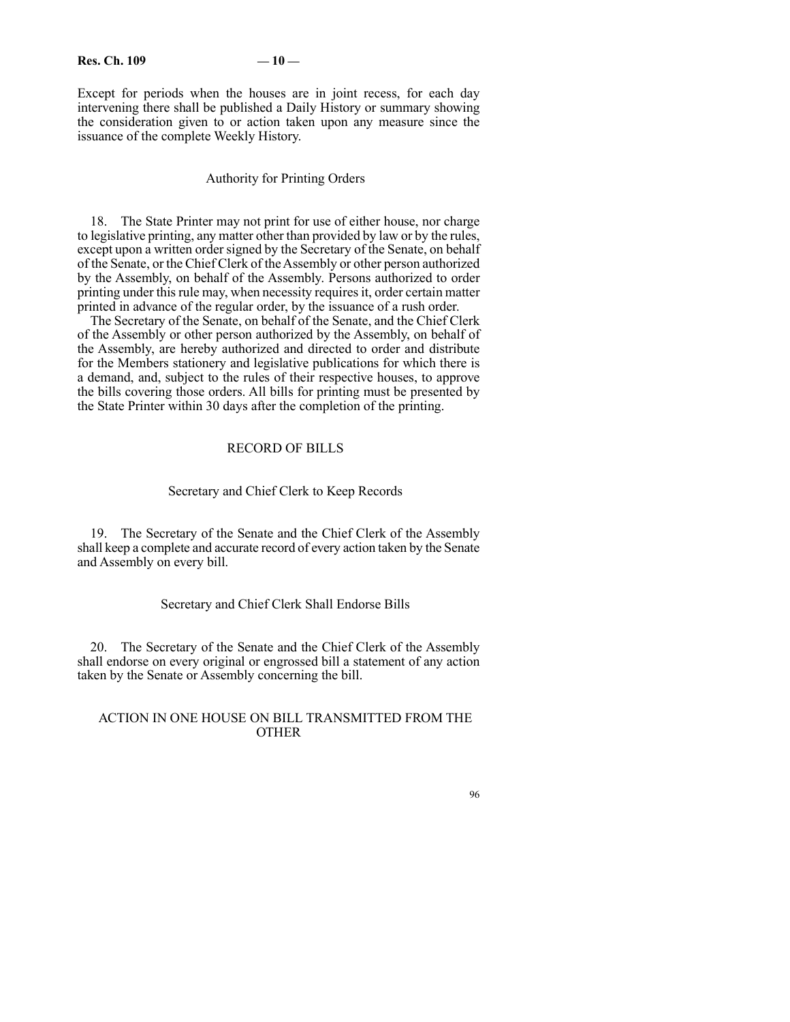Except for periods when the houses are in joint recess, for each day intervening there shall be published a Daily History or summary showing the consideration given to or action taken upon any measure since the issuance of the complete Weekly History. **Res. Ch. 109**  $-10-$ <br>Except for periods when the houses are in joint recess, for each day<br>intervening there shall be published a Daily History or summary showing<br>the consideration given to or action taken upon any measur

### Authority for Printing Orders

18. The State Printer may not print for use of either house, nor charge to legislative printing, any matter other than provided by law or by the rules, except upon a written order signed by the Secretary of the Senate, on behalf of the Senate, or the Chief Clerk of the Assembly or other person authorized by the Assembly, on behalf of the Assembly. Persons authorized to order printing under this rule may, when necessity requires it, order certain matter printed in advance of the regular order, by the issuance of a rush order.

The Secretary of the Senate, on behalf of the Senate, and the Chief Clerk of the Assembly or other person authorized by the Assembly, on behalf of **Res. Ch. 109**  $-10-$ <br>
Except for periods when the houses are in joint recess, for each day<br>
intervening there shall be published a Daily History or summary showing<br>
the consideration given to or action taken upon any mea for the Members stationery and legislative publications for which there is a demand, and, subject to the rules of their respective houses, to approve the bills covering those orders. All bills for printing must be presented by the State Printer within 30 days after the completion of the printing. to legislative printing, any matter other than provided by law or by the rules,<br>except upon a written order signed by the Scenetary of the Senate, on behalf<br>of the Senate, or the Chief Clerk of the Assembly or other person

### RECORD OF BILLS

### Secretary and Chief Clerk to Keep Records

19. The Secretary of the Senate and the Chief Clerk of the Assembly shall keep a complete and accurate record of every action taken by the Senate

## Secretary and Chief Clerk Shall Endorse Bills

20. The Secretary of the Senate and the Chief Clerk of the Assembly shall endorse on every original or engrossed bill a statement of any action taken by the Senate or Assembly concerning the bill. bills covering those orders. All bills for printing must be presented by<br>State Printer within 30 days after the completion of the printing.<br>
RECORD OF BILLS<br>
Secretary and Chief Clerk to Keep Records<br>
9. The Secretary of t

# OTHER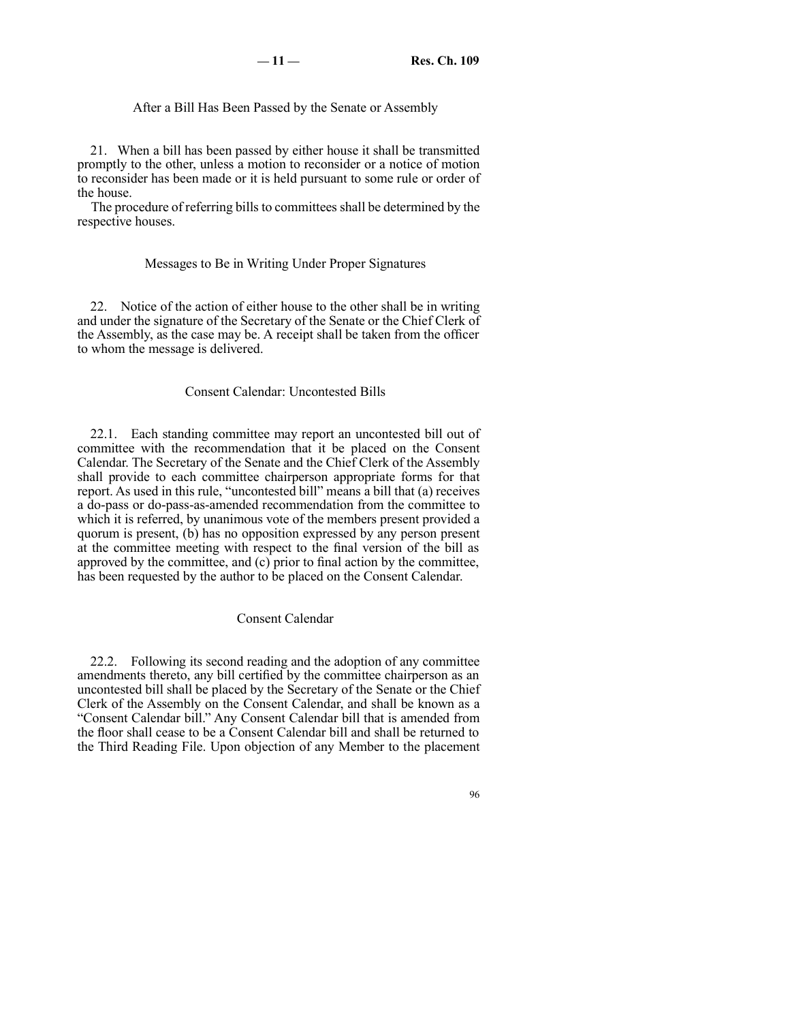### After a Bill Has Been Passed by the Senate or Assembly

21. When a bill has been passed by either house it shall be transmitted promptly to the other, unless a motion to reconsider or a notice of motion to reconsider has been made or it is held pursuant to some rule or order of the house.

The procedure of referring bills to committees shall be determined by the respective houses.

### Messages to Be in Writing Under Proper Signatures

22. Notice of the action of either house to the other shall be in writing and under the signature of the Secretary of the Senate or the Chief Clerk of The Assembly<br>
After a Bill Has Been Passed by the Senate or Assembly<br>
21. When a bill has been passed by either house it shall be transmitted<br>
promptly to the other, unless a motion to reconsider or a notice of motion<br>
to to whom the message is delivered.

# Consent Calendar: Uncontested Bills

22.1. Each standing committee may report an uncontested bill out of committee with the recommendation that it be placed on the Consent 21. When a bill has been passed by either house it shall be transmitted<br>promptly to the other, unless a motion to reconsider or a notice of motion<br>other ans been made or it is held pursuant to some rule or order of<br>the hou shall provide to each committee chairperson appropriate forms for that report. As used in this rule, "uncontested bill" means a bill that (a) receives promptly to the other, unless a motion to reconsider or a notice of motion<br>to reconsider has been made or it is held pursuant to some rule or order of<br>the house.<br>The procedure of referring bills to committees shall be det a do-pass or do-pass-as-amended recommendation from the committee to which it is referred, by unanimous vote of the members present provided a quorum is present, (b) has no opposition expressed by any person present at the committee meeting with respect to the final version of the bill as approved by the committee, and (c) prior to final action by the committee, has been requested by the author to be placed on the Consent Calendar. Consent Calendar: Uncontested Bills<br>
22.1. Fach standing committee may report an uncontested bill out of<br>
consentinte with the recommendation that it he placed on the Consent<br>
Calendar. The Secretary of the Senate and the 22.1. Each standing committee may report an uncontested bill out of committee with the recommendation that it be placed on the Consent Calendar. The Secretary of the Senate and the Chief Clerk of the Assembly shall provide

## Consent Calendar

22.2. Following its second reading and the adoption of any committee amendments thereto, any bill certified by the committee chairperson as an uncontested bill shall be placed by the Secretary of the Senate or the Chief Clerk of the Assembly on the Consent Calendar, and shall be known as a the floor shall cease to be a Consent Calendar bill and shall be returned to the Third Reading File. Upon objection of any Member to the placement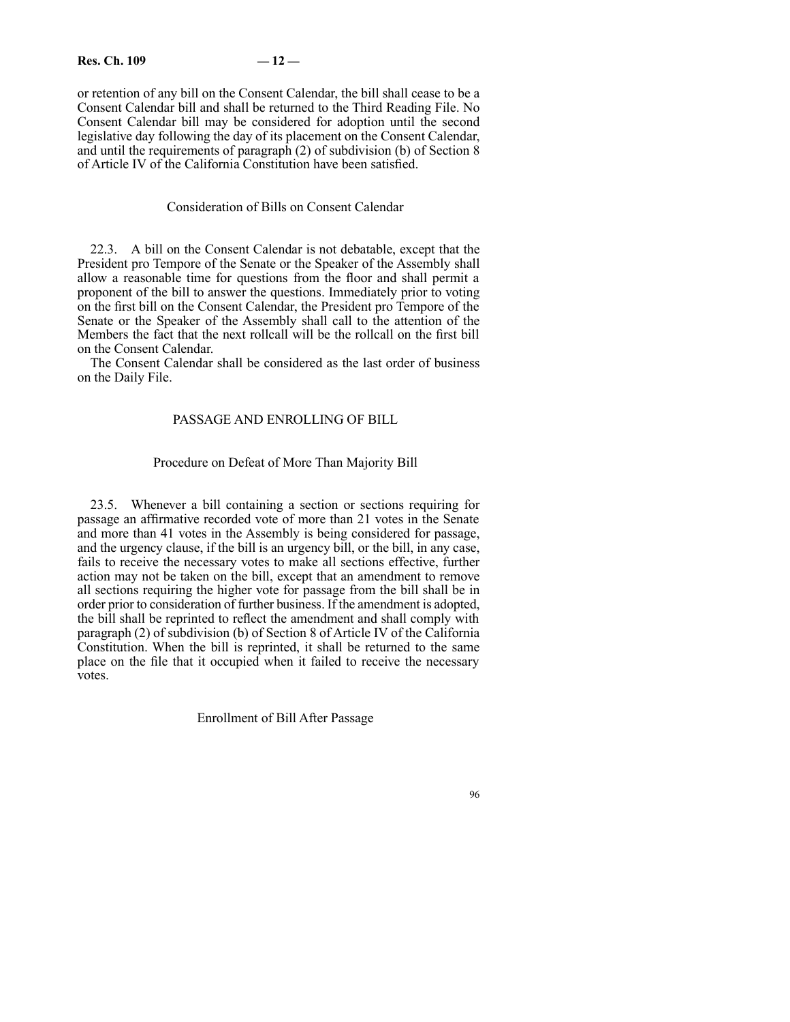or retention of any bill on the Consent Calendar, the bill shall cease to be a Consent Calendar bill and shall be returned to the Third Reading File. No Consent Calendar bill may be considered for adoption until the second legislative day following the day of its placement on the Consent Calendar, and until the requirements of paragraph (2) of subdivision (b) of Section 8 of Article IV of the California Constitution have been satisfied. **Res. Ch. 109**  $-12-$ <br>or retention of any bill on the Consent Calendar, the bill shall cease to be a<br>Consent Calendar bill and shall be returned to the Third Reading File. No<br>Consent Calendar bill may be considered for ad Res. Ch. 109 — 12 —<br>
or retention of any bill on the Consent Calendar, the bill shall cease to be a<br>
Consent Calendar bill and shall be returned to the Third Reading File. No<br>
Consent Calendar bill may be considered for ad

### Consideration of Bills on Consent Calendar

22.3. A bill on the Consent Calendar is not debatable, except that the President pro Tempore of the Senate or the Speaker of the Assembly shall allow a reasonable time for questions from the floor and shall permit a proponent of the bill to answer the questions. Immediately prior to voting on the first bill on the Consent Calendar, the President pro Tempore of the Senate or the Speaker of the Assembly shall call to the attention of the Members the fact that the next rollcall will be the rollcall on the first bill on the Consent Calendar. bill on the Consent Calendar, the bill shall cease to be a<br>bill and shall be returned to the Third Reading File. No<br>bill and shall be returned to the Third Reading File. No<br>lowing the day of its placement on the Consent Ca

The Consent Calendar shall be considered as the last order of business on the Daily File.

### Procedure on Defeat of More Than Majority Bill

23.5. Whenever a bill containing a section or sections requiring for passage an affirmative recorded vote of more than 21 votes in the Senate and more than 41 votes in the Assembly is being considered for passage, and the urgency clause, if the bill is an urgency bill, or the bill, in any case, fails to receive the necessary votes to make all sections effective, further action may not be taken on the bill, except that an amendment to remove all sections requiring the higher vote for passage from the bill shall be in order prior to consideration of further business. If the amendment is adopted, the bill shall be reprinted to reflect the amendment and shall comply with paragraph (2) of subdivision (b) of Section 8 of Article IV of the California Senate or the Speaker of the Assembly shall call to the attention of the Members the fact that the next rolleall will be the rolleall on the first bill<br>on the Consent Calendar.<br>The Consent Calendar shall be considered as place on the file that it occupied when it failed to receive the necessary votes.

Enrollment of Bill After Passage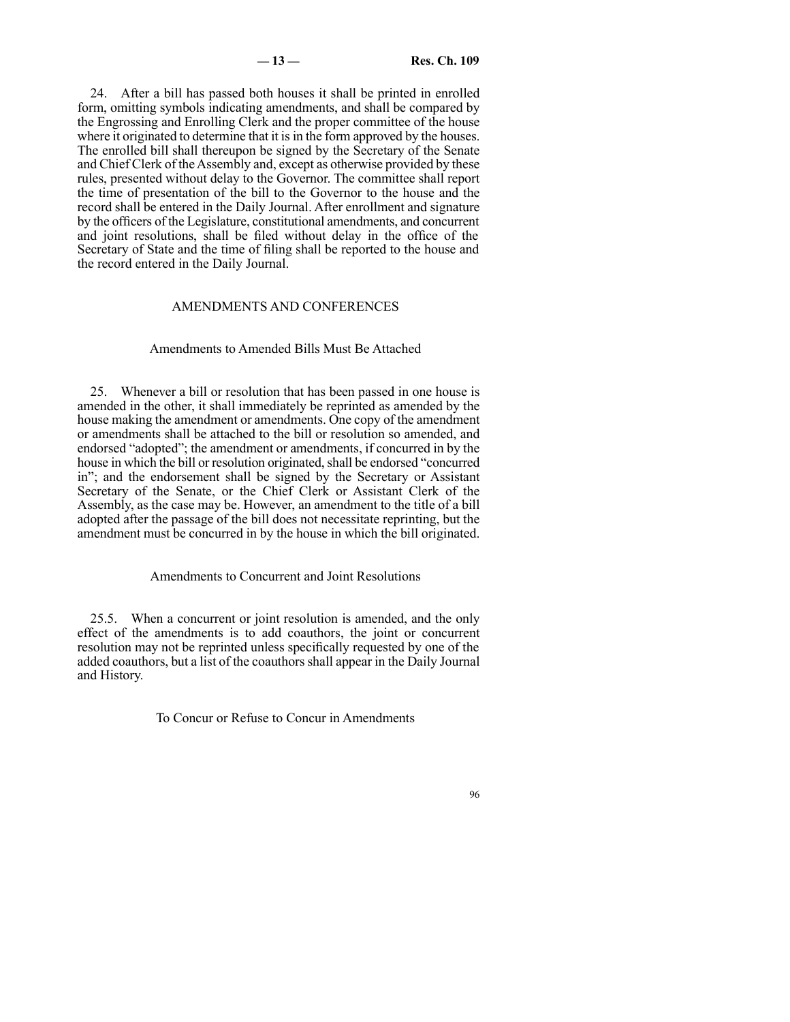24. After a bill has passed both houses it shall be printed in enrolled form, omitting symbols indicating amendments, and shall be compared by the Engrossing and Enrolling Clerk and the proper committee of the house where it originated to determine that it is in the form approved by the houses. The enrolled bill shall thereupon be signed by the Secretary of the Senate and Chief Clerk of the Assembly and, except as otherwise provided by these  $-13 -$ <br> **Pack** After a bill has passed both houses it shall be printed in enrolled<br>
form, omitting symbols indicating amendments, and shall be compared by<br>
the Engrossing and Enrolling Clerk and the proper committee of th the time of presentation of the bill to the Governor to the house and the record shall be entered in the Daily Journal. After enrollment and signature by the officers of the Legislature, constitutional amendments, and concurrent and joint resolutions, shall be filed without delay in the office of the Secretary of State and the time of filing shall be reported to the house and the record entered in the Daily Journal. **Example 13** – **Res. Ch. 109**<br>**Res. Ch. 109**<br>**Res. Ch. 109**<br>**Res. Ch. 109**<br>**Rese. 2016**<br>**Rese. And the proper connuities of the bouse did notel<br>Finally Clerk and the proper connuities of the bouses.<br>Shall thereupon is sign** -13 - Res. Ch. 109<br>
oth houses it shall be printed in enrolled<br>
g amendments, and shall be compared by<br>
rk and the proper committee of the house<br>
at it is in the form approved by the houses.

### Amendments to Amended Bills Must Be Attached

25. Whenever a bill or resolution that has been passed in one house is amended in the other, it shall immediately be reprinted as amended by the house making the amendment or amendments. One copy of the amendment or amendments shall be attached to the bill or resolution so amended, and endorsed "adopted"; the amendment or amendments, if concurred in by the house in which the bill or resolution originated, shall be endorsed "concurred in"; and the endorsement shall be signed by the Secretary or Assistant Secretary of the Senate, or the Chief Clerk or Assistant Clerk of the Assembly, as the case may be. However, an amendment to the title of a bill adopted after the passage of the bill does not necessitate reprinting, but the amendment must be concurred in by the house in which the bill originated.

### Amendments to Concurrent and Joint Resolutions

25.5. When a concurrent or joint resolution is amended, and the only effect of the amendments is to add coauthors, the joint or concurrent resolution may not be reprinted unless specifically requested by one of the added coauthors, but a list of the coauthors shall appear in the Daily Journal and History.

To Concur or Refuse to Concur in Amendments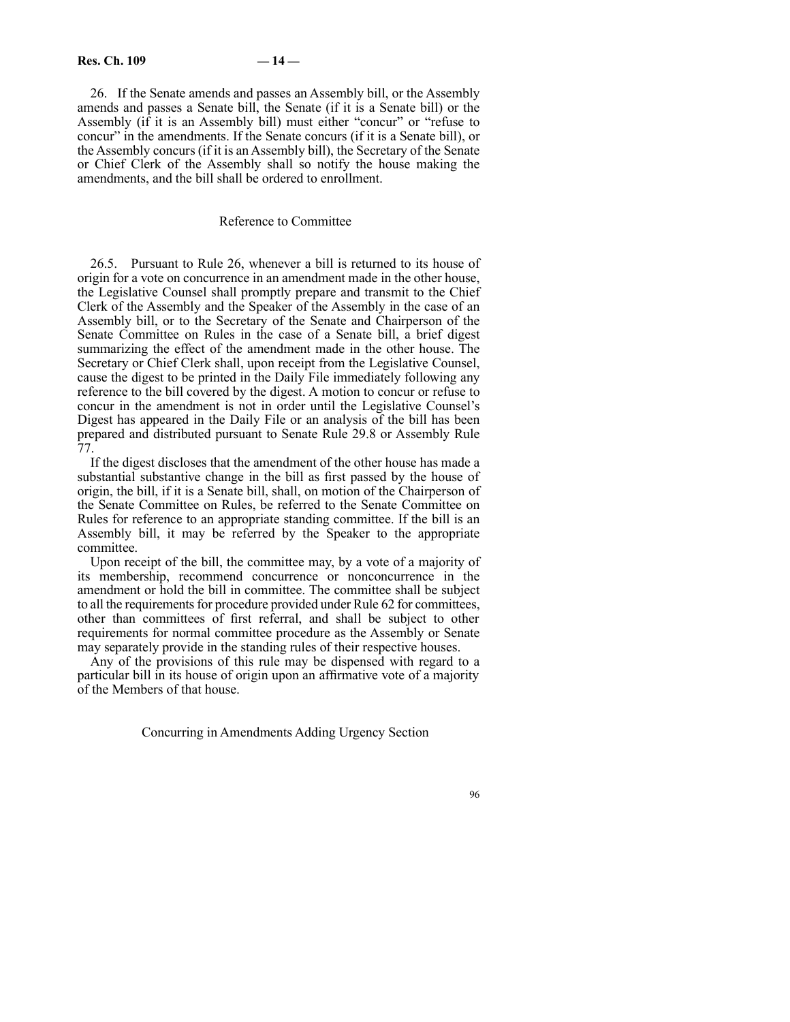26. If the Senate amends and passes an Assembly bill, or the Assembly amends and passes a Senate bill, the Senate (if it is a Senate bill) or the Assembly (if it is an Assembly bill) must either "concur" or "refuse to concur" in the amendments. If the Senate concurs (if it is a Senate bill), or the Assembly concurs (if it is an Assembly bill), the Secretary of the Senate **Res. Ch. 109**  $-14-$ <br>26. If the Senate amends and passes an Assembly bill, or the Assembly<br>amends and passes a Senate bill, the Senate (if it is a Senate bill) or the<br>Assembly (if it is an Assembly bill) must either "con or Chief Clerk of the Assembly shall so notify the house making the amendments, and the bill shall be ordered to enrollment. **Example 14** —<br> **Res. Ch. 109** — 14 —<br>
26. If the Senate amends and passes an Assembly bill, or the Assembly<br>
amends and passes a Senate bill, the Senate (if it is a Senate bill) or the<br>
Assembly (if it is an Assembly bill

### Reference to Committee

26.5. Pursuant to Rule 26, whenever a bill is returned to its house of origin for a vote on concurrence in an amendment made in the other house, the Legislative Counsel shall promptly prepare and transmit to the Chief Clerk of the Assembly and the Speaker of the Assembly in the case of an Assembly bill, or to the Secretary of the Senate and Chairperson of the Senate Committee on Rules in the case of a Senate bill, a brief digest summarizing the effect of the amendment made in the other house. The Secretary or Chief Clerk shall, upon receipt from the Legislative Counsel, cause the digest to be printed in the Daily File immediately following any reference to the bill covered by the digest. A motion to concur or refuse to concur in the amendment is not in order until the Legislative Counsel's Digest has appeared in the Daily File or an analysis of the bill has been prepared and distributed pursuant to Senate Rule 29.8 or Assembly Rule 77.

If the digest discloses that the amendment of the other house has made a substantial substantive change in the bill as first passed by the house of origin, the bill, if it is a Senate bill, shall, on motion of the Chairperson of the Senate Committee on Rules, be referred to the Senate Committee on Rules for reference to an appropriate standing committee. If the bill is an Assembly bill, it may be referred by the Speaker to the appropriate committee.

Upon receipt of the bill, the committee may, by a vote of a majority of its membership, recommend concurrence or nonconcurrence in the amendment or hold the bill in committee. The committee shall be subject to all the requirements for procedure provided under Rule 62 for committees, other than committees of first referral, and shall be subject to other requirements for normal committee procedure as the Assembly or Senate may separately provide in the standing rules of their respective houses. a memodment is intin order until the Legislative Counsel's<br>engraced in the Daily File or an analysis of the bill has been<br>distributed pursuant to Senate Rule 29.8 or Assembly Rule<br>st discloses that the amendment of the oth

Any of the provisions of this rule may be dispensed with regard to a particular bill in its house of origin upon an affirmative vote of a majority of the Members of that house.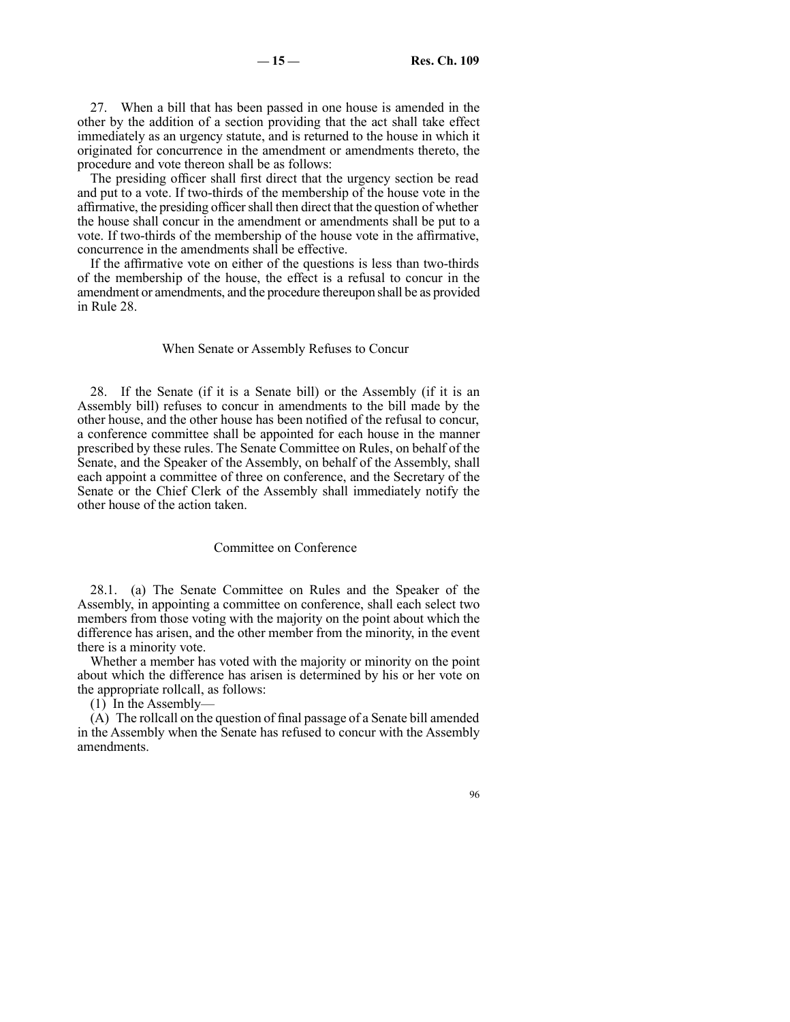27. When a bill that has been passed in one house is amended in the other by the addition of a section providing that the act shall take effect immediately as an urgency statute, and is returned to the house in which it originated for concurrence in the amendment or amendments thereto, the procedure and vote thereon shall be as follows: -15 - Res. Ch. 109<br>
n passed in one house is amended in the<br>
n providing that the act shall take effect<br>
e, and is returned to the house in which it

The presiding officer shall first direct that the urgency section be read and put to a vote. If two-thirds of the membership of the house vote in the affirmative, the presiding officer shall then direct that the question of whether the house shall concur in the amendment or amendments shall be put to a vote. If two-thirds of the membership of the house vote in the affirmative, concurrence in the amendments shall be effective.

If the affirmative vote on either of the questions is less than two-thirds of the membership of the house, the effect is a refusal to concur in the amendment or amendments, and the procedure thereupon shall be as provided in Rule 28.

### When Senate or Assembly Refuses to Concur

28. If the Senate (if it is a Senate bill) or the Assembly (if it is an Assembly bill) refuses to concur in amendments to the bill made by the other house, and the other house has been notified of the refusal to concur, a conference committee shall be appointed for each house in the manner prescribed by these rules. The Senate Committee on Rules, on behalf of the Senate, and the Speaker of the Assembly, on behalf of the Assembly, shall each appoint a committee of three on conference, and the Secretary of the Senate or the Chief Clerk of the Assembly shall immediately notify the other house of the action taken.

### Committee on Conference

28.1. (a) The Senate Committee on Rules and the Speaker of the Assembly, in appointing a committee on conference, shall each select two members from those voting with the majority on the point about which the difference has arisen, and the other member from the minority, in the event there is a minority vote.

Whether a member has voted with the majority or minority on the point about which the difference has arisen is determined by his or her vote on the appropriate rollcall, as follows:

(1) In the Assembly—

(A) The rollcall on the question of final passage of a Senate bill amended in the Assembly when the Senate has refused to concur with the Assembly amendments.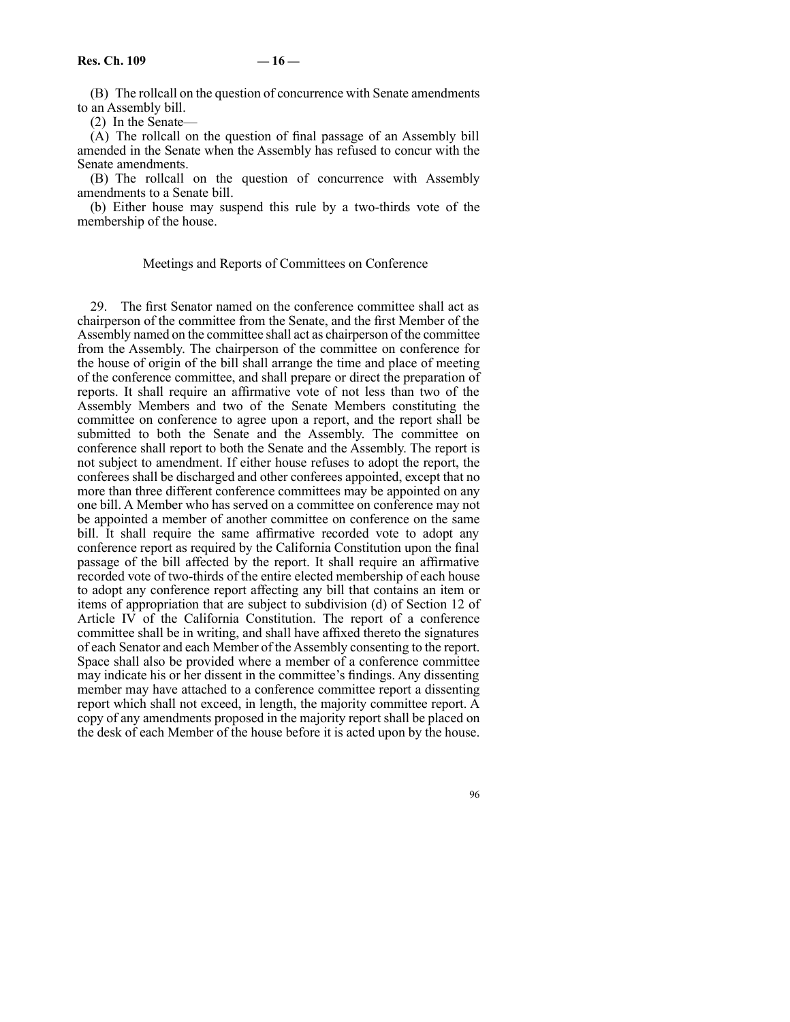(B) The rollcall on the question of concurrence with Senate amendments to an Assembly bill. **Res. Ch. 109**  $-16$  —<br>
(B) The rollcall on the question of concurrence with Senate amendments<br>
to an Assembly bill.<br>
(2) In the Senate—<br>
(A) The rollcall on the question of final passage of an Assembly bill

(2) In the Senate—

(A) The rollcall on the question of final passage of an Assembly bill amended in the Senate when the Assembly has refused to concur with the Senate amendments.

(B) The rollcall on the question of concurrence with Assembly amendments to a Senate bill.

(b) Either house may suspend this rule by a two-thirds vote of the membership of the house.

### Meetings and Reports of Committees on Conference

29. The first Senator named on the conference committee shall act as chairperson of the committee from the Senate, and the first Member of the Assembly named on the committee shall act as chairperson of the committee **From the Assembly.** The rollcall on the question of concurrence with Scnate amendments<br>
to an Assembly bill.<br>
(2) In the Scnate—<br>
(3) In the Scnate—<br>
(2) In the Scnate when the question of final passage of an Assembly bi the house of origin of the bill shall arrange the time and place of meeting of the conference committee, and shall prepare or direct the preparation of reports. It shall require an affirmative vote of not less than two of the Assembly Members and two of the Senate Members constituting the committee on conference to agree upon a report, and the report shall be submitted to both the Senate and the Assembly. The committee on to an Assembly bill<br>
(2) In the Senate<br>
(2) The rolleal on the question of final passage of an Assembly bill<br>
(2) The rolleal on the question of concurrence with Assembly<br>
Scatte amendments to a Senate bill.<br>
(1) The rolle (2) In the Senate<br>
incomented in the Senate both the Assembly bas refused to concur with the Senate annealments<br>
small can the question of concurrence with Assembly<br>
Senate annealments to a Senate bill.<br>
(b) littler to bo not subject to amendment. If either house refuses to adopt the report, the conferees shall be discharged and other conferees appointed, except that no more than three different conference committees may be appointed on any one bill. A Member who has served on a committee on conference may not be appointed a member of another committee on conference on the same bill. It shall require the same affirmative recorded vote to adopt any conference report as required by the California Constitution upon the final passage of the bill affected by the report. It shall require an affirmative recorded vote of two-thirds of the entire elected membership of each house to adopt any conference report affecting any bill that contains an item or items of appropriation that are subject to subdivision (d) of Section 12 of Article IV of the California Constitution. The report of a conference committee shall be in writing, and shall have affixed thereto the signatures of each Senator and each Member of the Assembly consenting to the report. Space shall also be provided where a member of a conference committee may indicate his or her dissent in the committee's findings. Any dissenting member may have attached to a conference committee report a dissenting report which shall not exceed, in length, the majority committee report. A copy of any amendments proposed in the majority report shall be placed on the desk of each Member of the house before it is acted upon by the house.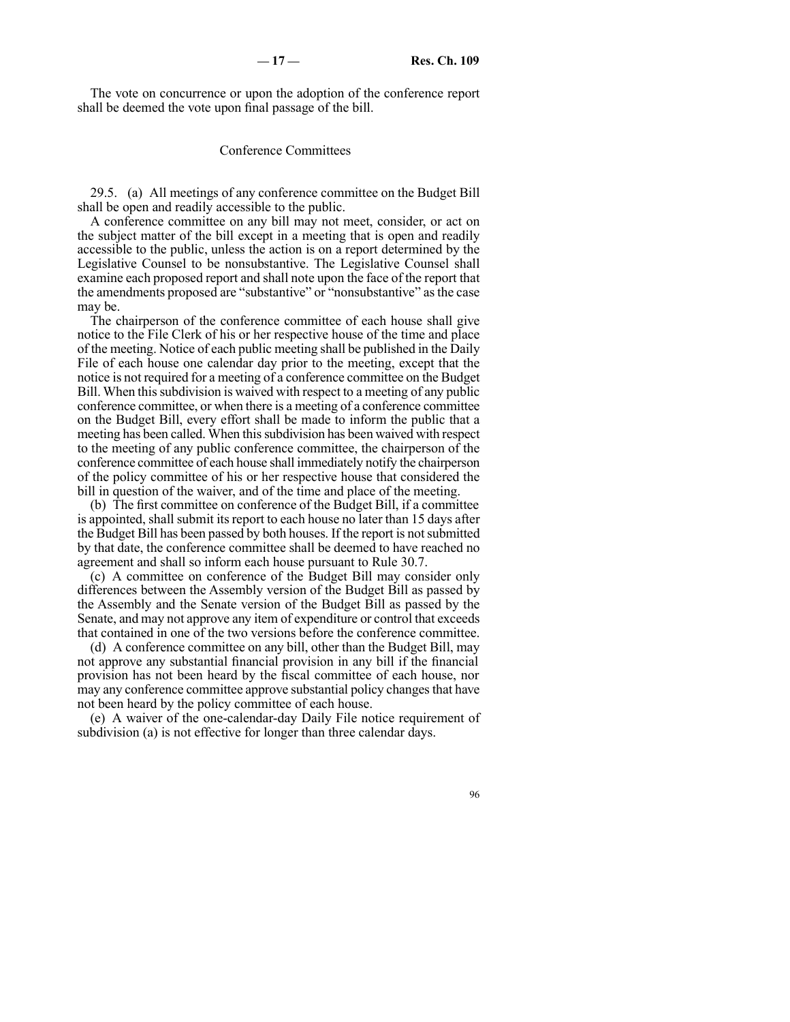The vote on concurrence or upon the adoption of the conference report shall be deemed the vote upon final passage of the bill. -17 - Res. Ch. 109<br>
oon the adoption of the conference report<br>
al passage of the bill.

### Conference Committees

29.5. (a) All meetings of any conference committee on the Budget Bill shall be open and readily accessible to the public.

A conference committee on any bill may not meet, consider, or act on the subject matter of the bill except in a meeting that is open and readily accessible to the public, unless the action is on a report determined by the  $-17$ — Res. Ch. 109<br>The vote on concurrence or upon the adoption of the conference report<br>shall be decmed the vote upon final passage of the bill.<br>Conference Committees<br>29.5. (a) All meetings of any conference committee o examine each proposed report and shall note upon the face of the report that the amendments proposed are "substantive" or "nonsubstantive" as the case may be.

The chairperson of the conference committee of each house shall give notice to the File Clerk of his or her respective house of the time and place of the meeting. Notice of each public meeting shall be published in the Daily File of each house one calendar day prior to the meeting, except that the notice is not required for a meeting of a conference committee on the Budget  $-17$ — Res. Ch. 109<br>The vote on concurrence or upon the adoption of the conference report<br>shall be decread the vote upon final passage of the bill.<br>Conference Committee on the Budget Bill<br>Ashall be open and readily access conference committee, or when there is a meeting of a conference committee on the Budget Bill, every effort shall be made to inform the public that a meeting has been called. When this subdivision has been waived with respect to the meeting of any public conference committee, the chairperson of the conference committee of each house shall immediately notify the chairperson of the policy committee of his or her respective house that considered the bill in question of the waiver, and of the time and place of the meeting. examine each proposed report and shall note upon the face of the report that<br>the amadematics proposed are "substantive" or "nonsubstantive" as the case<br>may be.<br>The charge more committee of the conference committee of each

(b) The first committee on conference of the Budget Bill, if a committee is appointed, shall submit its report to each house no later than 15 days after the Budget Bill has been passed by both houses. If the report is not submitted by that date, the conference committee shall be deemed to have reached no agreement and shall so inform each house pursuant to Rule 30.7.

(c) A committee on conference of the Budget Bill may consider only differences between the Assembly version of the Budget Bill as passed by Senate, and may not approve any item of expenditure or control that exceeds that contained in one of the two versions before the conference committee.

(d) A conference committee on any bill, other than the Budget Bill, may not approve any substantial financial provision in any bill if the financial provision has not been heard by the fiscal committee of each house, nor may any conference committee approve substantial policy changes that have not been heard by the policy committee of each house.

(e) A waiver of the one-calendar-day Daily File notice requirement of subdivision (a) is not effective for longer than three calendar days.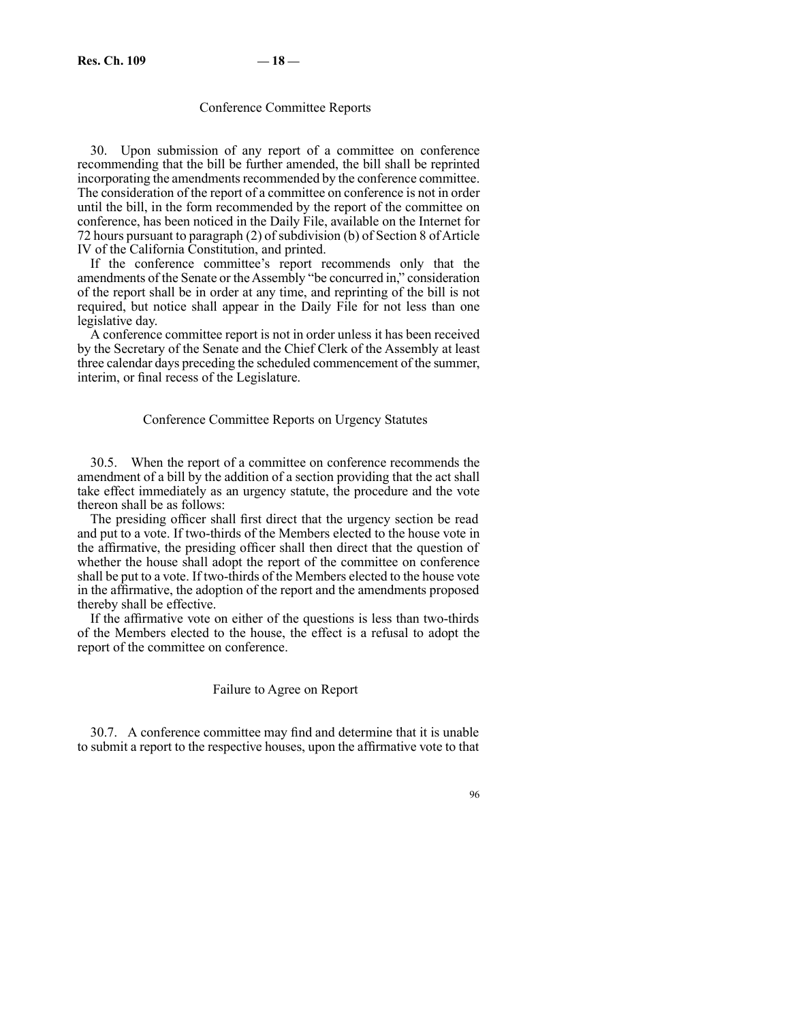# Conference Committee Reports Res. Ch. 109  $-18-$ <br>Conference Committee Reports

30. Upon submission of any report of a committee on conference recommending that the bill be further amended, the bill shall be reprinted incorporating the amendments recommended by the conference committee. The consideration of the report of a committee on conference is not in order until the bill, in the form recommended by the report of the committee on conference, has been noticed in the Daily File, available on the Internet for 72 hours pursuant to paragraph (2) of subdivision (b) of Section 8 of Article IV of the California Constitution, and printed.

If the conference committee's report recommends only that the amendments of the Senate or the Assembly "be concurred in," consideration of the report shall be in order at any time, and reprinting of the bill is not required, but notice shall appear in the Daily File for not less than one legislative day.

A conference committee report is not in order unless it has been received by the Secretary of the Senate and the Chief Clerk of the Assembly at least three calendar days preceding the scheduled commencement of the summer, interim, or final recess of the Legislature.

### Conference Committee Reports on Urgency Statutes

30.5. When the report of a committee on conference recommends the amendment of a bill by the addition of a section providing that the act shall take effect immediately as an urgency statute, the procedure and the vote thereon shall be as follows:

The presiding officer shall first direct that the urgency section be read and put to a vote. If two-thirds of the Members elected to the house vote in the affirmative, the presiding officer shall then direct that the question of whether the house shall adopt the report of the committee on conference shall be put to a vote. If two-thirds of the Members elected to the house vote in the affirmative, the adoption of the report and the amendments proposed thereby shall be effective.

If the affirmative vote on either of the questions is less than two-thirds of the Members elected to the house, the effect is a refusal to adopt the report of the committee on conference.

### Failure to Agree on Report

30.7. A conference committee may find and determine that it is unable to submit a report to the respective houses, upon the affirmative vote to that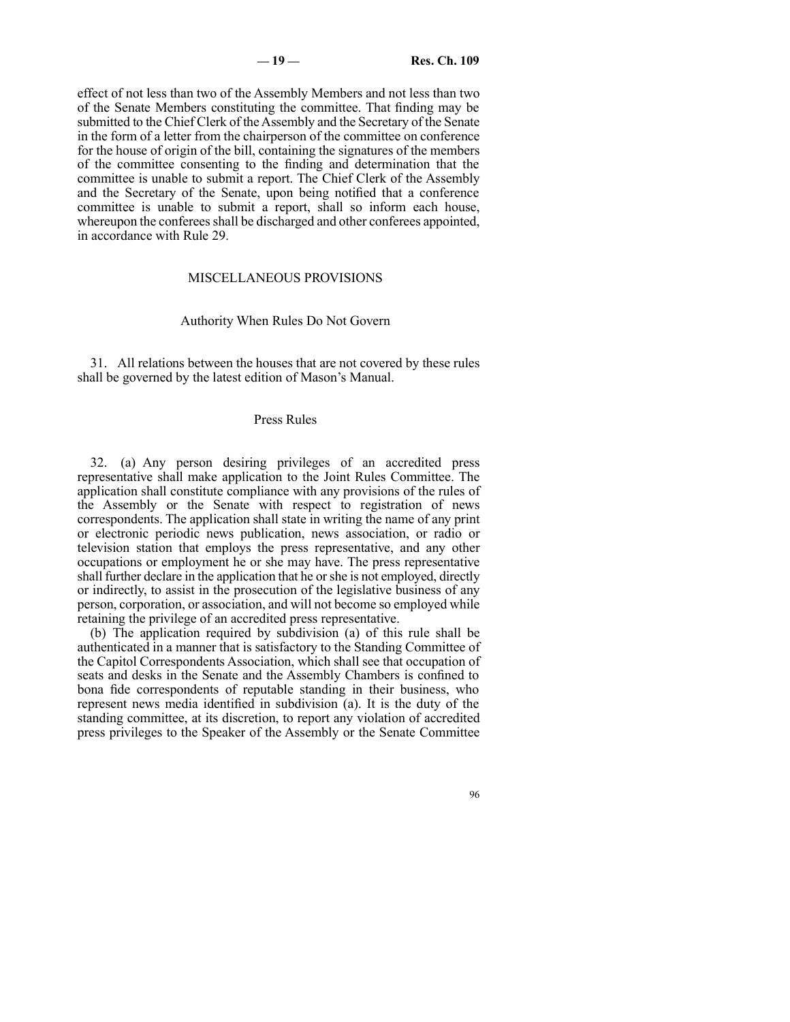effect of not less than two of the Assembly Members and not less than two of the Senate Members constituting the committee. That finding may be submitted to the Chief Clerk of the Assembly and the Secretary of the Senate in the form of a letter from the chairperson of the committee on conference for the house of origin of the bill, containing the signatures of the members of the committee consenting to the finding and determination that the committee is unable to submit a report. The Chief Clerk of the Assembly and the Secretary of the Senate, upon being notified that a conference committee is unable to submit a report, shall so inform each house, whereupon the conferees shall be discharged and other conferees appointed, in accordance with Rule 29.  $-19 -$ <br> **Res. Ch. 109**<br> **Res. Ch. 109**<br> **Res. Ch. 109**<br> **Res.** constituting the committee. That finding may be<br>
deficicle of the Assembly and the Secretary of the Senate<br>
er from the chainespear of the committee on confer -19 - Res. Ch. 109<br>Assembly Members and not less than two<br>ing the committee. That finding may be<br>Assembly and the Secretary of the Senate<br>airperson of the committee on conference

# MISCELLANEOUS PROVISIONS

31. All relations between the houses that are not covered by these rules shall be governed by the latest edition of Mason's Manual.

# Press Rules

32. (a) Any person desiring privileges of an accredited press representative shall make application to the Joint Rules Committee. The application shall constitute compliance with any provisions of the rules of committee is unable to submin a report. The Chief Clerk of the Assembly<br>and the Secretary of the Senate, upon being notified that a conference<br>committee is unable to submit a report, shall so inform each house,<br>whereupon t and the Sceretary of the Senate, upon being notified that a conference<br>committee is unable to submit a report, shall so inform each house,<br>whereupon the conferees shall be diseharged and other conferees appointed,<br>in accor or electronic periodic news publication, news association, or radio or television station that employs the press representative, and any other in accordance with Rule 29.<br>
MISCELLANEOUS PROVISIONS<br>
Authority When Rules Do Not Govern<br>
21. All relations between the houses that are not covered by these rules<br>
shall be governed by the latest clition of Mason's Manua shall further declare in the application that he or she is not employed, directly or indirectly, to assist in the prosecution of the legislative business of any person, corporation, or association, and will not become so employed while retaining the privilege of an accredited press representative.

(b) The application required by subdivision (a) of this rule shall be authenticated in a manner that is satisfactory to the Standing Committee of the Capitol Correspondents Association, which shall see that occupation of seats and desks in the Senate and the Assembly Chambers is confined to bona fide correspondents of reputable standing in their business, who represent news media identified in subdivision (a). It is the duty of the standing committee, at its discretion, to report any violation of accredited press privileges to the Speaker of the Assembly or the Senate Committee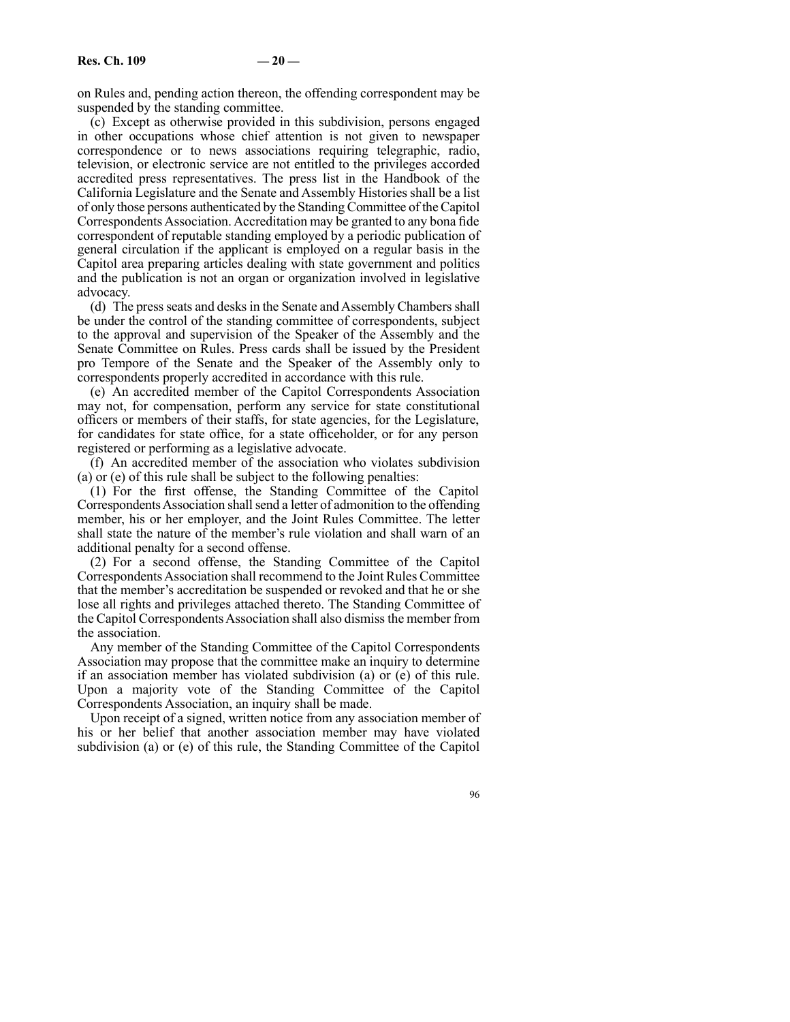on Rules and, pending action thereon, the offending correspondent may be suspended by the standing committee.

(c) Except as otherwise provided in this subdivision, persons engaged in other occupations whose chief attention is not given to newspaper correspondence or to news associations requiring telegraphic, radio, television, or electronic service are not entitled to the privileges accorded **Res. Ch. 109**  $-20 -$ <br>on Rules and, pending action thereon, the offending correspondent may be suspended by the standing committee.<br>(c) Except as otherwise provided in this subdivision, persons engaged<br>in other occupation California Legislature and the Senate and Assembly Histories shall be a list of only those persons authenticated by the Standing Committee of the Capitol **Res. Ch. 109**  $-20-$ <br>
on Rules and, pending action thereon, the offending correspondent may be<br>
suspended by the standing committee.<br>
(c) Except as otherwise provided in this subdivision, persons engaged<br>
in other occupa correspondent of reputable standing employed by a periodic publication of general circulation if the applicant is employed on a regular basis in the Capitol area preparing articles dealing with state government and politics and the publication is not an organ or organization involved in legislative advocacy. **Res. Ch. 109**  $-20 -$ <br> **Proprimerior**  $-20 -$ <br> **Suspended** by the standing commission: the offerding correspondent may be<br>
suspended by the standing committed:<br>
(c) Except as otherwise provided in this subdivision, persons Res. Ch. 109  $-20-$ <br>on Rules and, pending action thereon, the offending correspondent may be<br>suspended by the standing committee.<br>(c) Except as otherwise provided in this subdivision, persons engaged<br>in other occupations

(d) The press seats and desks in the Senate and Assembly Chambers shall be under the control of the standing committee of correspondents, subject to the approval and supervision of the Speaker of the Assembly and the Senate Committee on Rules. Press cards shall be issued by the President correspondents properly accredited in accordance with this rule.

(e) An accredited member of the Capitol Correspondents Association may not, for compensation, perform any service for state constitutional officers or members of their staffs, for state agencies, for the Legislature, for candidates for state office, for a state officeholder, or for any person registered or performing as a legislative advocate.

(f) An accredited member of the association who violates subdivision (a) or (e) of this rule shall be subject to the following penalties:

(1) For the first offense, the Standing Committee of the Capitol Correspondents Association shall send a letter of admonition to the offending member, his or her employer, and the Joint Rules Committee. The letter shall state the nature of the member's rule violation and shall warn of an additional penalty for a second offense.

(2) For a second offense, the Standing Committee of the Capitol goneral ricrudinon if the applicant is employed on a regular basis in the Capitol accaly correspondents and the problem samely with static government and politics data the bounder of the standing committee of correspondent that the member's accreditation be suspended or revoked and that he or she lose all rights and privileges attached thereto. The Standing Committee of the Capitol Correspondents Association shall also dismiss the member from the association. correspondents properly accredited in accordance with this rule.<br>
(c) An accredited member of the Capitol Correspondents Association<br>
may not, for compensation, perform any service for state aconstitutional<br>
officers or m

Any member of the Standing Committee of the Capitol Correspondents Association may propose that the committee make an inquiry to determine if an association member has violated subdivision (a) or (e) of this rule. Upon a majority vote of the Standing Committee of the Capitol Correspondents Association, an inquiry shall be made.

Upon receipt of a signed, written notice from any association member of his or her belief that another association member may have violated subdivision (a) or (e) of this rule, the Standing Committee of the Capitol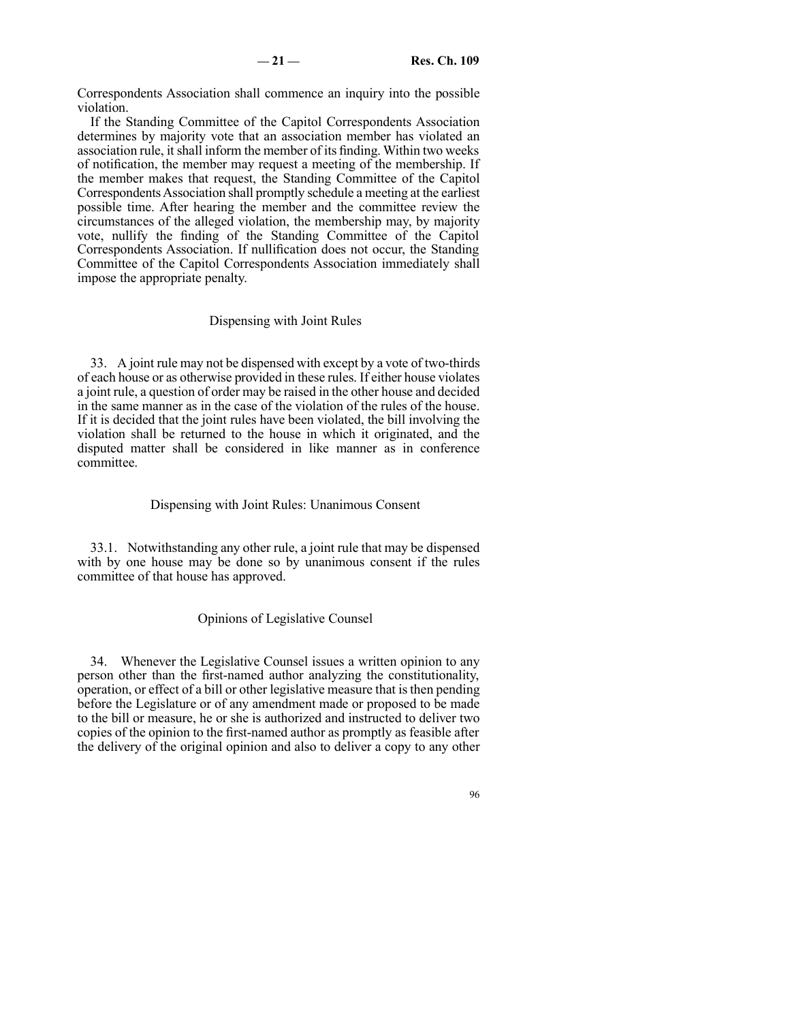violation.

 $-21 -$ <br>
Res. Ch. 109<br>
Correspondents Association shall commence an inquiry into the possible<br>
violation.<br>
If the Standing Committee of the Capitol Correspondents Association<br>
determines by majority vote that an associatio If the Standing Committee of the Capitol Correspondents Association determines by majority vote that an association member has violated an association rule, it shall inform the member of its finding. Within two weeks of notification, the member may request a meeting of the membership. If the member makes that request, the Standing Committee of the Capitol  $-21 -$ <br>
Res. Ch. 109<br>
Correspondents Association shall commence an inquiry into the possible<br>
violation.<br>
If the Standing Committee of the Capitol Correspondents Association<br>
determines by majority vote that an associatio possible time. After hearing the member and the committee review the circumstances of the alleged violation, the membership may, by majority vote, nullify the finding of the Standing Committee of the Capitol Correspondents Association. If nullification does not occur, the Standing Committee of the Capitol Correspondents Association immediately shall impose the appropriate penalty. -21 - Res. Ch. 109<br>
l commence an inquiry into the possible<br>
the Capitol Correspondents Association<br>
an association member has violated an

### Dispensing with Joint Rules

33. A joint rule may not be dispensed with except by a vote of two-thirds of each house or as otherwise provided in these rules. If either house violates a joint rule, a question of order may be raised in the other house and decided in the same manner as in the case of the violation of the rules of the house. If it is decided that the joint rules have been violated, the bill involving the violation shall be returned to the house in which it originated, and the disputed matter shall be considered in like manner as in conference committee.

### Dispensing with Joint Rules: Unanimous Consent

33.1. Notwithstanding any other rule, a joint rule that may be dispensed with by one house may be done so by unanimous consent if the rules committee of that house has approved.

### Opinions of Legislative Counsel

34. Whenever the Legislative Counsel issues a written opinion to any person other than the first-named author analyzing the constitutionality, operation, or effect of a bill or other legislative measure that is then pending before the Legislature or of any amendment made or proposed to be made to the bill or measure, he or she is authorized and instructed to deliver two copies of the opinion to the first-named author as promptly as feasible after the delivery of the original opinion and also to deliver a copy to any other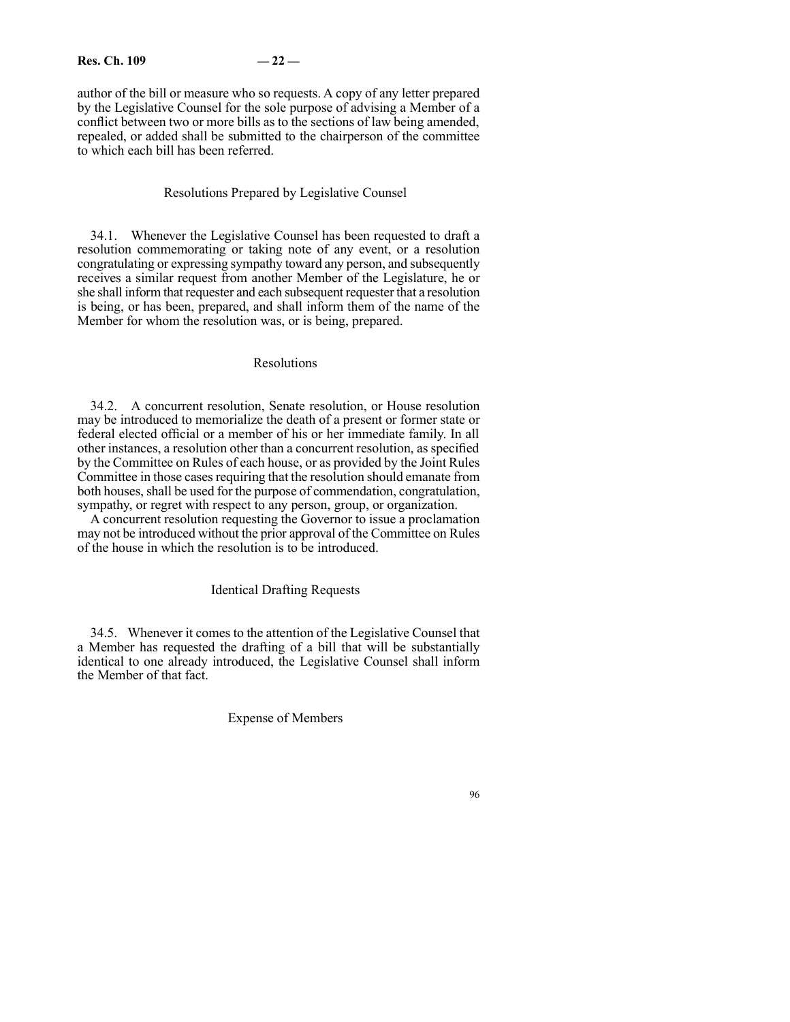author of the bill or measure who so requests. A copy of any letter prepared by the Legislative Counsel for the sole purpose of advising a Member of a conflict between two or more bills as to the sections of law being amended, repealed, or added shall be submitted to the chairperson of the committee to which each bill has been referred. Res. Ch. 109  $-22$  —<br>author of the bill or measure who so requests. A copy of any letter prepared<br>by the Legislative Counsel for the sole purpose of advising a Member of a<br>conflict between two or more bills as to the sect

## Resolutions Prepared by Legislative Counsel

34.1. Whenever the Legislative Counsel has been requested to draft a resolution commemorating or taking note of any event, or a resolution congratulating or expressing sympathy toward any person, and subsequently receives a similar request from another Member of the Legislature, he or she shall inform that requester and each subsequent requester that a resolution is being, or has been, prepared, and shall inform them of the name of the Member for whom the resolution was, or is being, prepared.

## Resolutions

34.2. A concurrent resolution, Senate resolution, or House resolution may be introduced to memorialize the death of a present or former state or federal elected official or a member of his or her immediate family. In all other instances, a resolution other than a concurrent resolution, as specified by the Committee on Rules of each house, or as provided by the Joint Rules Committee in those cases requiring that the resolution should emanate from both houses, shall be used for the purpose of commendation, congratulation, sympathy, or regret with respect to any person, group, or organization.

A concurrent resolution requesting the Governor to issue a proclamation may not be introduced without the prior approval of the Committee on Rules of the house in which the resolution is to be introduced.

### Identical Drafting Requests

34.5. Whenever it comes to the attention of the Legislative Counsel that a Member has requested the drafting of a bill that will be substantially identical to one already introduced, the Legislative Counsel shall inform the Member of that fact.

Expense of Members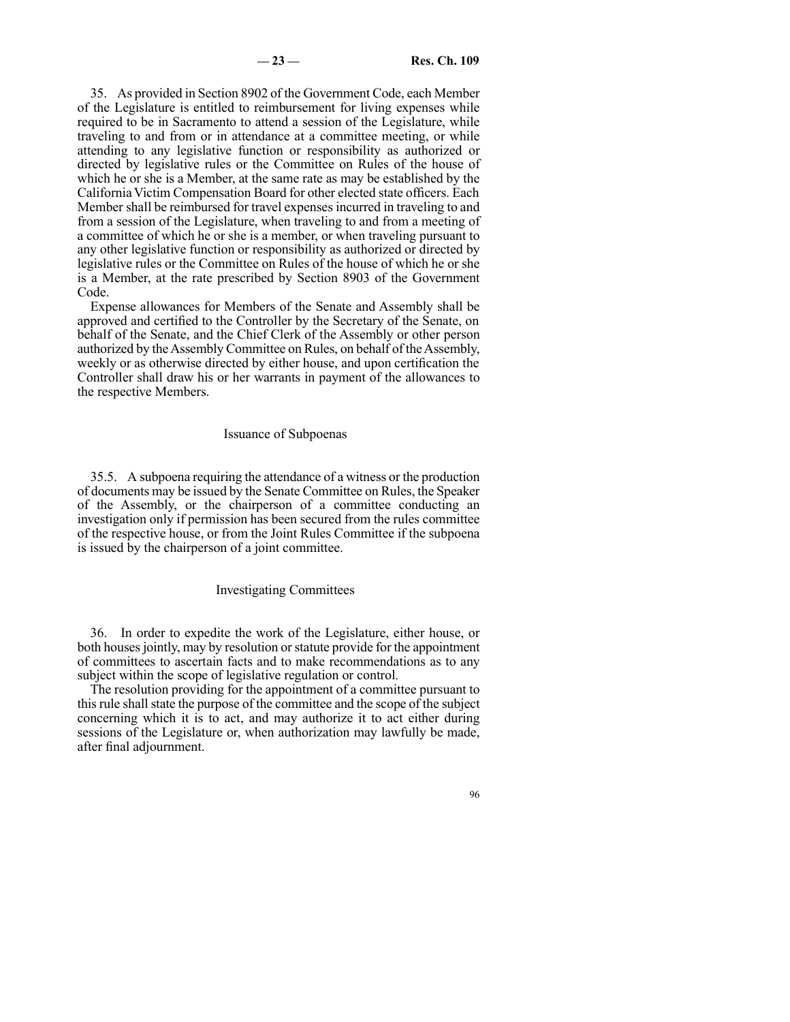35. As provided in Section 8902 of the Government Code, each Member of the Legislature is entitled to reimbursement for living expenses while required to be in Sacramento to attend a session of the Legislature, while traveling to and from or in attendance at a committee meeting, or while attending to any legislative function or responsibility as authorized or directed by legislative rules or the Committee on Rules of the house of which he or she is a Member, at the same rate as may be established by the  $-23$   $-$  Res. Ch. 109<br>
35. As provided in Section 8902 of the Government Code, each Member<br>
of the Legislature is entitled to reimbursement for lying expenses while<br>
required to be in Sacramento to attend a session of th Member shall be reimbursed for travel expenses incurred in traveling to and from a session of the Legislature, when traveling to and from a meeting of a committee of which he or she is a member, or when traveling pursuant to any other legislative function or responsibility as authorized or directed by legislative rules or the Committee on Rules of the house of which he or she is a Member, at the rate prescribed by Section 8903 of the Government Code. -23 - Res. Ch. 109<br>
20 of the Government Code, each Member<br>
eimbursement for living expenses while<br>
attend a session of the Legislature, while<br>
dance at a committee meeting, or while

Expense allowances for Members of the Senate and Assembly shall be approved and certified to the Controller by the Secretary of the Senate, on behalf of the Senate, and the Chief Clerk of the Assembly or other person authorized by the Assembly Committee on Rules, on behalf of the Assembly, weekly or as otherwise directed by either house, and upon certification the Controller shall draw his or her warrants in payment of the allowances to the respective Members.

### Issuance of Subpoenas

35.5. A subpoena requiring the attendance of a witness or the production of documents may be issued by the Senate Committee on Rules, the Speaker of the Assembly, or the chairperson of a committee conducting an investigation only if permission has been secured from the rules committee of the respective house, or from the Joint Rules Committee if the subpoena is issued by the chairperson of a joint committee.

### Investigating Committees

36. In order to expedite the work of the Legislature, either house, or both houses jointly, may by resolution or statute provide for the appointment of committees to ascertain facts and to make recommendations as to any subject within the scope of legislative regulation or control.

The resolution providing for the appointment of a committee pursuant to this rule shall state the purpose of the committee and the scope of the subject concerning which it is to act, and may authorize it to act either during sessions of the Legislature or, when authorization may lawfully be made, after final adjournment.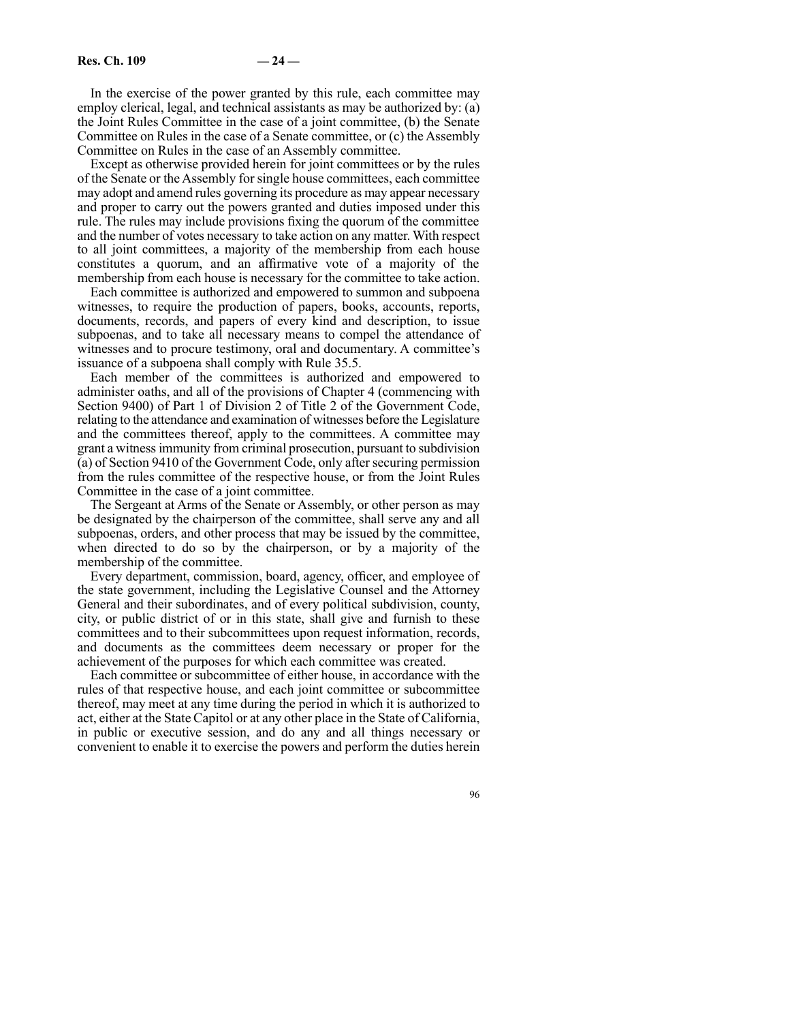In the exercise of the power granted by this rule, each committee may employ clerical, legal, and technical assistants as may be authorized by: (a) the Joint Rules Committee in the case of a joint committee, (b) the Senate Committee on Rules in the case of a Senate committee, or (c) the Assembly Committee on Rules in the case of an Assembly committee. Res. Ch. 109  $-24-$ <br>In the exercise of the power granted by this rule, each committee may<br>employ clerical, legal, and technical assistants as may be authorized by: (a)<br>the Joint Rules Committee in the case of a joint comm

Except as otherwise provided herein for joint committees or by the rules of the Senate or the Assembly for single house committees, each committee may adopt and amend rules governing its procedure as may appear necessary and proper to carry out the powers granted and duties imposed under this **Res. Ch. 109**  $-24-$ <br>
In the exercise of the power granted by this rule, each committee may<br>
employelerical, legal, and technical assistants as may be authorized by: (a)<br>
the Joint Rules Committee in the case of a Sonte **Example 10**<br> **And the exercise of the power granted by this rule, each committee may**<br>
employ clerical, legal, and technical assistants as may be authorized by: (a)<br>
the bountine on Rules in the case of a Serate committe to all joint committees, a majority of the membership from each house constitutes a quorum, and an affirmative vote of a majority of the membership from each house is necessary for the committee to take action. **Res. Ch. 109**<br>
In the exercise of the power granted by this rule, each committee may<br>
emphyor lerical, legal, and technical assistants as may be autobrach by: (a)<br>
the Jomi Ruls Committee in the case of a sonita committe

Each committee is authorized and empowered to summon and subpoena witnesses, to require the production of papers, books, accounts, reports, documents, records, and papers of every kind and description, to issue subpoenas, and to take all necessary means to compel the attendance of issuance of a subpoena shall comply with Rule 35.5.

Each member of the committees is authorized and empowered to administer oaths, and all of the provisions of Chapter 4 (commencing with Section 9400) of Part 1 of Division 2 of Title 2 of the Government Code, relating to the attendance and examination of witnesses before the Legislature and the committees thereof, apply to the committees. A committee may grant a witness immunity from criminal prosecution, pursuant to subdivision (a) of Section 9410 of the Government Code, only after securing permission from the rules committee of the respective house, or from the Joint Rules Committee in the case of a joint committee.

The Sergeant at Arms of the Senate or Assembly, or other person as may be designated by the chairperson of the committee, shall serve any and all subpoenas, orders, and other process that may be issued by the committee, when directed to do so by the chairperson, or by a majority of the membership of the committee.

Every department, commission, board, agency, officer, and employee of the state government, including the Legislative Counsel and the Attorney General and their subordinates, and of every political subdivision, county, city, or public district of or in this state, shall give and furnish to these committees and to their subcommittees upon request information, records, and documents as the committees deem necessary or proper for the achievement of the purposes for which each committee was created.

Each committee or subcommittee of either house, in accordance with the rules of that respective house, and each joint committee or subcommittee thereof, may meet at any time during the period in which it is authorized to act, either at the State Capitol or at any other place in the State of California, in public or executive session, and do any and all things necessary or convenient to enable it to exercise the powers and perform the duties herein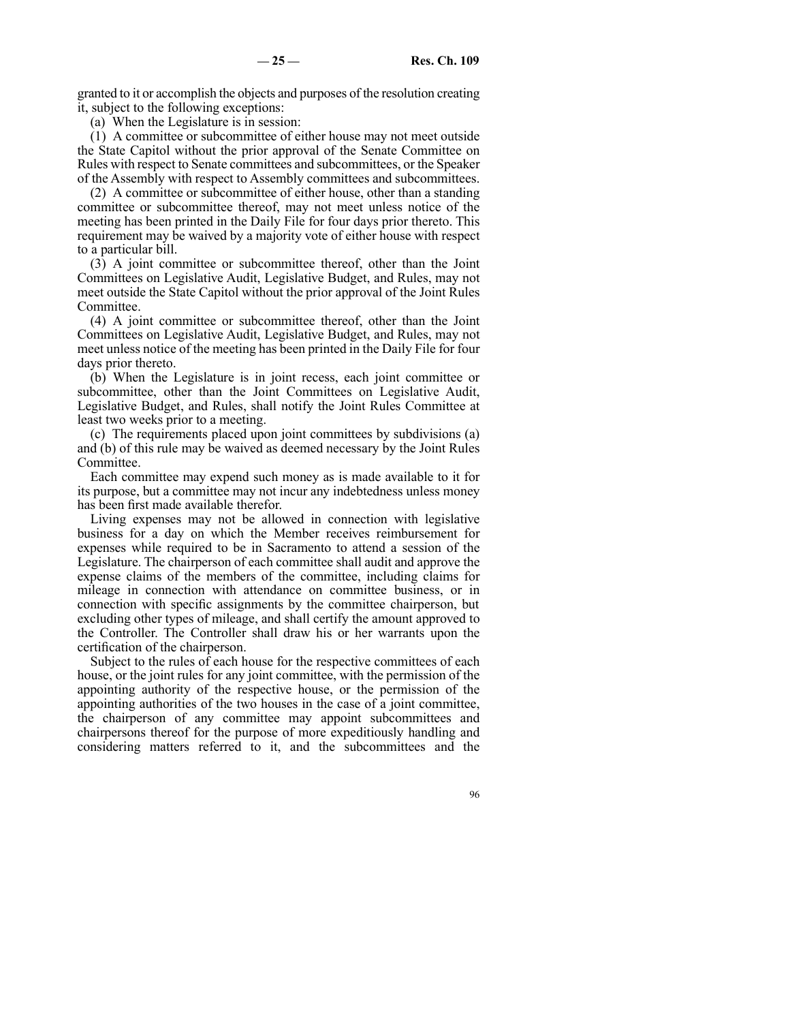granted to it or accomplish the objects and purposes of the resolution creating it, subject to the following exceptions: -25 - Res. Ch. 109<br>ects and purposes of the resolution creating<br>ions:<br>session:<br>ttee of either house may not meet outside

(a) When the Legislature is in session:

(1) A committee or subcommittee of either house may not meet outside the State Capitol without the prior approval of the Senate Committee on Rules with respect to Senate committees and subcommittees, or the Speaker of the Assembly with respect to Assembly committees and subcommittees.

(2) A committee or subcommittee of either house, other than a standing committee or subcommittee thereof, may not meet unless notice of the meeting has been printed in the Daily File for four days prior thereto. This requirement may be waived by a majority vote of either house with respect to a particular bill.  $-25$  Hess. Ch. 109<br>
granted to it or accomplish the objects and purposes of the resolution creating<br>
i, subject to the following exceptions:<br>
(a) When the Legislature is in session:<br>
(b) A committee or subcommittee of ei  $-25 -$ <br>
Res. Ch. 109<br>
granted to it or accomplish the objects and purposes of the resolution creating<br>
(a) When the Legislature is niession:<br>
(1) A committee or subcommittee of either house may not meet outside<br>
(b) A com **EXECTS** 26 **EXECTS** 26 **EXECTS** 26 **EXECTS** 26 **EXECTS** 26 **EXECTS** 26 **EXECTS** 26 **EXECTS** 26 **EXECTS** 26 **EXECTS** 26 **EXECTS** 26 **EXECTS** 26 **EXECTS** 26 **EXECTS** 26 **EXECTS** 27 **EXECTS** 27 **EXECTS** 27 **EXECTS** 27 **EXEC** 

(3) A joint committee or subcommittee thereof, other than the Joint meet outside the State Capitol without the prior approval of the Joint Rules Committee.

(4) A joint committee or subcommittee thereof, other than the Joint meet unless notice of the meeting has been printed in the Daily File for four days prior thereto.

(b) When the Legislature is in joint recess, each joint committee or Legislative Budget, and Rules, shall notify the Joint Rules Committee at least two weeks prior to a meeting.

(c) The requirements placed upon joint committees by subdivisions (a) and (b) of this rule may be waived as deemed necessary by the Joint Rules Committee.

Each committee may expend such money as is made available to it for its purpose, but a committee may not incur any indebtedness unless money has been first made available therefor.

Living expenses may not be allowed in connection with legislative business for a day on which the Member receives reimbursement for expenses while required to be in Sacramento to attend a session of the requirement may be waived by a majority vote of either house with respect conspirative hold committee or subcommittee thereof, other than the Joint Committee or Legislative Audit, Legislative Hudget, and Rules, may not com expense claims of the members of the committee, including claims for mileage in connection with attendance on committee business, or in connection with specific assignments by the committee chairperson, but excluding other types of mileage, and shall certify the amount approved to Committee.<br>
Committee or subcommittee thereof, other than the Joint<br>
Committees on Legislative Audit, Legislative Budget, and Rules, may not<br>
meter unhess notice of the metering has been printees to ach joint for the Contr certification of the chairperson.

Subject to the rules of each house for the respective committees of each house, or the joint rules for any joint committee, with the permission of the appointing authority of the respective house, or the permission of the appointing authorities of the two houses in the case of a joint committee, the chairperson of any committee may appoint subcommittees and chairpersons thereof for the purpose of more expeditiously handling and considering matters referred to it, and the subcommittees and the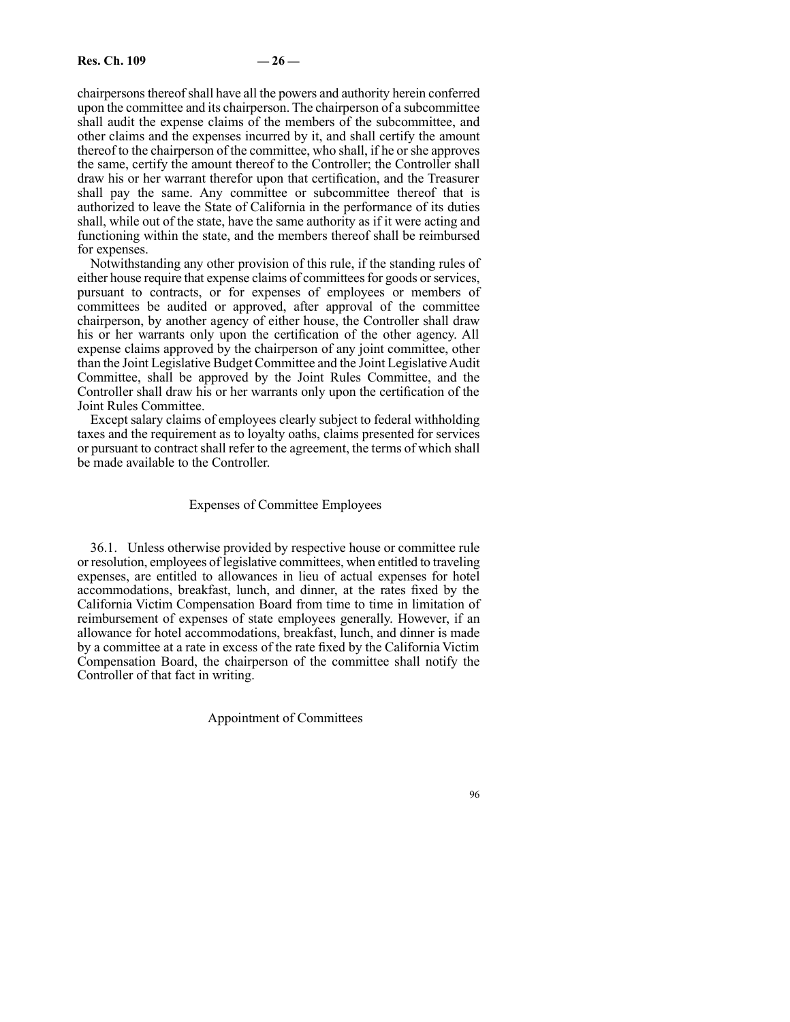chairpersons thereof shall have all the powers and authority herein conferred upon the committee and its chairperson. The chairperson of a subcommittee shall audit the expense claims of the members of the subcommittee, and other claims and the expenses incurred by it, and shall certify the amount thereof to the chairperson of the committee, who shall, if he or she approves the same, certify the amount thereof to the Controller; the Controller shall draw his or her warrant therefor upon that certification, and the Treasurer shall pay the same. Any committee or subcommittee thereof that is authorized to leave the State of California in the performance of its duties shall, while out of the state, have the same authority as if it were acting and functioning within the state, and the members thereof shall be reimbursed for expenses. **Res. Ch. 109**  $-26 -$ <br>chainpresons thereof shall have all the powers and authority herein conferred<br>upon the committee, and is chaingresson. The chaingresson of a subcommittee, and<br>chare claims and the expenses circured b **Res. Ch. 109**<br> **Chargenoons thereof shall have all the powers and authority herein conferred**<br> **Equivariation** the experime claims of the members of the subcommittee, and<br>
shall audit the experime claims of the members o Res. Ch. 109  $-26$  —<br>chairpersons thereof shall have all the powers and authority herein conferred<br>upon the committee and its chairperson. The chairperson of a subcommittee<br>shall audit the expense claims of the members of

Notwithstanding any other provision of this rule, if the standing rules of either house require that expense claims of committees for goods or services, pursuant to contracts, or for expenses of employees or members of committees be audited or approved, after approval of the committee chairperson, by another agency of either house, the Controller shall draw expense claims approved by the chairperson of any joint committee, other Committee, shall be approved by the Joint Rules Committee, and the Controller shall draw his or her warrants only upon the certification of the Joint Rules Committee. either house require that expense claims of committees for goods or services,<br>pursuant to contractes, or for expenses of employees or members of<br>committees be audited or approved, after approval of the committee<br>chalifores

Except salary claims of employees clearly subject to federal withholding taxes and the requirement as to loyalty oaths, claims presented for services or pursuant to contract shall refer to the agreement, the terms of which shall be made available to the Controller.

### Expenses of Committee Employees

36.1. Unless otherwise provided by respective house or committee rule or resolution, employees of legislative committees, when entitled to traveling expenses, are entitled to allowances in lieu of actual expenses for hotel accommodations, breakfast, lunch, and dinner, at the rates fixed by the reimbursement of expenses of state employees generally. However, if an allowance for hotel accommodations, breakfast, lunch, and dinner is made by a committee at a rate in excess of the rate fixed by the California Victim Compensation Board, the chairperson of the committee shall notify the Controller of that fact in writing.

Appointment of Committees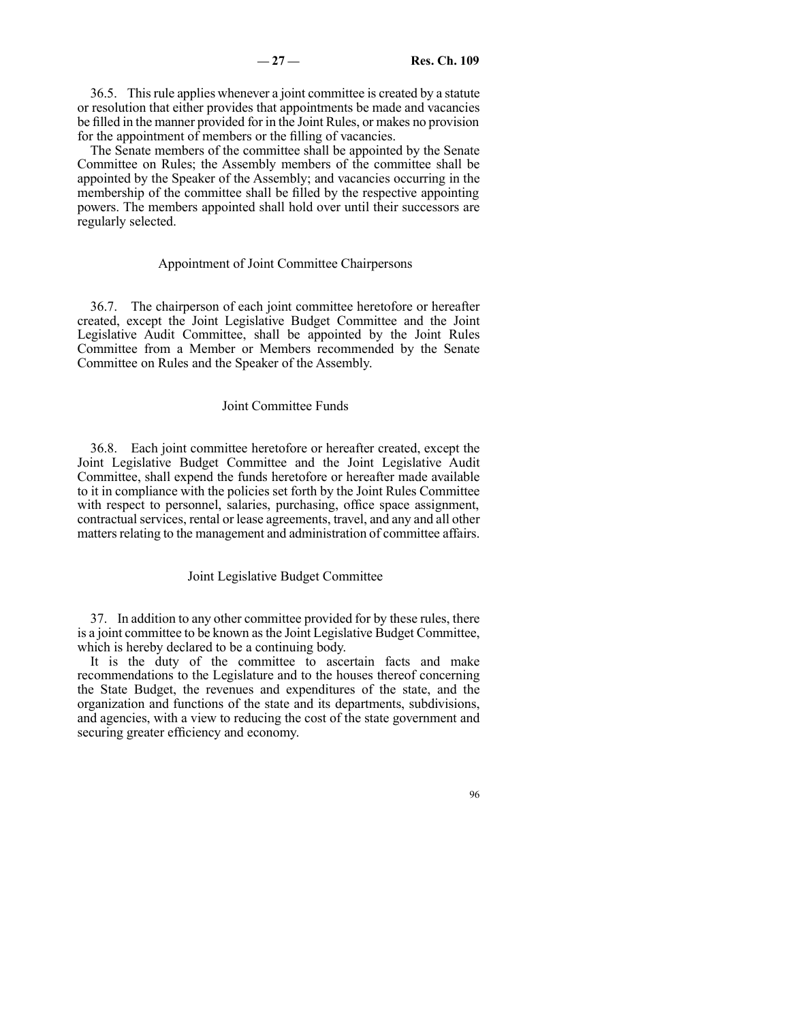36.5. This rule applies whenever a joint committee is created by a statute or resolution that either provides that appointments be made and vacancies be filled in the manner provided for in the Joint Rules, or makes no provision for the appointment of members or the filling of vacancies. -27 - Res. Ch. 109<br>
rer a joint committee is created by a statute<br>
that appointments be made and vacancies<br>
r in the Joint Rules, or makes no provision<br>
or the filling of vacancies.

The Senate members of the committee shall be appointed by the Senate Committee on Rules; the Assembly members of the committee shall be appointed by the Speaker of the Assembly; and vacancies occurring in the membership of the committee shall be filled by the respective appointing  $-27 -$ <br> **Res. Ch. 109**<br>
36.5. This rule applies whenever a joint committee is created by a statute<br>
or resolution that either provides that appointments be made and vacancies<br>
be filled in the manner provided for in the J regularly selected.  $-27 -$ <br>
Res. Ch. 109<br>
36.5. This rule applies whenever a joint committee is created by a statute<br>
or resolution that ether provided for in the Joint Rules, or makes and vacancies<br>
for the appointent of members or the fill

### Appointment of Joint Committee Chairpersons

36.7. The chairperson of each joint committee heretofore or hereafter created, except the Joint Legislative Budget Committee and the Joint Committee from a Member or Members recommended by the Senate Committee on Rules and the Speaker of the Assembly.

### Joint Committee Funds

36.8. Each joint committee heretofore or hereafter created, except the For the appointment of members or the filling of was<br>more committees and the appointed by the Senate Committee conducts and the specifical deposited by the Senate Committee and the specifical deposited of the Assembly; and Committee, shall expend the funds heretofore or hereafter made available to it in compliance with the policies set forth by the Joint Rules Committee with respect to personnel, salaries, purchasing, office space assignment, contractual services, rental or lease agreements, travel, and any and all other matters relating to the management and administration of committee affairs.

# Joint Legislative Budget Committee

37. In addition to any other committee provided for by these rules, there is a joint committee to be known as the Joint Legislative Budget Committee, which is hereby declared to be a continuing body.

It is the duty of the committee to ascertain facts and make recommendations to the Legislature and to the houses thereof concerning the State Budget, the revenues and expenditures of the state, and the organization and functions of the state and its departments, subdivisions, and agencies, with a view to reducing the cost of the state government and securing greater efficiency and economy.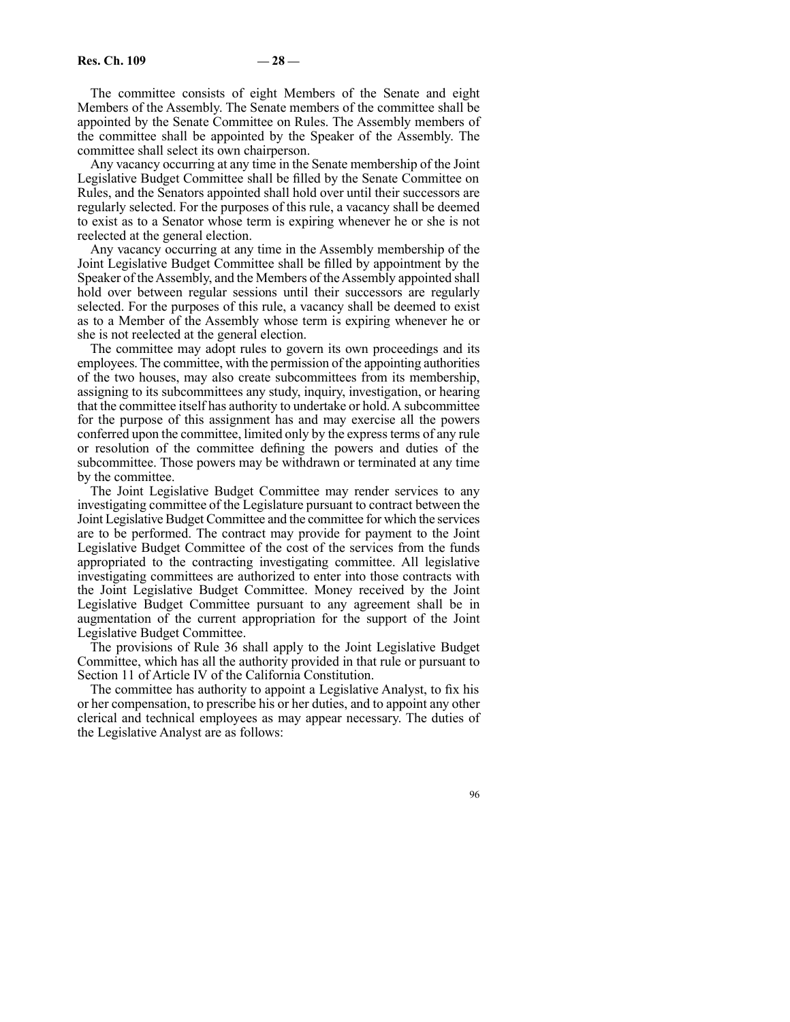The committee consists of eight Members of the Senate and eight **Res. Ch. 109**  $-28-$ <br>The committee consists of eight Members of the Senate and eight<br>Members of the Assembly. The Senate members of the committee shall be<br>appointed by the Senate Committee on Rules. The Assembly members **Res. Ch. 109**  $-28 -$ <br>The committee consists of eight Members of the Senate and eight<br>Members of the Assembly. The Senate members of the committee shall be<br>appointed by the Senate Committee on Rules. The Assembly members **Res. Ch. 109**  $-28 -$ <br>The committee consists of eight Members of the Senate and eight<br>Members of the Assembly. The Senate members of the committee shall be<br>appointed by the Speaker of the Assembly. The<br>the committee shall committee shall select its own chairperson. Res. Ch. 109 — 28 —<br>The committee consists of eight Members of the Senate and eight<br>Members of the Assembly. The Senate members of the committee shall be<br>appointed by the Senate Committee on Rules. The Assembly members of<br>

Any vacancy occurring at any time in the Senate membership of the Joint Legislative Budget Committee shall be filled by the Senate Committee on Rules, and the Senators appointed shall hold over until their successors are regularly selected. For the purposes of this rule, a vacancy shall be deemed to exist as to a Senator whose term is expiring whenever he or she is not reelected at the general election.

Any vacancy occurring at any time in the Assembly membership of the Joint Legislative Budget Committee shall be filled by appointment by the Speaker of the Assembly, and the Members of the Assembly appointed shall hold over between regular sessions until their successors are regularly selected. For the purposes of this rule, a vacancy shall be deemed to exist as to a Member of the Assembly whose term is expiring whenever he or she is not reelected at the general election.

The committee may adopt rules to govern its own proceedings and its **EXECT THE CONSULTE CONSULTE CONSULTER** (For Search Assembly A Members of the Senate and eight Members of the Assembly members of the committee shall be appointed by the Senate committee on Rules. The Assembly members of of the two houses, may also create subcommittees from its membership, assigning to its subcommittees any study, inquiry, investigation, or hearing that the committee itself has authority to undertake or hold. A subcommittee for the purpose of this assignment has and may exercise all the powers conferred upon the committee, limited only by the express terms of any rule or resolution of the committee defining the powers and duties of the the committee shall be appointed by the Speaker of the Assembly. The committee shall solect its own chairperson. Any vacancy occurring at any time in the Senate membership of the Joint Legislative Budget Committee shall be by the committee.

The Joint Legislative Budget Committee may render services to any investigating committee of the Legislature pursuant to contract between the Joint Legislative Budget Committee and the committee for which the services are to be performed. The contract may provide for payment to the Joint Legislative Budget Committee of the cost of the services from the funds appropriated to the contracting investigating committee. All legislative investigating committees are authorized to enter into those contracts with the Joint Legislative Budget Committee. Money received by the Joint Legislative Budget Committee pursuant to any agreement shall be in augmentation of the current appropriation for the support of the Joint Legislative Budget Committee. assigning to its subcommittees any study, inquiry, investigation, or hearing for the purpose of this assignment has not may excretes all the powers conferred upon the conomittee. Initial conty they express terms for any co that the committee itself has authority to undertake or hold. A subcommittee conferred upon the assuggement has and may exercise all the powers conferred upon the committee defining the powers conferred upon the committee

The provisions of Rule 36 shall apply to the Joint Legislative Budget Committee, which has all the authority provided in that rule or pursuant to Section 11 of Article IV of the California Constitution.

The committee has authority to appoint a Legislative Analyst, to fix his or her compensation, to prescribe his or her duties, and to appoint any other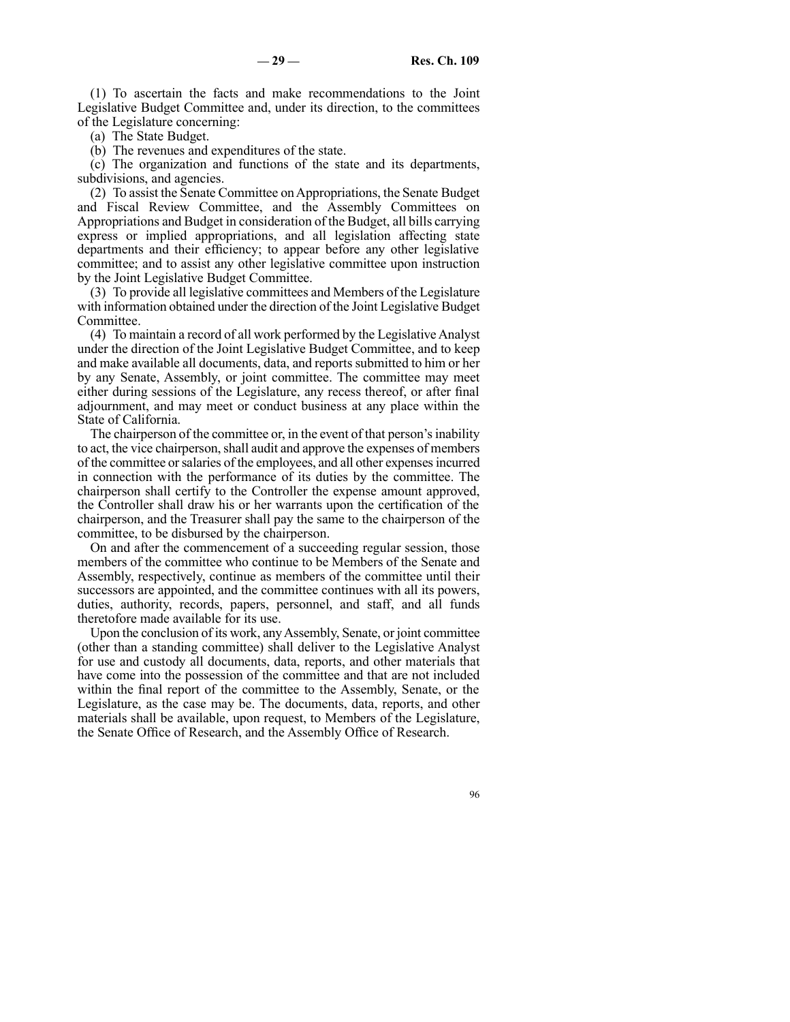(1) To ascertain the facts and make recommendations to the Joint Legislative Budget Committee and, under its direction, to the committees of the Legislature concerning:  $-29 -$  Res. Ch. 109<br>d make recommendations to the Joint<br>d, under its direction, to the committees

(a) The State Budget.

(b) The revenues and expenditures of the state.

(c) The organization and functions of the state and its departments, subdivisions, and agencies.

(2) To assist the Senate Committee on Appropriations, the Senate Budget and Fiscal Review Committee, and the Assembly Committees on Appropriations and Budget in consideration of the Budget, all bills carrying express or implied appropriations, and all legislation affecting state departments and their efficiency; to appear before any other legislative committee; and to assist any other legislative committee upon instruction by the Joint Legislative Budget Committee.  $-29$  Hes. Ch. 109<br>
(1) To ascertain the facts and make recommendations to the Journalities<br>
(a) The Slugaleuture concerning:<br>
(a) The Slugaleute concerning:<br>
(a) The Stute Budget.<br>
(c) The orygenization and functions of

(3) To provide all legislative committees and Members of the Legislature with information obtained under the direction of the Joint Legislative Budget Committee.

under the direction of the Joint Legislative Budget Committee, and to keep and make available all documents, data, and reports submitted to him or her by any Senate, Assembly, or joint committee. The committee may meet either during sessions of the Legislature, any recess thereof, or after final adjournment, and may meet or conduct business at any place within the State of California.

The chairperson of the committee or, in the event of that person's inability to act, the vice chairperson, shall audit and approve the expenses of members of the committee or salaries of the employees, and all other expenses incurred in connection with the performance of its duties by the committee. The chairperson shall certify to the Controller the expense amount approved, the Controller shall draw his or her warrants upon the certification of the chairperson, and the Treasurer shall pay the same to the chairperson of the committee, to be disbursed by the chairperson. th information obtained under the direction of the Joint Legislative Budget<br>
dth Tomaintain a record of all work performed by the Legislative Analyst<br>
(4) To maintain a record of all work registative Budget Committee, and Committee. (a) the commission and the committee than a standing committee, and to keep under the direction of the Joint Legislative Budget Committee, and to keep with a standing committee and the standing committee and the

On and after the commencement of a succeeding regular session, those members of the committee who continue to be Members of the Senate and Assembly, respectively, continue as members of the committee until their successors are appointed, and the committee continues with all its powers, duties, authority, records, papers, personnel, and staff, and all funds theretofore made available for its use.

for use and custody all documents, data, reports, and other materials that have come into the possession of the committee and that are not included within the final report of the committee to the Assembly, Senate, or the Legislature, as the case may be. The documents, data, reports, and other materials shall be available, upon request, to Members of the Legislature, the Senate Office of Research, and the Assembly Office of Research.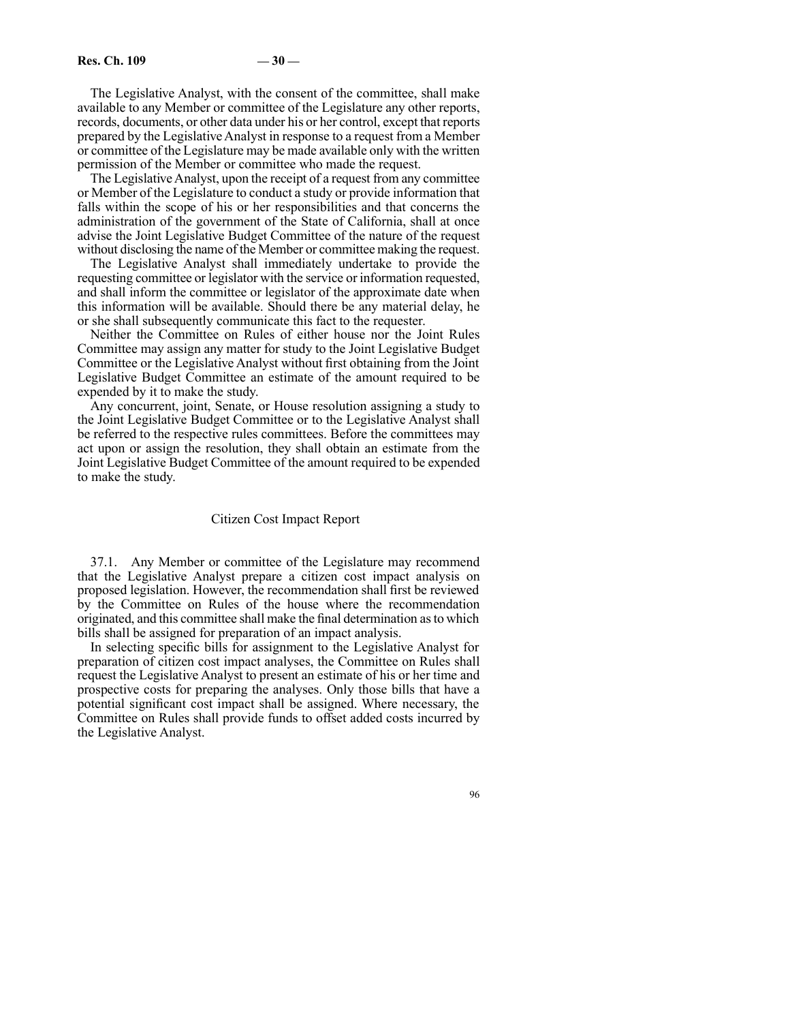$-30 -$ <br>The Legislative Analyst, with the consent of the committee, shall make<br>ailable to any Member or committee of the Legislature any other reports,<br>cords, documents, or other data under his or her control, except that available to any Member or committee of the Legislature any other reports, records, documents, or other data under his or her control, except that reports **Res. Ch. 109**  $-30 -$ <br>The Legislative Analyst, with the consent of the committee, shall make<br>available to any Member or committee of the Legislature any other reports,<br>records, documents, or other data under his or her co or committee of the Legislature may be made available only with the written permission of the Member or committee who made the request. **Example 10** The Legislative Analyst, with the consent of the committee, shall make ailable to any Member or committee of the Legislature any other reports, or<br>spared by the Legislative Analyst in response to a request fr  $-30 -$ <br>The Legislative Analyst, with the consent of the committee, shall make<br>tailable to any Member or committee of the Legislature any other reports,<br>conside, documents, or other data under his or her control, except th The Legislative Analyst, with the consent of the committee, shall make<br>available to any Member or committee of the Legislature any other reports,<br>records, documents, or obter dat under his or the rotownloc, except that tr **Res. Ch. 109**  $-30 -$ <br>The Legislative Analyst, with the consent of the committee, shall make<br>available to any Member or committee of the Legislature any other reports,<br>records, documents, or other data under his or her co

or Member of the Legislature to conduct a study or provide information that falls within the scope of his or her responsibilities and that concerns the administration of the government of the State of California, shall at once advise the Joint Legislative Budget Committee of the nature of the request without disclosing the name of the Member or committee making the request.<br>The Legislative Analyst shall immediately undertake to provide the

requesting committee or legislator with the service or information requested, and shall inform the committee or legislator of the approximate date when this information will be available. Should there be any material delay, he or she shall subsequently communicate this fact to the requester.

Neither the Committee on Rules of either house nor the Joint Rules Committee may assign any matter for study to the Joint Legislative Budget Committee or the Legislative Analyst without first obtaining from the Joint Legislative Budget Committee an estimate of the amount required to be expended by it to make the study.

Any concurrent, joint, Senate, or House resolution assigning a study to be referred to the respective rules committees. Before the committees may act upon or assign the resolution, they shall obtain an estimate from the Joint Legislative Budget Committee of the amount required to be expended to make the study. without disclosing the ranne of the Member or committee making the requesting committee or legislator with the service or information requested, requesting committee or legislator with the service or information requested

### Citizen Cost Impact Report

37.1. Any Member or committee of the Legislature may recommend that the Legislative Analyst prepare a citizen cost impact analysis on proposed legislation. However, the recommendation shall first be reviewed by the Committee on Rules of the house where the recommendation originated, and this committee shall make the final determination as to which bills shall be assigned for preparation of an impact analysis.

she shall tanksquaredly communicate this fact to the equator.<br>Neither the Committee on Rules of either house nor the Joint Rules<br>immittee are assign any matter for study to the Doint Legislative Budget<br>significative Budge preparation of citizen cost impact analyses, the Committee on Rules shall Committee may assign any matter for study to the Joint Legislative Budget<br>Committee or the Legislative Analyst without first obtaining from the Joint<br>Legislative Budget Committee an estimate of the amount required to be<br>e prospective costs for preparing the analyses. Only those bills that have a potential significant cost impact shall be assigned. Where necessary, the Committee on Rules shall provide funds to offset added costs incurred by Any concurrent, joint, Scnatc, or House resolution assigning a study to<br>the hour Legislative Budget Committee or to the Legislative Analyst shall<br>the referred to the respective rules committees. Before the committees may<br>c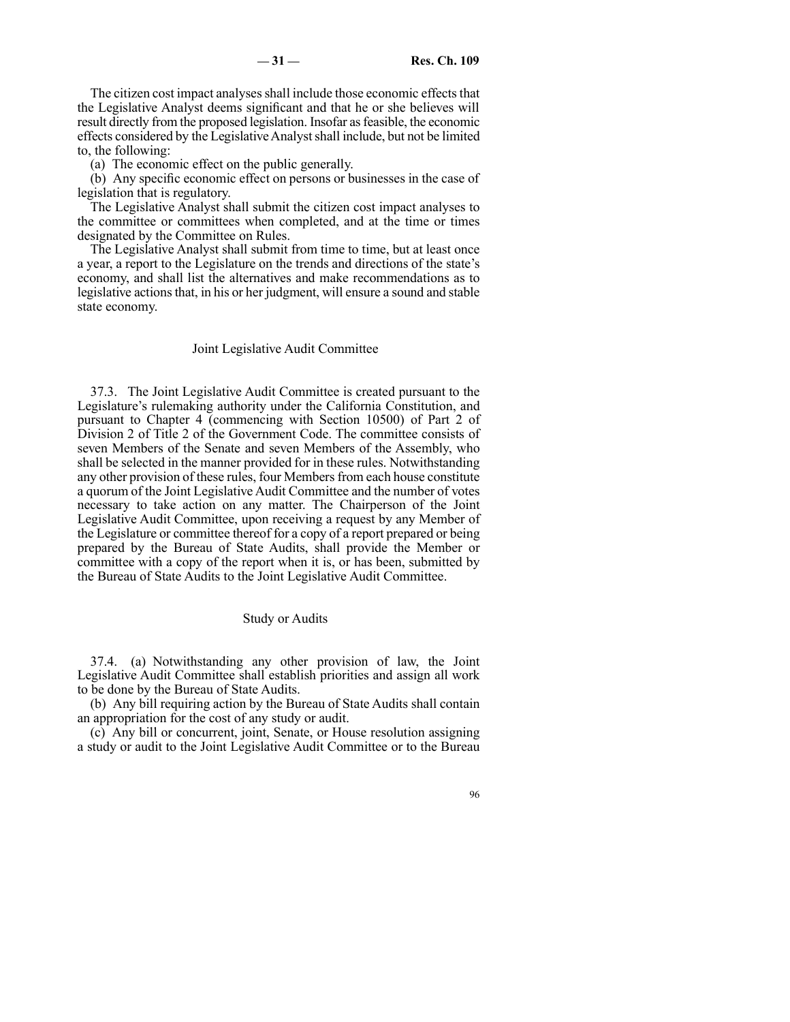The citizen cost impact analyses shall include those economic effects that the Legislative Analyst deems significant and that he or she believes will result directly from the proposed legislation. Insofar as feasible, the economic effects considered by the LegislativeAnalyst shall include, but not be limited to, the following:  $-31 -$ <br>
Res. Ch. 109<br>
The critizen cost impact analyses shall include those conomic effects that<br>
Legislative Analyst deems significant and that he or she believes will<br>
sult directly from the proposed legislation. Insofa  $-31$  — Res. Ch. 109<br>The citizen cost impact analyses shall include those economic effects that<br>Legislative Analyst deems significant and that he or she believes will<br>subtractly from the proposed legislation. Insofar as f  $-31 -$ <br> **Res. Ch. 109**<br>
pact analyses shall include those economic effects that<br>
st deems significant and that he or she believes will<br>
enoposed legislation. Insofar as feasible, the economic<br>
effect on the public general -31 - Res. Ch. 109<br>Second Section Res. Ch. 109<br>Second Section Res. Ch. 109<br>Section and that he or she believes will<br>select and that he or she believes will<br>ve Analyst shall include, but not be limited

(a) The economic effect on the public generally.

(b) Any specific economic effect on persons or businesses in the case of legislation that is regulatory.

the committee or committees when completed, and at the time or times designated by the Committee on Rules.

a year, a report to the Legislature on the trends and directions of the state's economy, and shall list the alternatives and make recommendations as to legislative actions that, in his or her judgment, will ensure a sound and stable state economy.

37.3. The Joint Legislative Audit Committee is created pursuant to the Legislature's rulemaking authority under the California Constitution, and pursuant to Chapter 4 (commencing with Section 10500) of Part 2 of Division 2 of Title 2 of the Government Code. The committee consists of seven Members of the Senate and seven Members of the Assembly, who shall be selected in the manner provided for in these rules. Notwithstanding any other provision of these rules, four Members from each house constitute (a) The comomic effect on the public generally.<br>
(b) Any specific comomic effect on persons or businesses in the case of legislative hast is committee of the properties when committee and the time or times the committee o (b) Any specific economic effect on persons or businesses in the case of<br>The Legislation dust is regulatory. The committee or committees then committee or committees when completed, and at the time or times<br>the committee legislation that is regulatory,<br>The Legislative Analyses hall submit the citizen cost impact analyses to<br>the committee or committees when completed, and at the time or times<br>The Legislative Analyst shall submit from time t the Legislature or committee thereof for a copy of a report prepared or being prepared by the Bureau of State Audits, shall provide the Member or committee with a copy of the report when it is, or has been, submitted by The Legislative Analyst shall submit from time to time, but at least once<br>arger a report to the Legislature on the trends and directions of the state's<br>economy, and shall list the alternatives and make recommendations as Joint Legislative Audit Committee<br>
177.3. The Joint Legislative Audit Committee is created pursuant to the<br>
Legislature's rulemaking authority under the California Constitution, and<br>
pursuant to Chepter 4 (commencing with pursuant to Chapter 4 (commencing with Section 10500) of Part 2 of<br>Division 2 of THe 2 of the Grocemment Code. The committee consists of<br>secture Members of the Scanstein descented for in these rules. Notwithstanding<br>shall

### Study or Audits

37.4. (a) Notwithstanding any other provision of law, the Joint to be done by the Bureau of State Audits.

(b) Any bill requiring action by the Bureau of State Audits shall contain an appropriation for the cost of any study or audit.

(c) Any bill or concurrent, joint, Senate, or House resolution assigning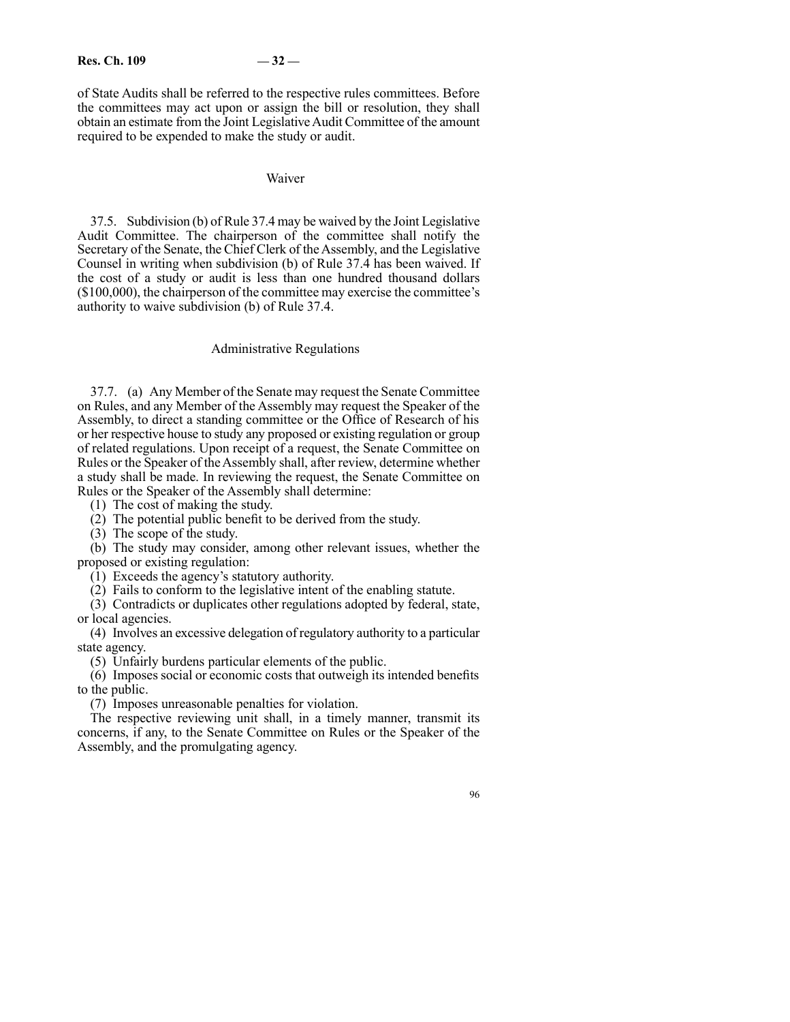of State Audits shall be referred to the respective rules committees. Before the committees may act upon or assign the bill or resolution, they shall **Res. Ch. 109**  $-32-$ <br>of State Audits shall be referred to the respective rules committees. Before<br>the committees may act upon or assign the bill or resolution, they shall<br>obtain an estimate from the Joint Legislative Aud required to be expended to make the study or audit. Res. Ch. 109  $-32-$ <br>of State Audits shall be referred to the respective rules committees. Before<br>the committees may act upon or assign the bill or resolution, they shall<br>obtain an estimate from the Joint Legislative Audit

### Waiver

37.5. Subdivision (b) of Rule 37.4 may be waived by the Joint Legislative Audit Committee. The chairperson of the committee shall notify the Secretary of the Senate, the Chief Clerk of the Assembly, and the Legislative Counsel in writing when subdivision (b) of Rule 37.4 has been waived. If the cost of a study or audit is less than one hundred thousand dollars (\$100,000), the chairperson of the committee may exercise the committee's authority to waive subdivision (b) of Rule 37.4.

## Administrative Regulations

37.7. (a) Any Member of the Senate may request the Senate Committee on Rules, and any Member of the Assembly may request the Speaker of the Assembly, to direct a standing committee or the Office of Research of his or her respective house to study any proposed or existing regulation or group of related regulations. Upon receipt of a request, the Senate Committee on Rules or the Speaker of the Assembly shall, after review, determine whether a study shall be made. In reviewing the request, the Senate Committee on Rules or the Speaker of the Assembly shall determine:

(1) The cost of making the study.

(2) The potential public benefit to be derived from the study.

(3) The scope of the study.

(b) The study may consider, among other relevant issues, whether the proposed or existing regulation:

(1) Exceeds the agency's statutory authority.

(2) Fails to conform to the legislative intent of the enabling statute.

(3) Contradicts or duplicates other regulations adopted by federal, state, or local agencies.

(4) Involves an excessive delegation of regulatory authority to a particular state agency.

(5) Unfairly burdens particular elements of the public.

(6) Imposes social or economic costs that outweigh its intended benefits to the public.

(7) Imposes unreasonable penalties for violation.

The respective reviewing unit shall, in a timely manner, transmit its concerns, if any, to the Senate Committee on Rules or the Speaker of the Assembly, and the promulgating agency.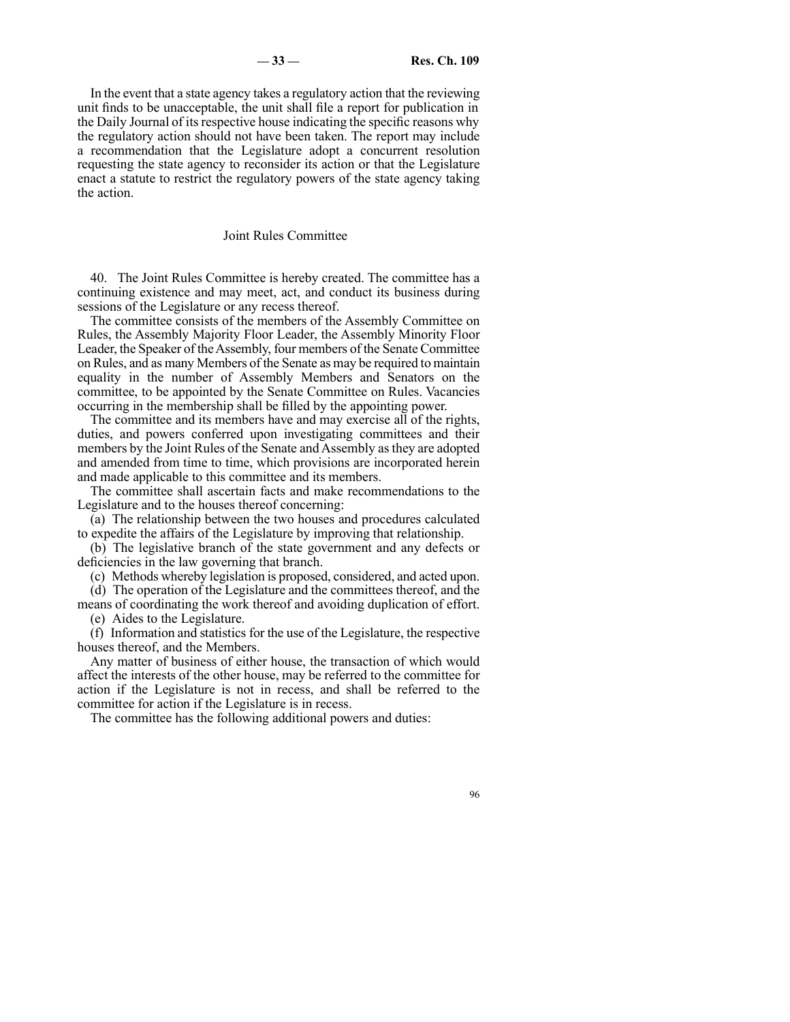In the event that a state agency takes a regulatory action that the reviewing unit finds to be unacceptable, the unit shall file a report for publication in the Daily Journal of its respective house indicating the specific reasons why  $-33 -$ <br>
Res. Ch. 109<br>
In the event that a state agency takes a regulatory action that the reviewing<br>
unit finds to be unacceptable, the unit shall file a report for publication in<br>
the Daily Journal of its respective hous a recommendation that the Legislature adopt a concurrent resolution requesting the state agency to reconsider its action or that the Legislature enact a statute to restrict the regulatory powers of the state agency taking the action. -33 - Res. Ch. 109<br>akes a regulatory action that the reviewing<br>unit shall file a report for publication in<br>house indicating the specific reasons why<br>have been taken. The report may include

### Joint Rules Committee

40. The Joint Rules Committee is hereby created. The committee has a continuing existence and may meet, act, and conduct its business during sessions of the Legislature or any recess thereof.

The committee consists of the members of the Assembly Committee on Rules, the Assembly Majority Floor Leader, the Assembly Minority Floor Leader, the Speaker of the Assembly, four members of the Senate Committee on Rules, and as many Members of the Senate as may be required to maintain equality in the number of Assembly Members and Senators on the committee, to be appointed by the Senate Committee on Rules. Vacancies occurring in the membership shall be filled by the appointing power.

The committee and its members have and may exercise all of the rights, duties, and powers conferred upon investigating committees and their members by the Joint Rules of the Senate and Assembly as they are adopted and amended from time to time, which provisions are incorporated herein and made applicable to this committee and its members.

The committee shall ascertain facts and make recommendations to the Legislature and to the houses thereof concerning:

(a) The relationship between the two houses and procedures calculated to expedite the affairs of the Legislature by improving that relationship.

(b) The legislative branch of the state government and any defects or deficiencies in the law governing that branch.

(c) Methods whereby legislation is proposed, considered, and acted upon.

(d) The operation of the Legislature and the committees thereof, and the means of coordinating the work thereof and avoiding duplication of effort.

(e) Aides to the Legislature.

(f) Information and statistics for the use of the Legislature, the respective houses thereof, and the Members.

Any matter of business of either house, the transaction of which would affect the interests of the other house, may be referred to the committee for action if the Legislature is not in recess, and shall be referred to the committee for action if the Legislature is in recess.

The committee has the following additional powers and duties: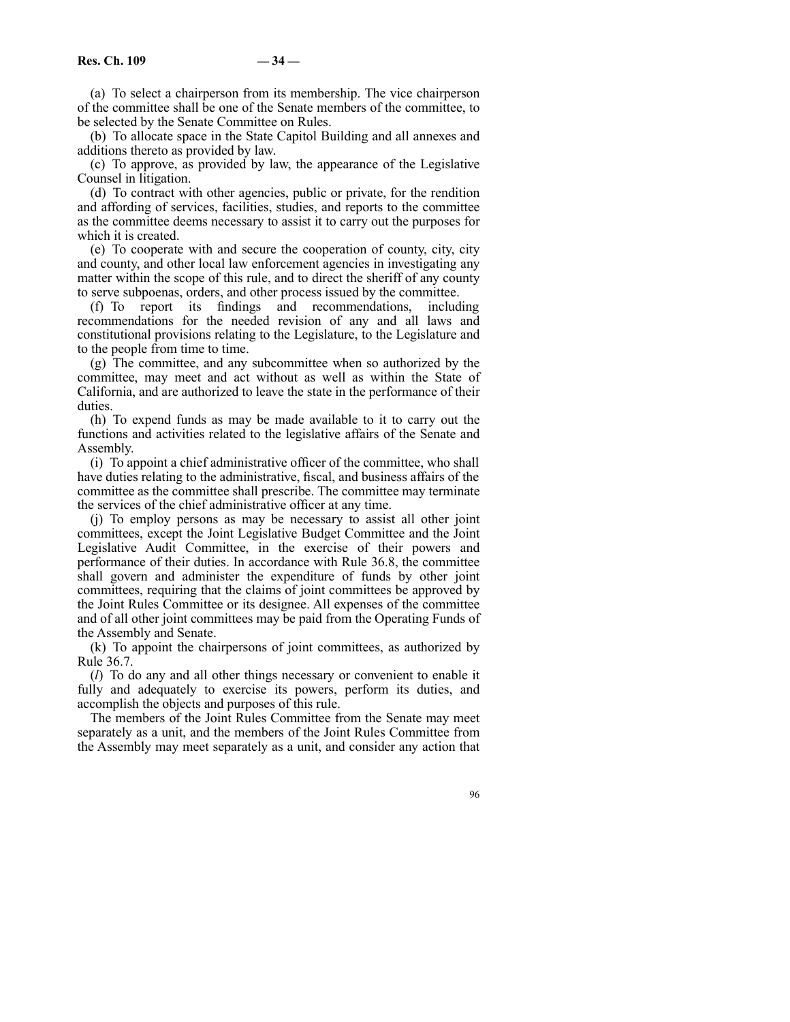(a) To select a chairperson from its membership. The vice chairperson of the committee shall be one of the Senate members of the committee, to be selected by the Senate Committee on Rules. **Res. Ch. 109**  $-34 -$ <br>(a) To select a chairperson from its membership. The vice chairperson<br>of the committee shall be one of the Senate members of the committee, to<br>be selected by the Senate Committee on Rules.<br>(b) To all

(b) To allocate space in the State Capitol Building and all annexes and additions thereto as provided by law.

(c) To approve, as provided by law, the appearance of the Legislative Counsel in litigation.

(d) To contract with other agencies, public or private, for the rendition and affording of services, facilities, studies, and reports to the committee as the committee deems necessary to assist it to carry out the purposes for which it is created.

(e) To cooperate with and secure the cooperation of county, city, city and county, and other local law enforcement agencies in investigating any matter within the scope of this rule, and to direct the sheriff of any county to serve subpoenas, orders, and other process issued by the committee.

(f) To report its findings and recommendations, including recommendations for the needed revision of any and all laws and constitutional provisions relating to the Legislature, to the Legislature and to the people from time to time.

(g) The committee, and any subcommittee when so authorized by the committee, may meet and act without as well as within the State of California, and are authorized to leave the state in the performance of their duties.

(h) To expend funds as may be made available to it to carry out the functions and activities related to the legislative affairs of the Senate and Assembly.

(i) To appoint a chief administrative officer of the committee, who shall have duties relating to the administrative, fiscal, and business affairs of the committee as the committee shall prescribe. The committee may terminate the services of the chief administrative officer at any time.

(j) To employ persons as may be necessary to assist all other joint committees, except the Joint Legislative Budget Committee and the Joint as the committee demn necessary to assist it to carry out the purposes for which it is created.<br>
with compare the comperation of county, eity, eity eity eity and country, and other toeal awe affectes in investigating any a performance of their duties. In accordance with Rule 36.8, the committee shall govern and administer the expenditure of funds by other joint committees, requiring that the claims of joint committees be approved by the Joint Rules Committee or its designee. All expenses of the committee and of all other joint committees may be paid from the Operating Funds of (f) To report its findings and recommendations, including<br>commendations for the needed revision of any and all laws and<br>constitutional provisions relating to the Legislature, to the Legislature and<br>to the people from time (h) To expend funds as may be made available to it to carry out the directions and activities related to the legislative affairs of the Senate and Assembly.<br>
(i) To appoint a chief administrative officer of the committee,

(k) To appoint the chairpersons of joint committees, as authorized by Rule 36.7.

(l) To do any and all other things necessary or convenient to enable it fully and adequately to exercise its powers, perform its duties, and accomplish the objects and purposes of this rule.

The members of the Joint Rules Committee from the Senate may meet separately as a unit, and the members of the Joint Rules Committee from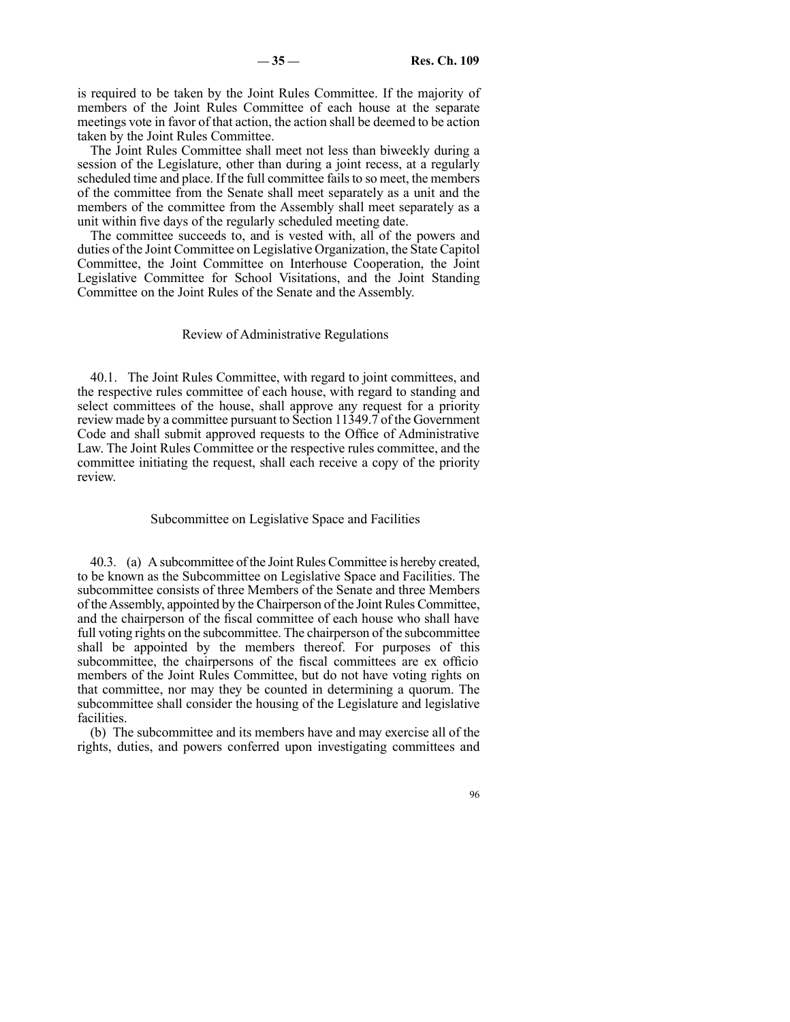is required to be taken by the Joint Rules Committee. If the majority of members of the Joint Rules Committee of each house at the separate meetings vote in favor of that action, the action shall be deemed to be action taken by the Joint Rules Committee. -35 - Res. Ch. 109<br>
int Rules Committee. If the majority of<br>
mmittee of each house at the separate<br>
on, the action shall be deemed to be action<br>
ree.

The Joint Rules Committee shall meet not less than biweekly during a session of the Legislature, other than during a joint recess, at a regularly scheduled time and place. If the full committee fails to so meet, the members of the committee from the Senate shall meet separately as a unit and the members of the committee from the Assembly shall meet separately as a unit within five days of the regularly scheduled meeting date.

The committee succeeds to, and is vested with, all of the powers and duties of the Joint Committee on Legislative Organization, the State Capitol Committee, the Joint Committee on Interhouse Cooperation, the Joint Legislative Committee for School Visitations, and the Joint Standing Committee on the Joint Rules of the Senate and the Assembly.

### Review of Administrative Regulations

40.1. The Joint Rules Committee, with regard to joint committees, and the respective rules committee of each house, with regard to standing and select committees of the house, shall approve any request for a priority review made by a committee pursuant to Section 11349.7 of the Government Code and shall submit approved requests to the Office of Administrative metrings vote in abvoro f that action, the nearion shall be deemed to be action<br>taken by the Joint Rules Committee. And metron tests than biweekly during a<br>Sexison of the Legislature, other than during a joint recess, at a committee initiating the request, shall each receive a copy of the priority review. during of the Joint Committee on Legislative Organization, the Subcommittee, the Joint Committee to School Visitations, and the Joint Studing Committee on the Joint Rules of the Serante and the Assembly.<br>
Legislative Commi

### Subcommittee on Legislative Space and Facilities

40.3. (a) A subcommittee of the Joint Rules Committee is hereby created, subcommittee consists of three Members of the Senate and three Members of the Assembly, appointed by the Chairperson of the Joint Rules Committee, and the chairperson of the fiscal committee of each house who shall have full voting rights on the subcommittee. The chairperson of the subcommittee shall be appointed by the members thereof. For purposes of this subcommittee, the chairpersons of the fiscal committees are ex officio members of the Joint Rules Committee, but do not have voting rights on that committee, nor may they be counted in determining a quorum. The subcommittee shall consider the housing of the Legislature and legislative facilities.

(b) The subcommittee and its members have and may exercise all of the rights, duties, and powers conferred upon investigating committees and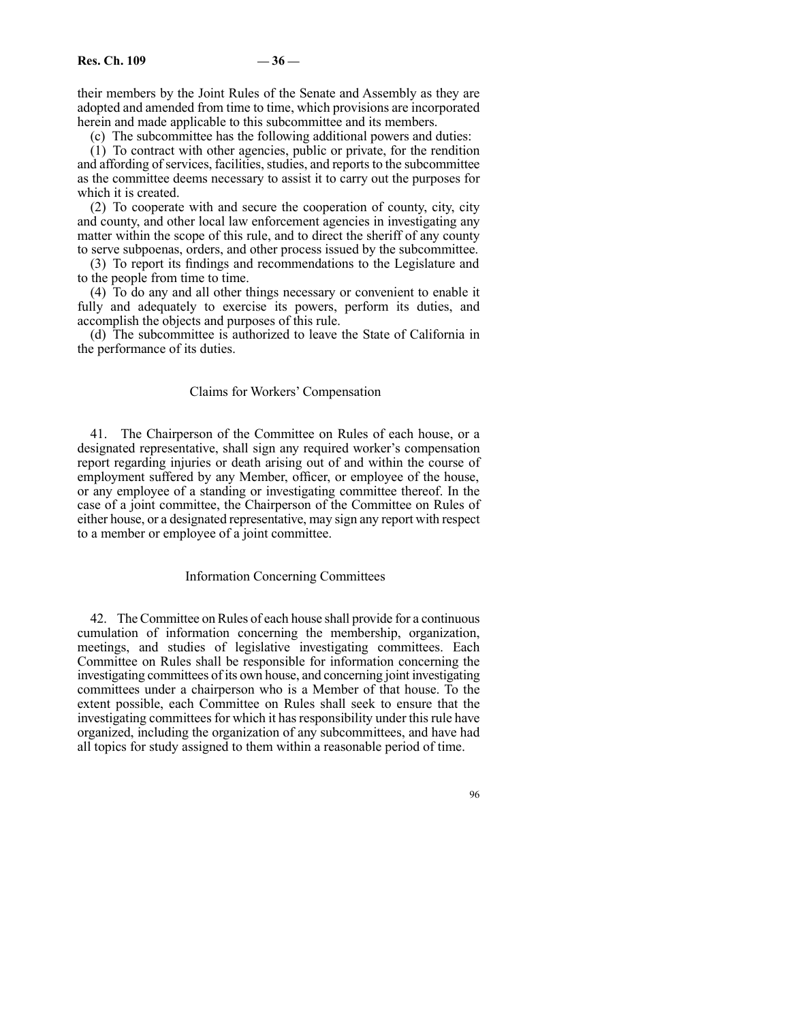their members by the Joint Rules of the Senate and Assembly as they are adopted and amended from time to time, which provisions are incorporated herein and made applicable to this subcommittee and its members. **Res. Ch. 109**  $-36$  —<br>their members by the Joint Rules of the Senate and Assembly as they are<br>adopted and amended from time to time, which provisions are incorporated<br>herein and made applicable to this subcommittee and i

(c) The subcommittee has the following additional powers and duties:

(1) To contract with other agencies, public or private, for the rendition and affording of services, facilities, studies, and reports to the subcommittee as the committee deems necessary to assist it to carry out the purposes for which it is created.

(2) To cooperate with and secure the cooperation of county, city, city and county, and other local law enforcement agencies in investigating any matter within the scope of this rule, and to direct the sheriff of any county to serve subpoenas, orders, and other process issued by the subcommittee.

(3) To report its findings and recommendations to the Legislature and to the people from time to time.

(4) To do any and all other things necessary or convenient to enable it fully and adequately to exercise its powers, perform its duties, and accomplish the objects and purposes of this rule.

(d) The subcommittee is authorized to leave the State of California in the performance of its duties.

### Claims for Workers' Compensation

41. The Chairperson of the Committee on Rules of each house, or a designated representative, shall sign any required worker's compensation report regarding injuries or death arising out of and within the course of employment suffered by any Member, officer, or employee of the house, or any employee of a standing or investigating committee thereof. In the case of a joint committee, the Chairperson of the Committee on Rules of either house, or a designated representative, may sign any report with respect to a member or employee of a joint committee.

### Information Concerning Committees

42. The Committee on Rules of each house shall provide for a continuous cumulation of information concerning the membership, organization, meetings, and studies of legislative investigating committees. Each Committee on Rules shall be responsible for information concerning the investigating committees of its own house, and concerning joint investigating committees under a chairperson who is a Member of that house. To the extent possible, each Committee on Rules shall seek to ensure that the investigating committees for which it has responsibility under this rule have organized, including the organization of any subcommittees, and have had all topics for study assigned to them within a reasonable period of time.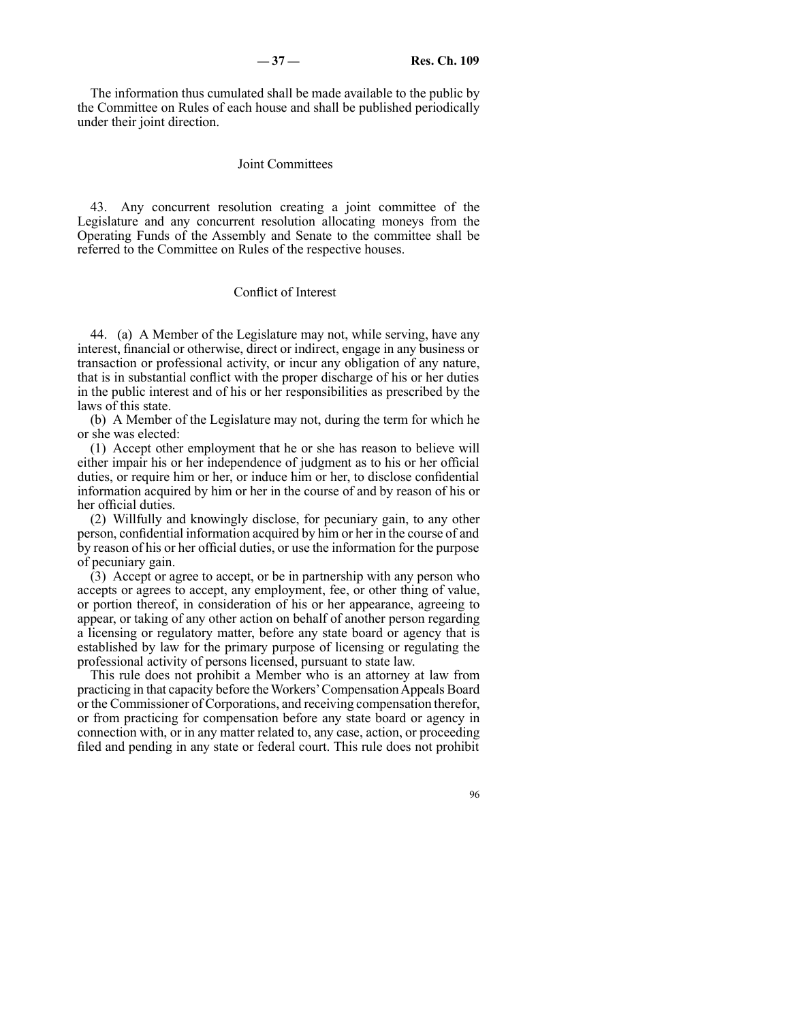The information thus cumulated shall be made available to the public by the Committee on Rules of each house and shall be published periodically under their joint direction. -37 - Res. Ch. 109<br>d shall be made available to the public by<br>house and shall be published periodically

### Joint Committees

43. Any concurrent resolution creating a joint committee of the Legislature and any concurrent resolution allocating moneys from the Operating Funds of the Assembly and Senate to the committee shall be referred to the Committee on Rules of the respective houses.

### Conflict of Interest

44. (a) A Member of the Legislature may not, while serving, have any interest, financial or otherwise, direct or indirect, engage in any business or transaction or professional activity, or incur any obligation of any nature, that is in substantial conflict with the proper discharge of his or her duties in the public interest and of his or her responsibilities as prescribed by the laws of this state.

(b) A Member of the Legislature may not, during the term for which he or she was elected:

(1) Accept other employment that he or she has reason to believe will either impair his or her independence of judgment as to his or her official duties, or require him or her, or induce him or her, to disclose confidential information acquired by him or her in the course of and by reason of his or her official duties.

(2) Willfully and knowingly disclose, for pecuniary gain, to any other person, confidential information acquired by him or her in the course of and by reason of his or her official duties, or use the information for the purpose of pecuniary gain.

 $(3)$  Accept or agree to accept, or be in partnership with any person who accepts or agrees to accept, any employment, fee, or other thing of value, or portion thereof, in consideration of his or her appearance, agreeing to appear, or taking of any other action on behalf of another person regarding a licensing or regulatory matter, before any state board or agency that is established by law for the primary purpose of licensing or regulating the professional activity of persons licensed, pursuant to state law.

This rule does not prohibit a Member who is an attorney at law from practicing in that capacity before the Workers' Compensation Appeals Board or the Commissioner of Corporations, and receiving compensation therefor, or from practicing for compensation before any state board or agency in connection with, or in any matter related to, any case, action, or proceeding filed and pending in any state or federal court. This rule does not prohibit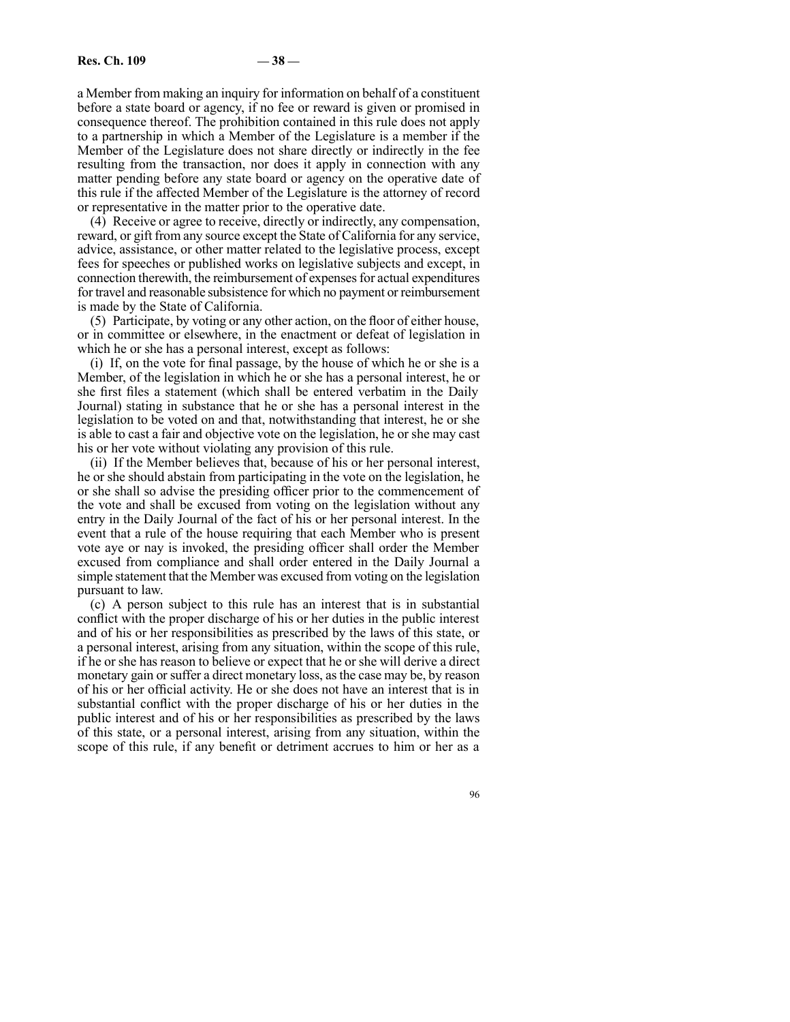a Member from making an inquiry for information on behalf of a constituent before a state board or agency, if no fee or reward is given or promised in consequence thereof. The prohibition contained in this rule does not apply to a partnership in which a Member of the Legislature is a member if the Member of the Legislature does not share directly or indirectly in the fee resulting from the transaction, nor does it apply in connection with any matter pending before any state board or agency on the operative date of this rule if the affected Member of the Legislature is the attorney of record or representative in the matter prior to the operative date.  $-38$  —<br>a Member from making an inquiry for information on behalf of a constituent<br>before a state board or agency, if no fee or reward is given or promised in<br>consequence thereof. The prohibition contained in this rule do

(4) Receive or agree to receive, directly or indirectly, any compensation, reward, or gift from any source except the State of California for any service, advice, assistance, or other matter related to the legislative process, except fees for speeches or published works on legislative subjects and except, in connection therewith, the reimbursement of expenses for actual expenditures for travel and reasonable subsistence for which no payment or reimbursement is made by the State of California.

(5) Participate, by voting or any other action, on the floor of either house, or in committee or elsewhere, in the enactment or defeat of legislation in which he or she has a personal interest, except as follows:

(i) If, on the vote for final passage, by the house of which he or she is a Member, of the legislation in which he or she has a personal interest, he or she first files a statement (which shall be entered verbatim in the Daily Journal) stating in substance that he or she has a personal interest in the legislation to be voted on and that, notwithstanding that interest, he or she is able to cast a fair and objective vote on the legislation, he or she may cast his or her vote without violating any provision of this rule.

(ii) If the Member believes that, because of his or her personal interest, he or she should abstain from participating in the vote on the legislation, he or she shall so advise the presiding officer prior to the commencement of the vote and shall be excused from voting on the legislation without any entry in the Daily Journal of the fact of his or her personal interest. In the event that a rule of the house requiring that each Member who is present vote aye or nay is invoked, the presiding officer shall order the Member excused from compliance and shall order entered in the Daily Journal a simple statement that the Member was excused from voting on the legislation pursuant to law.

(c) A person subject to this rule has an interest that is in substantial conflict with the proper discharge of his or her duties in the public interest and of his or her responsibilities as prescribed by the laws of this state, or a personal interest, arising from any situation, within the scope of this rule, if he or she has reason to believe or expect that he or she will derive a direct monetary gain or suffer a direct monetary loss, as the case may be, by reason of his or her official activity. He or she does not have an interest that is in substantial conflict with the proper discharge of his or her duties in the public interest and of his or her responsibilities as prescribed by the laws of this state, or a personal interest, arising from any situation, within the scope of this rule, if any benefit or detriment accrues to him or her as a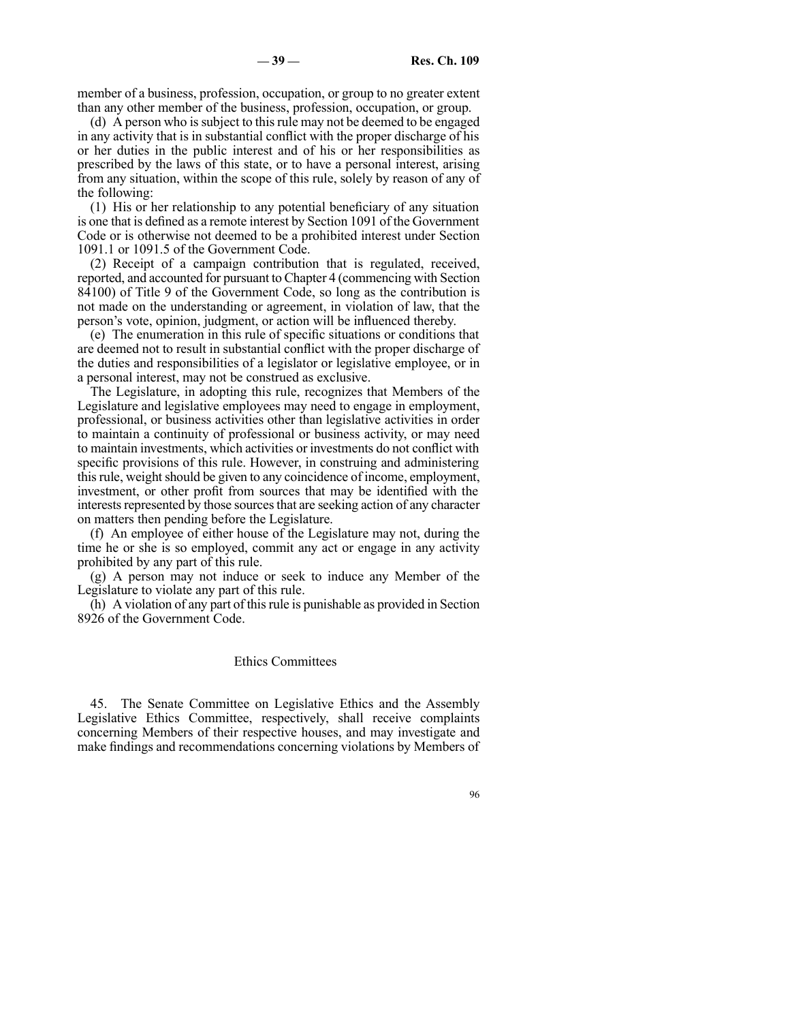member of a business, profession, occupation, or group to no greater extent than any other member of the business, profession, occupation, or group.

(d) A person who is subject to this rule may not be deemed to be engaged in any activity that is in substantial conflict with the proper discharge of his or her duties in the public interest and of his or her responsibilities as prescribed by the laws of this state, or to have a personal interest, arising from any situation, within the scope of this rule, solely by reason of any of the following: -39 - Res. Ch. 109<br>
0. occupation, or group to no greater extent<br>
iness, profession, occupation, or group.<br>
his rule may not be deemed to be engaged<br>
il conflict with the proper discharge of his

(1) His or her relationship to any potential beneficiary of any situation is one that is defined as a remote interest by Section 1091 of the Government Code or is otherwise not deemed to be a prohibited interest under Section 1091.1 or 1091.5 of the Government Code.

(2) Receipt of a campaign contribution that is regulated, received, reported, and accounted for pursuant to Chapter 4 (commencing with Section 84100) of Title 9 of the Government Code, so long as the contribution is not made on the understanding or agreement, in violation of law, that the person's vote, opinion, judgment, or action will be influenced thereby.

(e) The enumeration in this rule of specific situations or conditions that are deemed not to result in substantial conflict with the proper discharge of the duties and responsibilities of a legislator or legislative employee, or in a personal interest, may not be construed as exclusive.

The Legislature, in adopting this rule, recognizes that Members of the Legislature and legislative employees may need to engage in employment, professional, or business activities other than legislative activities in order to maintain a continuity of professional or business activity, or may need to maintain investments, which activities or investments do not conflict with specific provisions of this rule. However, in construing and administering this rule, weight should be given to any coincidence of income, employment, investment, or other profit from sources that may be identified with the interests represented by those sources that are seeking action of any character on matters then pending before the Legislature.

(f) An employee of either house of the Legislature may not, during the time he or she is so employed, commit any act or engage in any activity prohibited by any part of this rule.

(g) A person may not induce or seek to induce any Member of the Legislature to violate any part of this rule.

(h) A violation of any part of this rule is punishable as provided in Section 8926 of the Government Code.

### Ethics Committees

45. The Senate Committee on Legislative Ethics and the Assembly Legislative Ethics Committee, respectively, shall receive complaints concerning Members of their respective houses, and may investigate and make findings and recommendations concerning violations by Members of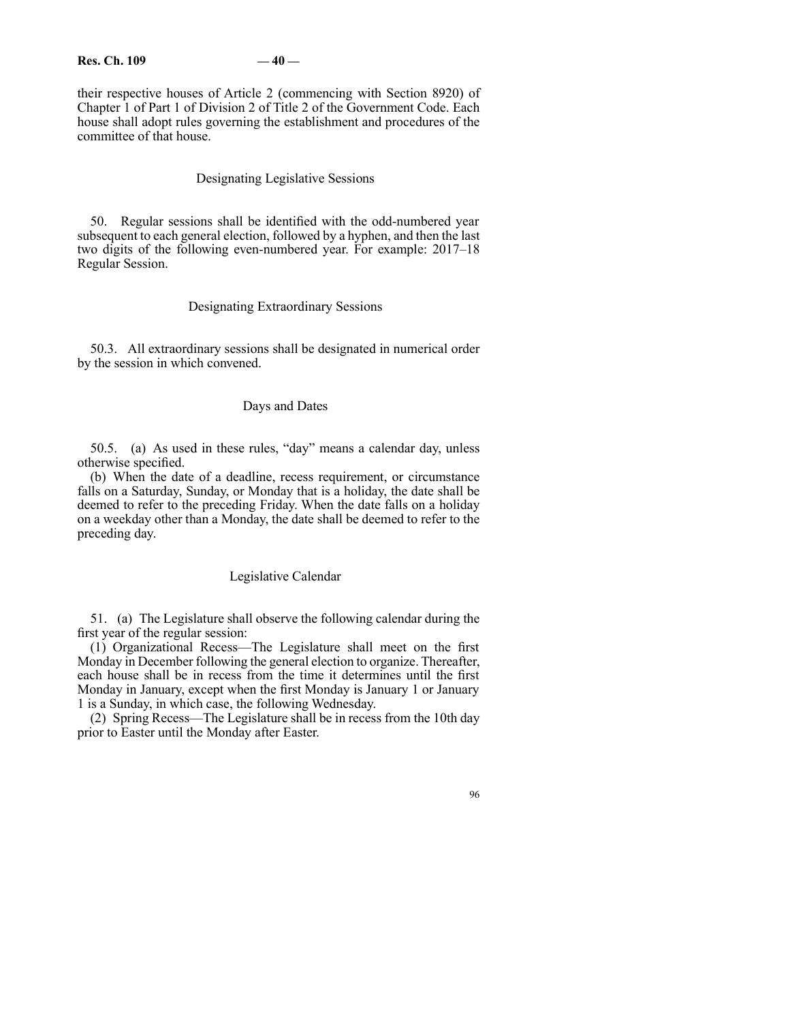their respective houses of Article 2 (commencing with Section 8920) of Chapter 1 of Part 1 of Division 2 of Title 2 of the Government Code. Each house shall adopt rules governing the establishment and procedures of the committee of that house. **Res. Ch. 109**  $-40-$ <br>their respective houses of Article 2 (commencing with Section 8920) of<br>Chapter 1 of Part 1 of Division 2 of Title 2 of the Government Code. Each<br>house shall adopt rules governing the establishment an

### Designating Legislative Sessions

50. Regular sessions shall be identified with the odd-numbered year subsequent to each general election, followed by a hyphen, and then the last two digits of the following even-numbered year. For example: 2017–18 Regular Session.

### Designating Extraordinary Sessions

50.3. All extraordinary sessions shall be designated in numerical order by the session in which convened.

# Days and Dates

50.5. (a) As used in these rules, "day" means a calendar day, unless otherwise specified.

(b) When the date of a deadline, recess requirement, or circumstance falls on a Saturday, Sunday, or Monday that is a holiday, the date shall be Designating Legislative Sessions<br>
50. Regular sessions shall be identified with the odd-numbered year<br>
subsequent to each general election, followed by a hyphen, and then the last<br>
two digits of the following even-numbered on a weekday other than a Monday, the date shall be deemed to refer to the preceding day. 50.3. All extraordinary sessions shall be designated in numerical order<br>by the session in which converael.<br>
Days and Dates<br>  $(50.5)$  (a) As used in these rules, "day" means a calendar day, unless<br>  $(6)$  When the dute of a The state of the matter and the method of the method of the method of the following specified (b) When the date of a deadline, recess requirement, or circumstance (h) (b) When the date of a deadline, recess requirement, or

### Legislative Calendar

51. (a) The Legislature shall observe the following calendar during the first year of the regular session:

(1) Organizational Recess—The Legislature shall meet on the first each house shall be in recess from the time it determines until the first Monday in January, except when the first Monday is January 1 or January

(2) Spring Recess—The Legislature shall be in recess from the 10th day prior to Easter until the Monday after Easter.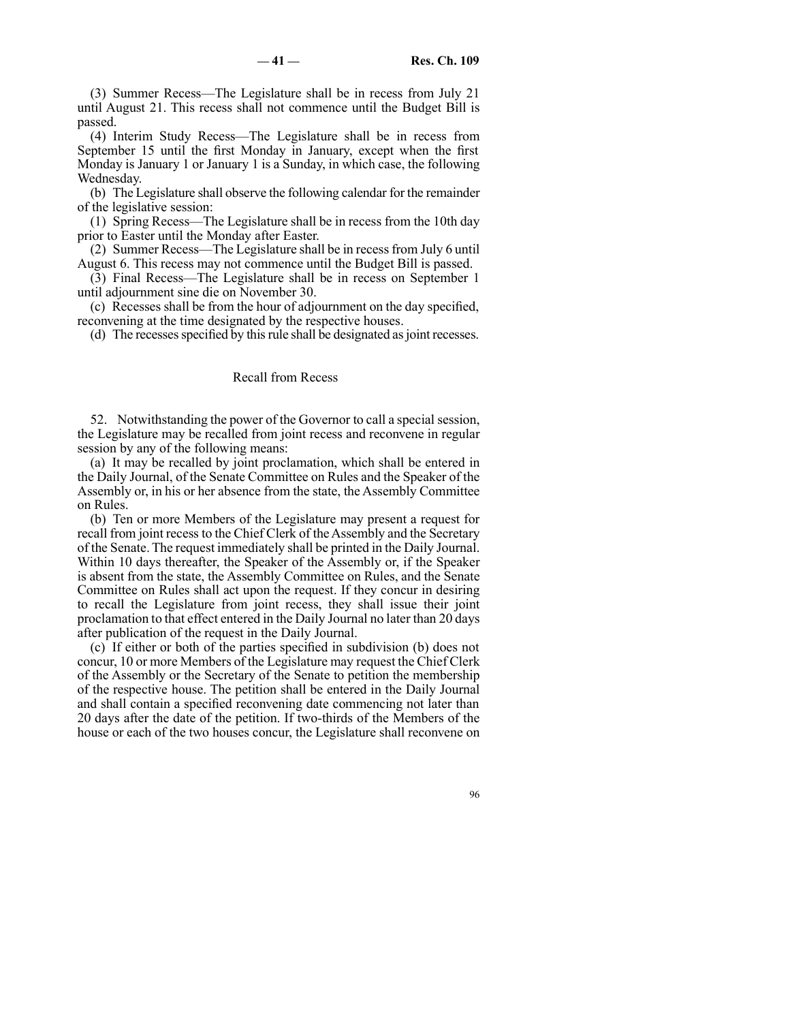(3) Summer Recess—The Legislature shall be in recess from July 21 passed. -41 - Res. Ch. 109<br>
exploration and the interest of the Nully 21<br>
and the Mudget Bill is<br>
the Legislature shall be in recess from

41 - Res. Ch. 109<br>
(3) Summer Recess—The Legislature shall be in recess from July 21<br>
until August 21. This recess shall not commence until the Budget Bill is<br>
passed.<br>
(4) Interim Study Recess—The Legislature shall be in (4) Interim Study Recess—The Legislature shall be in recess from September 15 until the first Monday in January, except when the first Monday is January 1 or January 1 is a Sunday, in which case, the following Wednesday.

(b) The Legislature shall observe the following calendar for the remainder of the legislative session:

(1) Spring Recess—The Legislature shall be in recess from the 10th day prior to Easter until the Monday after Easter.

(2) Summer Recess—The Legislature shall be in recess from July 6 until August 6. This recess may not commence until the Budget Bill is passed.

(3) Final Recess—The Legislature shall be in recess on September 1 until adjournment sine die on November 30.

(c) Recesses shall be from the hour of adjournment on the day specified, reconvening at the time designated by the respective houses.

(d) The recesses specified by this rule shall be designated as joint recesses.

### Recall from Recess

52. Notwithstanding the power of the Governor to call a special session, the Legislature may be recalled from joint recess and reconvene in regular session by any of the following means:

(a) It may be recalled by joint proclamation, which shall be entered in the Daily Journal, of the Senate Committee on Rules and the Speaker of the Assembly or, in his or her absence from the state, the Assembly Committee on Rules.

(b) Ten or more Members of the Legislature may present a request for recall from joint recess to the Chief Clerk of the Assembly and the Secretary of the Senate. The request immediately shall be printed in the Daily Journal. Within 10 days thereafter, the Speaker of the Assembly or, if the Speaker is absent from the state, the Assembly Committee on Rules, and the Senate Committee on Rules shall act upon the request. If they concur in desiring to recall the Legislature from joint recess, they shall issue their joint proclamation to that effect entered in the Daily Journal no later than 20 days after publication of the request in the Daily Journal.

(c) If either or both of the parties specified in subdivision (b) does not concur, 10 or more Members of the Legislature may request the Chief Clerk of the Assembly or the Secretary of the Senate to petition the membership of the respective house. The petition shall be entered in the Daily Journal and shall contain a specified reconvening date commencing not later than 20 days after the date of the petition. If two-thirds of the Members of the house or each of the two houses concur, the Legislature shall reconvene on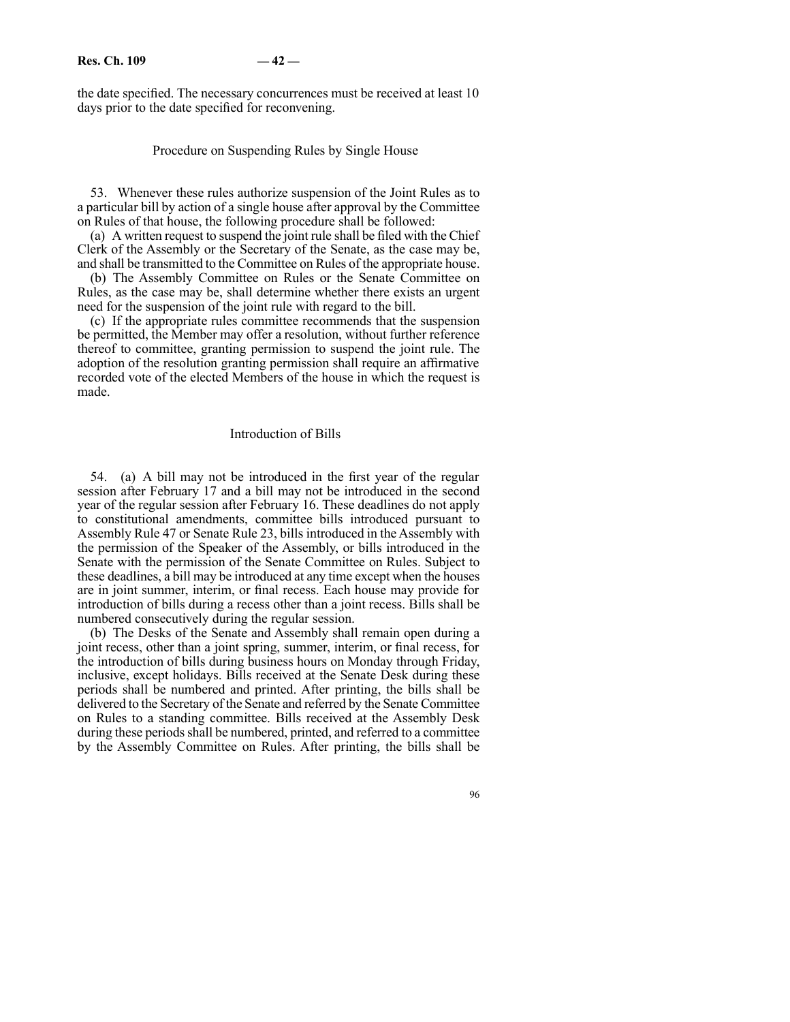the date specified. The necessary concurrences must be received at least 10 days prior to the date specified for reconvening. Res. Ch. 109  $-42-$ <br>the date specified. The necessary concurrences must be received at least 10<br>days prior to the date specified for reconvening.

# Procedure on Suspending Rules by Single House

53. Whenever these rules authorize suspension of the Joint Rules as to a particular bill by action of a single house after approval by the Committee on Rules of that house, the following procedure shall be followed:

(a) A written request to suspend the joint rule shall be filed with the Chief Clerk of the Assembly or the Secretary of the Senate, as the case may be, and shall be transmitted to the Committee on Rules of the appropriate house.

Rules, as the case may be, shall determine whether there exists an urgent need for the suspension of the joint rule with regard to the bill.

(b) Specified. The necessary concurrences must be received at least 10<br>
ys prior to the date specified for reconvening.<br>
Procedure on Suspending Rules by Single House<br>
53. Whenever these rules authorize suspension of the (c) If the appropriate rules committee recommends that the suspension be permitted, the Member may offer a resolution, without further reference thereof to committee, granting permission to suspend the joint rule. The adoption of the resolution granting permission shall require an affirmative recorded vote of the elected Members of the house in which the request is made.

### Introduction of Bills

54. (a) A bill may not be introduced in the first year of the regular session after February 17 and a bill may not be introduced in the second year of the regular session after February 16. These deadlines do not apply to constitutional amendments, committee bills introduced pursuant to Assembly Rule 47 or Senate Rule 23, bills introduced in the Assembly with the permission of the Speaker of the Assembly, or bills introduced in the Senate with the permission of the Senate Committee on Rules. Subject to these deadlines, a bill may be introduced at any time except when the houses are in joint summer, interim, or final recess. Each house may provide for introduction of bills during a recess other than a joint recess. Bills shall be numbered consecutively during the regular session.

(b) The Desks of the Senate and Assembly shall remain open during a joint recess, other than a joint spring, summer, interim, or final recess, for the introduction of bills during business hours on Monday through Friday, inclusive, except holidays. Bills received at the Senate Desk during these periods shall be numbered and printed. After printing, the bills shall be delivered to the Secretary of the Senate and referred by the Senate Committee on Rules to a standing committee. Bills received at the Assembly Desk during these periods shall be numbered, printed, and referred to a committee by the Assembly Committee on Rules. After printing, the bills shall be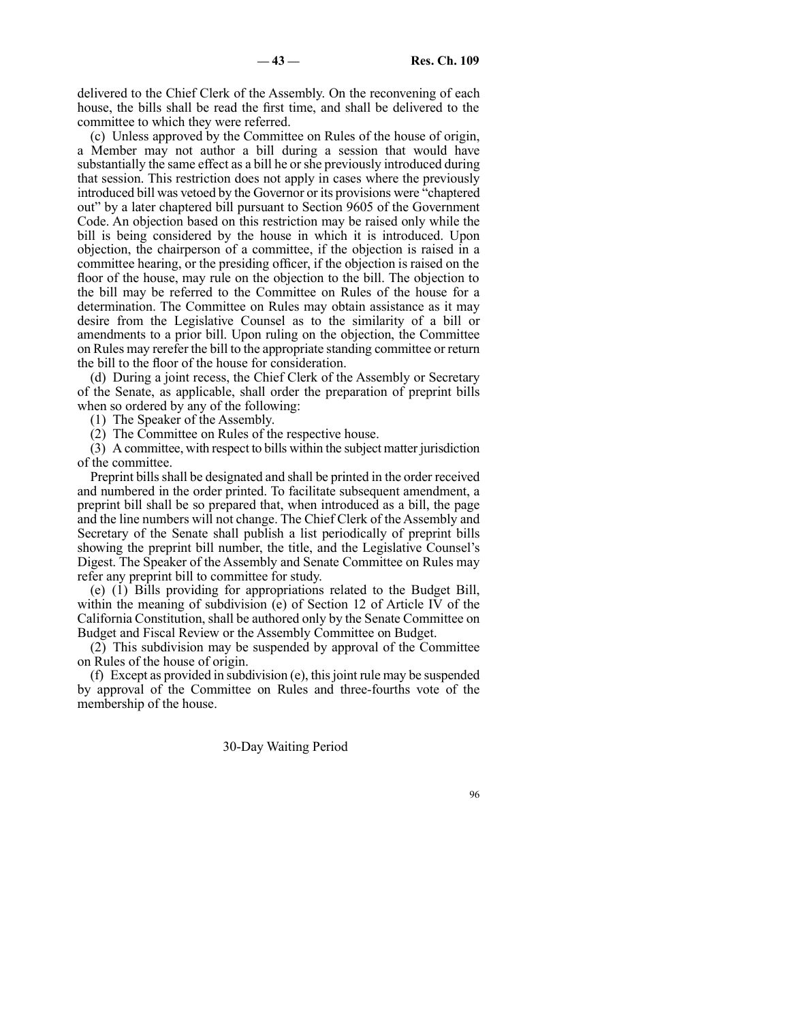delivered to the Chief Clerk of the Assembly. On the reconvening of each house, the bills shall be read the first time, and shall be delivered to the committee to which they were referred. -43 - Res. Ch. 109<br>
Res. Ch. 109<br>
Res. Ch. 109<br>
First time, and shall be delivered to the<br>
efferred.<br>
minities on Rules of the house of origin,

(c) Unless approved by the Committee on Rules of the house of origin, a Member may not author a bill during a session that would have substantially the same effect as a bill he or she previously introduced during that session. This restriction does not apply in cases where the previously introduced bill was vetoed by the Governor or its provisions were "chaptered out" by a later chaptered bill pursuant to Section 9605 of the Government Code. An objection based on this restriction may be raised only while the bill is being considered by the house in which it is introduced. Upon objection, the chairperson of a committee, if the objection is raised in a committee hearing, or the presiding officer, if the objection is raised on the floor of the house, may rule on the objection to the bill. The objection to the bill may be referred to the Committee on Rules of the house for a  $-43 -$ <br> **Example 18**<br> **Example 16** and the read the first time, and shall be delivered to the<br>
house, the bills salp to read the first time, and shall be delivered to the<br>
committee to which they were referred.<br>
(c) Unles desire from the Legislative Counsel as to the similarity of a bill or amendments to a prior bill. Upon ruling on the objection, the Committee on Rules may rerefer the bill to the appropriate standing committee or return the bill to the floor of the house for consideration. bill is being considered by the bouse in which it is introduced. Upon<br>Unjection, the chaiperson of a committee, if the objection is raised in a<br>committee hearing, or the presiding officer, if the objection is raised on th

(d) During a joint recess, the Chief Clerk of the Assembly or Secretary of the Senate, as applicable, shall order the preparation of preprint bills when so ordered by any of the following:

(1) The Speaker of the Assembly.

(2) The Committee on Rules of the respective house.

(3) A committee, with respect to bills within the subject matter jurisdiction of the committee.

Preprint bills shall be designated and shall be printed in the order received and numbered in the order printed. To facilitate subsequent amendment, a preprint bill shall be so prepared that, when introduced as a bill, the page and the line numbers will not change. The Chief Clerk of the Assembly and Secretary of the Senate shall publish a list periodically of preprint bills showing the preprint bill number, the title, and the Legislative Counsel's refer any preprint bill to committee for study. Assembly.<br>
Such the respective house.<br>
Supect to bills within the subject matter jurisdiction<br>
ignated and shall be printed in the order received<br>
printed. To facilitate subsequent amendment, a<br>
perpared that, when introdu

(e) (1) Bills providing for appropriations related to the Budget Bill, within the meaning of subdivision (e) of Section 12 of Article IV of the California Constitution, shall be authored only by the Senate Committee on Budget and Fiscal Review or the Assembly Committee on Budget.

(2) This subdivision may be suspended by approval of the Committee on Rules of the house of origin.

(f) Except as provided in subdivision (e), this joint rule may be suspended by approval of the Committee on Rules and three-fourths vote of the membership of the house.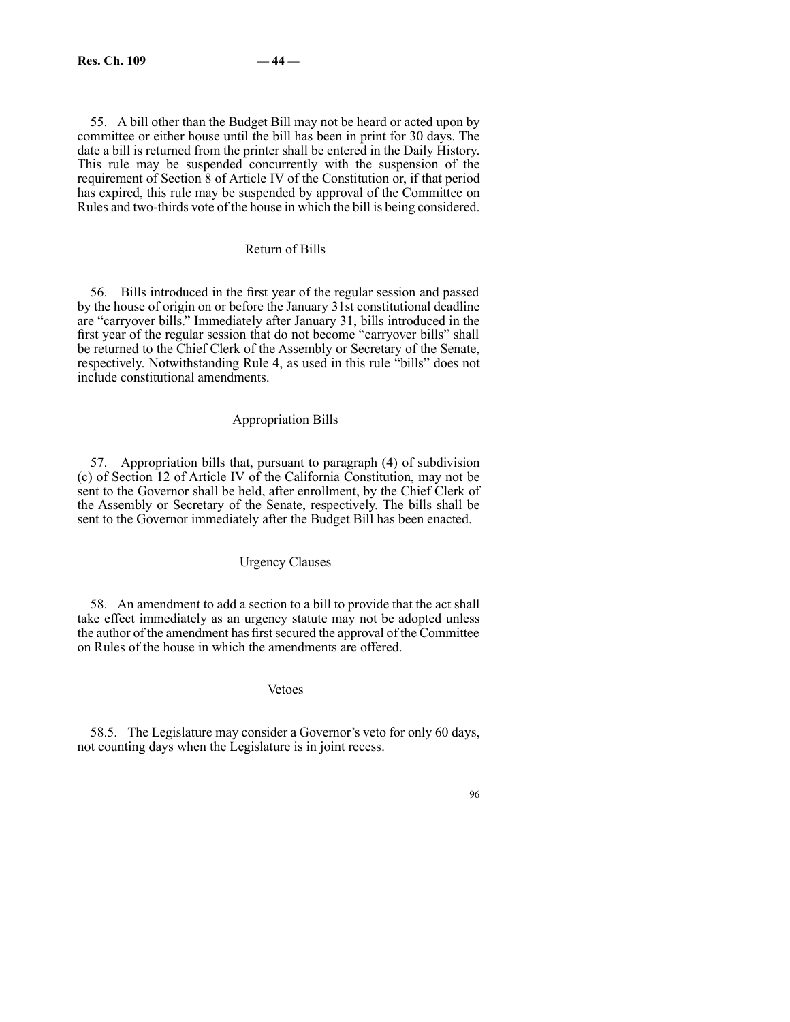55. A bill other than the Budget Bill may not be heard or acted upon by committee or either house until the bill has been in print for 30 days. The date a bill is returned from the printer shall be entered in the Daily History. This rule may be suspended concurrently with the suspension of the requirement of Section 8 of Article IV of the Constitution or, if that period has expired, this rule may be suspended by approval of the Committee on Rules and two-thirds vote of the house in which the bill is being considered. Res. Ch. 109 — 44 — <br>55. A bill other than the Budget Bill may not be heard or acted upon by<br>committee or either house until the bill has been in print for 30 days. The

### Return of Bills

56. Bills introduced in the first year of the regular session and passed by the house of origin on or before the January 31st constitutional deadline are "carryover bills." Immediately after January 31, bills introduced in the first year of the regular session that do not become "carryover bills" shall be returned to the Chief Clerk of the Assembly or Secretary of the Senate, respectively. Notwithstanding Rule 4, as used in this rule "bills" does not include constitutional amendments. requirement of Secretary of Article IV of the Constitution os, if that period<br>bas expired, this role may be suspended by approval of the Gramitites on<br>Rules and two-fluids vote of the bouse in which the bill is being consi

### Appropriation Bills

57. Appropriation bills that, pursuant to paragraph (4) of subdivision (c) of Section 12 of Article IV of the California Constitution, may not be sent to the Governor shall be held, after enrollment, by the Chief Clerk of sent to the Governor immediately after the Budget Bill has been enacted.

# Urgency Clauses

58. An amendment to add a section to a bill to provide that the act shall take effect immediately as an urgency statute may not be adopted unless the author of the amendment has first secured the approval of the Committee on Rules of the house in which the amendments are offered.

### Vetoes

58.5. The Legislature may consider a Governor's veto for only 60 days, not counting days when the Legislature is in joint recess.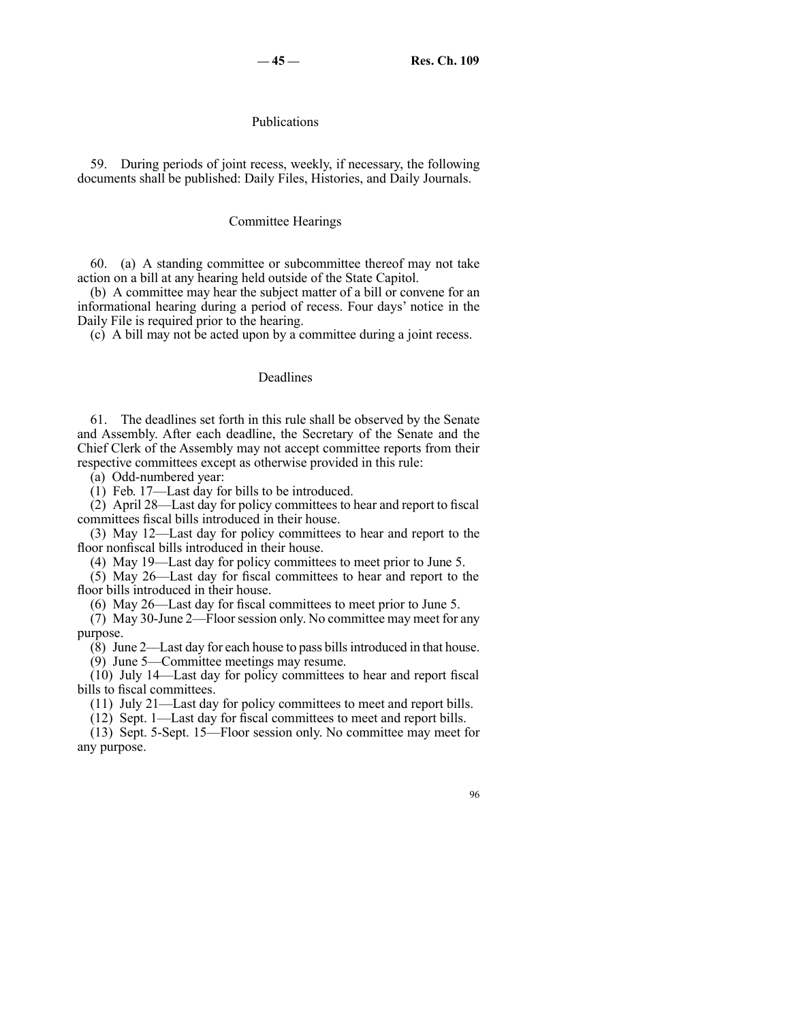# Publications

59. During periods of joint recess, weekly, if necessary, the following documents shall be published: Daily Files, Histories, and Daily Journals.

### Committee Hearings

60. (a) A standing committee or subcommittee thereof may not take action on a bill at any hearing held outside of the State Capitol.

(b) A committee may hear the subject matter of a bill or convene for an informational hearing during a period of recess. Four days' notice in the Daily File is required prior to the hearing.

(c) A bill may not be acted upon by a committee during a joint recess.

### Deadlines

61. The deadlines set forth in this rule shall be observed by the Senate **Example 19 Following**<br> **Example 2011** Published: Daily Files, Histories, and Daily Journals.<br> **Committee Hearings**<br> **Committee Hearings**<br> **Committee Hearings**<br> **Committee Hearings**<br> **Committee Hearings**<br> **Committee and th** Chief Clerk of the Assembly may not accept committee reports from their respective committees except as otherwise provided in this rule:

(a) Odd-numbered year:

(1) Feb. 17––Last day for bills to be introduced.

(2) April 28––Last day for policy committees to hear and report to fiscal committees fiscal bills introduced in their house.

(3) May 12––Last day for policy committees to hear and report to the floor nonfiscal bills introduced in their house.

(4) May 19––Last day for policy committees to meet prior to June 5.

(5) May 26––Last day for fiscal committees to hear and report to the floor bills introduced in their house.

(6) May 26––Last day for fiscal committees to meet prior to June 5.

(7) May 30-June 2––Floor session only. No committee may meet for any purpose.

(8) June 2––Last day for each house to pass bills introduced in that house.

(9) June 5––Committee meetings may resume.

(10) July 14––Last day for policy committees to hear and report fiscal bills to fiscal committees.

(11) July 21––Last day for policy committees to meet and report bills.

(12) Sept. 1––Last day for fiscal committees to meet and report bills.

(13) Sept. 5-Sept. 15––Floor session only. No committee may meet for any purpose.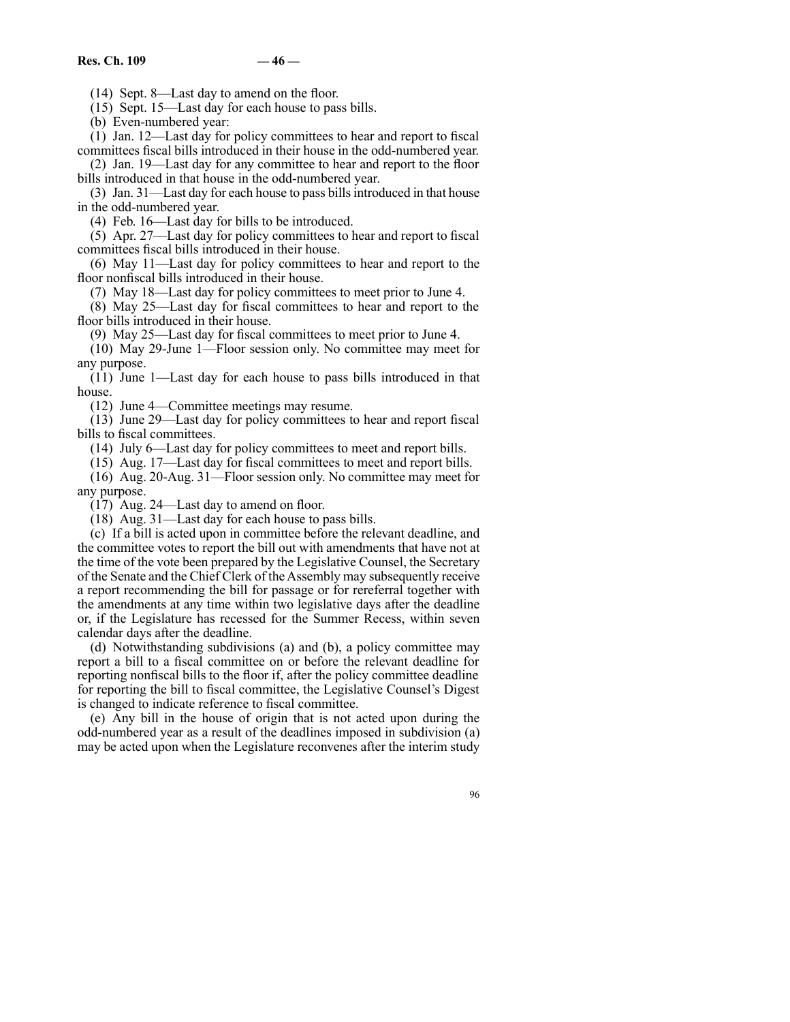(14) Sept. 8––Last day to amend on the floor.

 $(15)$  Sept. 15—Last day for each house to pass bills.

(b) Even-numbered year:

(1) Jan. 12––Last day for policy committees to hear and report to fiscal committees fiscal bills introduced in their house in the odd-numbered year. **Res. Ch. 109**  $-46$  —<br>
(14) Sept. 8—Last day to amend on the floor.<br>
(15) Sept. 15—Last day for each house to pass bills.<br>
(b) Even-numbered year:<br>
(1) Jan. 12—Last day for policy committees to hear and report to fiscal

(2) Jan. 19––Last day for any committee to hear and report to the floor bills introduced in that house in the odd-numbered year.

(3) Jan. 31––Last day for each house to pass bills introduced in that house in the odd-numbered year.

(4) Feb. 16––Last day for bills to be introduced.

(5) Apr. 27––Last day for policy committees to hear and report to fiscal committees fiscal bills introduced in their house.

(6) May 11––Last day for policy committees to hear and report to the floor nonfiscal bills introduced in their house.

(7) May 18––Last day for policy committees to meet prior to June 4.

(8) May 25––Last day for fiscal committees to hear and report to the floor bills introduced in their house.

(9) May 25––Last day for fiscal committees to meet prior to June 4.

(10) May 29-June 1––Floor session only. No committee may meet for any purpose.

(11) June 1––Last day for each house to pass bills introduced in that house.

(12) June 4––Committee meetings may resume.

(13) June 29––Last day for policy committees to hear and report fiscal bills to fiscal committees.

(14) July 6––Last day for policy committees to meet and report bills.

(15) Aug. 17––Last day for fiscal committees to meet and report bills.

(16) Aug. 20-Aug. 31––Floor session only. No committee may meet for any purpose.

(17) Aug. 24––Last day to amend on floor.

(18) Aug. 31––Last day for each house to pass bills.

(c) If a bill is acted upon in committee before the relevant deadline, and the committee votes to report the bill out with amendments that have not at the time of the vote been prepared by the Legislative Counsel, the Secretary of the Senate and the Chief Clerk of the Assembly may subsequently receive a report recommending the bill for passage or for rereferral together with the amendments at any time within two legislative days after the deadline or, if the Legislature has recessed for the Summer Recess, within seven calendar days after the deadline.

(d) Notwithstanding subdivisions (a) and (b), a policy committee may report a bill to a fiscal committee on or before the relevant deadline for reporting nonfiscal bills to the floor if, after the policy committee deadline for reporting the bill to fiscal committee, the Legislative Counsel's Digest is changed to indicate reference to fiscal committee.

(e) Any bill in the house of origin that is not acted upon during the odd-numbered year as a result of the deadlines imposed in subdivision (a) may be acted upon when the Legislature reconvenes after the interim study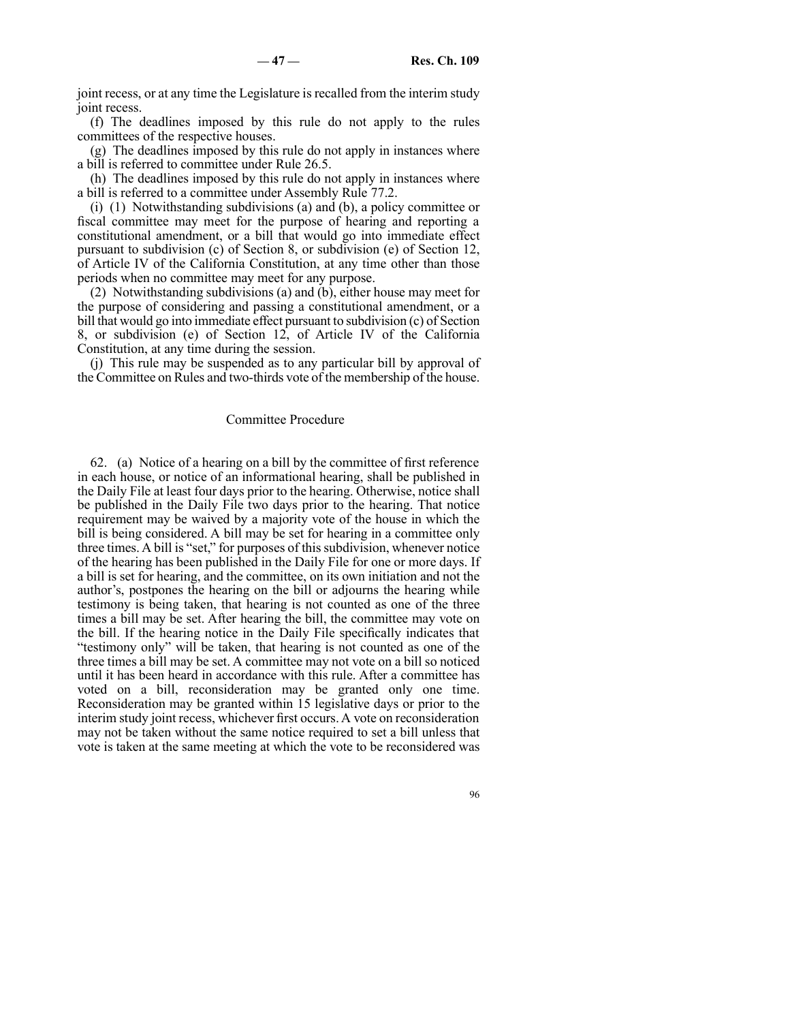joint recess, or at any time the Legislature is recalled from the interim study joint recess.

(f) The deadlines imposed by this rule do not apply to the rules committees of the respective houses. -47 - Res. Ch. 109<br>
expectively is recalled from the interimential study<br>
y this rule do not apply to the rules<br>
Ses.

(g) The deadlines imposed by this rule do not apply in instances where a bill is referred to committee under Rule 26.5.

(h) The deadlines imposed by this rule do not apply in instances where a bill is referred to a committee under Assembly Rule 77.2.

(i) (1) Notwithstanding subdivisions (a) and (b), a policy committee or fiscal committee may meet for the purpose of hearing and reporting a constitutional amendment, or a bill that would go into immediate effect pursuant to subdivision (c) of Section 8, or subdivision (e) of Section 12,  $-47$ — Res. Ch. 109<br>
point recess, or at any time the Legislature is recalled from the interim study<br>
(of) The deadlines imposed by this rule do not apply to the rules<br>
(g) The deadlines imposed by this rule do not apply periods when no committee may meet for any purpose.

(2) Notwithstanding subdivisions (a) and (b), either house may meet for the purpose of considering and passing a constitutional amendment, or a bill that would go into immediate effect pursuant to subdivision (c) of Section 8, or subdivision (e) of Section 12, of Article IV of the California Constitution, at any time during the session.

(j) This rule may be suspended as to any particular bill by approval of the Committee on Rules and two-thirds vote of the membership of the house.

### Committee Procedure

62. (a) Notice of a hearing on a bill by the committee of first reference in each house, or notice of an informational hearing, shall be published in the Daily File at least four days prior to the hearing. Otherwise, notice shall be published in the Daily File two days prior to the hearing. That notice requirement may be waived by a majority vote of the house in which the bill is being considered. A bill may be set for hearing in a committee only three times. A bill is "set," for purposes of this subdivision, whenever notice of the hearing has been published in the Daily File for one or more days. If a bill is set for hearing, and the committee, on its own initiation and not the author's, postpones the hearing on the bill or adjourns the hearing while testimony is being taken, that hearing is not counted as one of the three times a bill may be set. After hearing the bill, the committee may vote on the bill. If the hearing notice in the Daily File specifically indicates that "testimony only" will be taken, that hearing is not counted as one of the three times a bill may be set. A committee may not vote on a bill so noticed until it has been heard in accordance with this rule. After a committee has voted on a bill, reconsideration may be granted only one time. Reconsideration may be granted within 15 legislative days or prior to the interim study joint recess, whichever first occurs. A vote on reconsideration may not be taken without the same notice required to set a bill unless that vote is taken at the same meeting at which the vote to be reconsidered was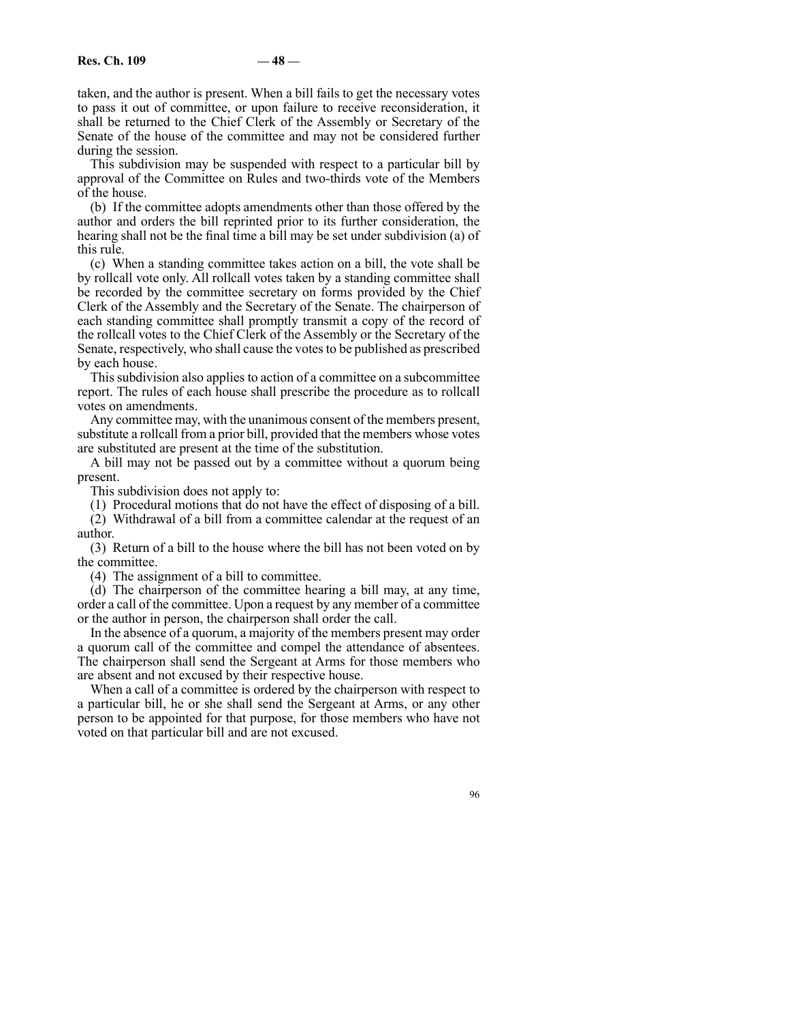taken, and the author is present. When a bill fails to get the necessary votes to pass it out of committee, or upon failure to receive reconsideration, it shall be returned to the Chief Clerk of the Assembly or Secretary of the Senate of the house of the committee and may not be considered further during the session. Res. Ch. 109 — 48 —

This subdivision may be suspended with respect to a particular bill by approval of the Committee on Rules and two-thirds vote of the Members of the house.

(b) If the committee adopts amendments other than those offered by the author and orders the bill reprinted prior to its further consideration, the hearing shall not be the final time a bill may be set under subdivision (a) of this rule.

(c) When a standing committee takes action on a bill, the vote shall be **Res. Ch. 109**  $-48 -$ <br>taken, and the author is present. When a bill fails to get the necessary votes<br>to pass it out of committee, or upon failure to receive reconsideration, it<br>shall be returned to the Chief Clerk of the be recorded by the committee secretary on forms provided by the Chief Clerk of the Assembly and the Secretary of the Senate. The chairperson of each standing committee shall promptly transmit a copy of the record of the rollcall votes to the Chief Clerk of the Assembly or the Secretary of the Senate, respectively, who shall cause the votes to be published as prescribed by each house. **Res. Ch. 109**  $-48$   $-48$   $-48$  to conside the rules of every reconsideration, it to pass it out of connities, or upon failure to receive reconsideration, it shall be returned to the Clief Clerk of the Assembly or Secret

This subdivision also applies to action of a committee on a subcommittee votes on amendments.

Any committee may, with the unanimous consent of the members present, substitute a rollcall from a prior bill, provided that the members whose votes are substituted are present at the time of the substitution.

A bill may not be passed out by a committee without a quorum being present.

This subdivision does not apply to:

(1) Procedural motions that do not have the effect of disposing of a bill.

(2) Withdrawal of a bill from a committee calendar at the request of an author.

(3) Return of a bill to the house where the bill has not been voted on by the committee.

(4) The assignment of a bill to committee.

(d) The chairperson of the committee hearing a bill may, at any time, order a call of the committee. Upon a request by any member of a committee or the author in person, the chairperson shall order the call.

In the absence of a quorum, a majority of the members present may order a quorum call of the committee and compel the attendance of absentees. The chairperson shall send the Sergeant at Arms for those members who are absent and not excused by their respective house.

When a call of a committee is ordered by the chairperson with respect to a particular bill, he or she shall send the Sergeant at Arms, or any other person to be appointed for that purpose, for those members who have not voted on that particular bill and are not excused.